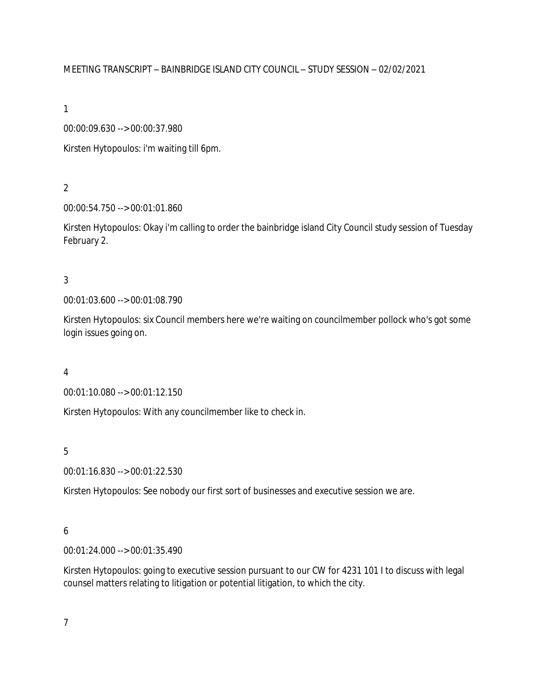## MEETING TRANSCRIPT – BAINBRIDGE ISLAND CITY COUNCIL – STUDY SESSION – 02/02/2021

1

00:00:09.630 --> 00:00:37.980

Kirsten Hytopoulos: i'm waiting till 6pm.

2

00:00:54.750 --> 00:01:01.860

Kirsten Hytopoulos: Okay i'm calling to order the bainbridge island City Council study session of Tuesday February 2.

3

00:01:03.600 --> 00:01:08.790

Kirsten Hytopoulos: six Council members here we're waiting on councilmember pollock who's got some login issues going on.

4

00:01:10.080 --> 00:01:12.150

Kirsten Hytopoulos: With any councilmember like to check in.

5

00:01:16.830 --> 00:01:22.530

Kirsten Hytopoulos: See nobody our first sort of businesses and executive session we are.

## 6

00:01:24.000 --> 00:01:35.490

Kirsten Hytopoulos: going to executive session pursuant to our CW for 4231 101 I to discuss with legal counsel matters relating to litigation or potential litigation, to which the city.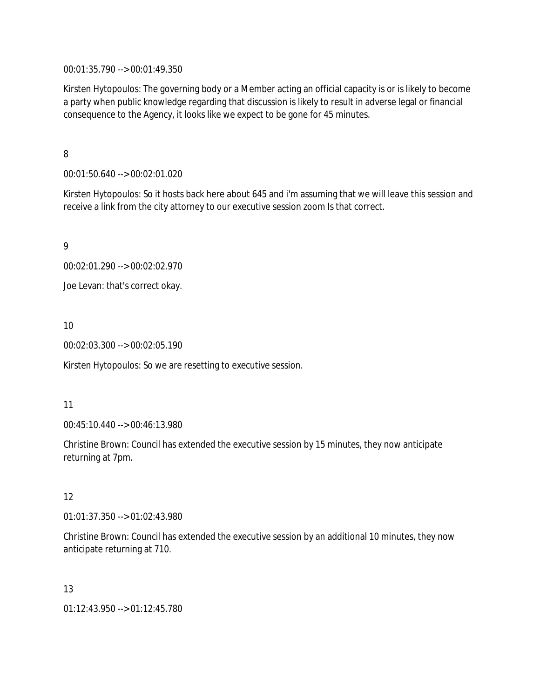00:01:35.790 --> 00:01:49.350

Kirsten Hytopoulos: The governing body or a Member acting an official capacity is or is likely to become a party when public knowledge regarding that discussion is likely to result in adverse legal or financial consequence to the Agency, it looks like we expect to be gone for 45 minutes.

## 8

00:01:50.640 --> 00:02:01.020

Kirsten Hytopoulos: So it hosts back here about 645 and i'm assuming that we will leave this session and receive a link from the city attorney to our executive session zoom Is that correct.

9

00:02:01.290 --> 00:02:02.970

Joe Levan: that's correct okay.

10

00:02:03.300 --> 00:02:05.190

Kirsten Hytopoulos: So we are resetting to executive session.

### 11

00:45:10.440 --> 00:46:13.980

Christine Brown: Council has extended the executive session by 15 minutes, they now anticipate returning at 7pm.

## 12

01:01:37.350 --> 01:02:43.980

Christine Brown: Council has extended the executive session by an additional 10 minutes, they now anticipate returning at 710.

## 13

01:12:43.950 --> 01:12:45.780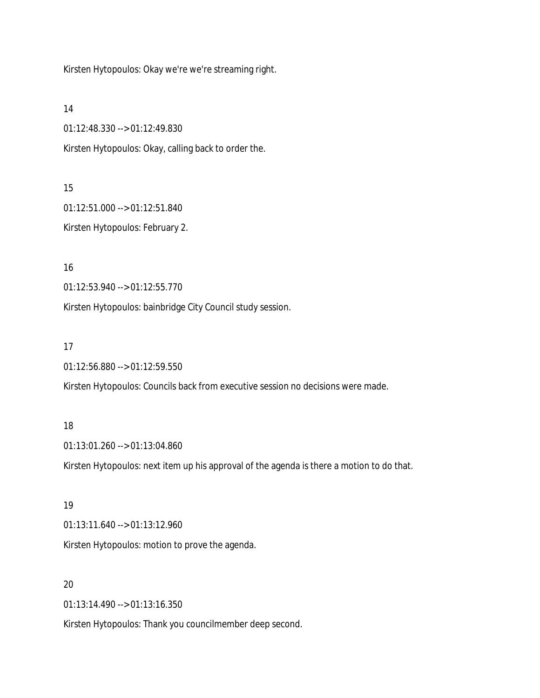Kirsten Hytopoulos: Okay we're we're streaming right.

14

01:12:48.330 --> 01:12:49.830

Kirsten Hytopoulos: Okay, calling back to order the.

15

01:12:51.000 --> 01:12:51.840 Kirsten Hytopoulos: February 2.

16

01:12:53.940 --> 01:12:55.770

Kirsten Hytopoulos: bainbridge City Council study session.

17

01:12:56.880 --> 01:12:59.550

Kirsten Hytopoulos: Councils back from executive session no decisions were made.

### 18

01:13:01.260 --> 01:13:04.860

Kirsten Hytopoulos: next item up his approval of the agenda is there a motion to do that.

19

01:13:11.640 --> 01:13:12.960

Kirsten Hytopoulos: motion to prove the agenda.

### 20

01:13:14.490 --> 01:13:16.350

Kirsten Hytopoulos: Thank you councilmember deep second.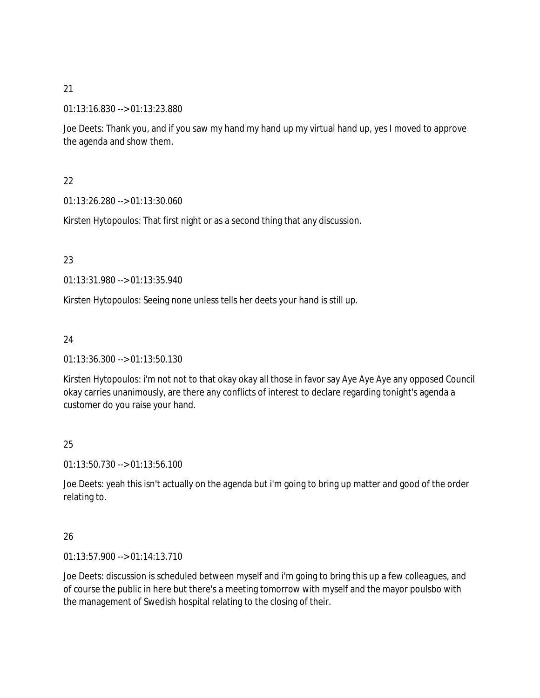01:13:16.830 --> 01:13:23.880

Joe Deets: Thank you, and if you saw my hand my hand up my virtual hand up, yes I moved to approve the agenda and show them.

## 22

01:13:26.280 --> 01:13:30.060

Kirsten Hytopoulos: That first night or as a second thing that any discussion.

## 23

01:13:31.980 --> 01:13:35.940

Kirsten Hytopoulos: Seeing none unless tells her deets your hand is still up.

## 24

01:13:36.300 --> 01:13:50.130

Kirsten Hytopoulos: i'm not not to that okay okay all those in favor say Aye Aye Aye any opposed Council okay carries unanimously, are there any conflicts of interest to declare regarding tonight's agenda a customer do you raise your hand.

## 25

01:13:50.730 --> 01:13:56.100

Joe Deets: yeah this isn't actually on the agenda but i'm going to bring up matter and good of the order relating to.

## 26

01:13:57.900 --> 01:14:13.710

Joe Deets: discussion is scheduled between myself and i'm going to bring this up a few colleagues, and of course the public in here but there's a meeting tomorrow with myself and the mayor poulsbo with the management of Swedish hospital relating to the closing of their.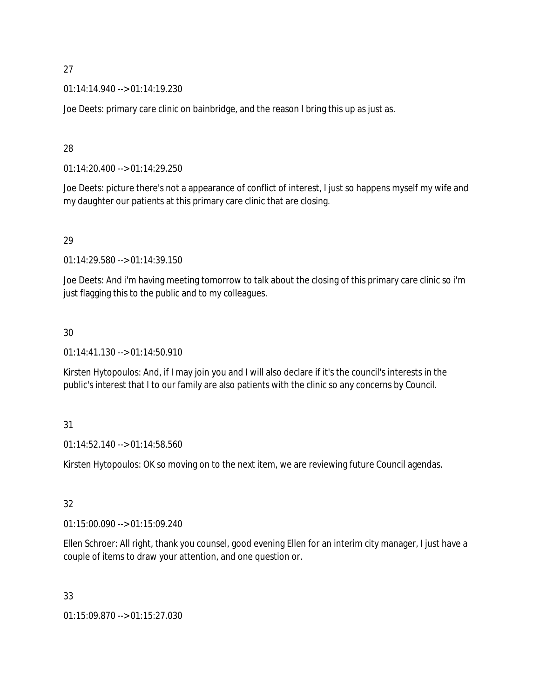01:14:14.940 --> 01:14:19.230

Joe Deets: primary care clinic on bainbridge, and the reason I bring this up as just as.

### 28

01:14:20.400 --> 01:14:29.250

Joe Deets: picture there's not a appearance of conflict of interest, I just so happens myself my wife and my daughter our patients at this primary care clinic that are closing.

## 29

01:14:29.580 --> 01:14:39.150

Joe Deets: And i'm having meeting tomorrow to talk about the closing of this primary care clinic so i'm just flagging this to the public and to my colleagues.

## 30

01:14:41.130 --> 01:14:50.910

Kirsten Hytopoulos: And, if I may join you and I will also declare if it's the council's interests in the public's interest that I to our family are also patients with the clinic so any concerns by Council.

## 31

01:14:52.140 --> 01:14:58.560

Kirsten Hytopoulos: OK so moving on to the next item, we are reviewing future Council agendas.

## 32

01:15:00.090 --> 01:15:09.240

Ellen Schroer: All right, thank you counsel, good evening Ellen for an interim city manager, I just have a couple of items to draw your attention, and one question or.

## 33

01:15:09.870 --> 01:15:27.030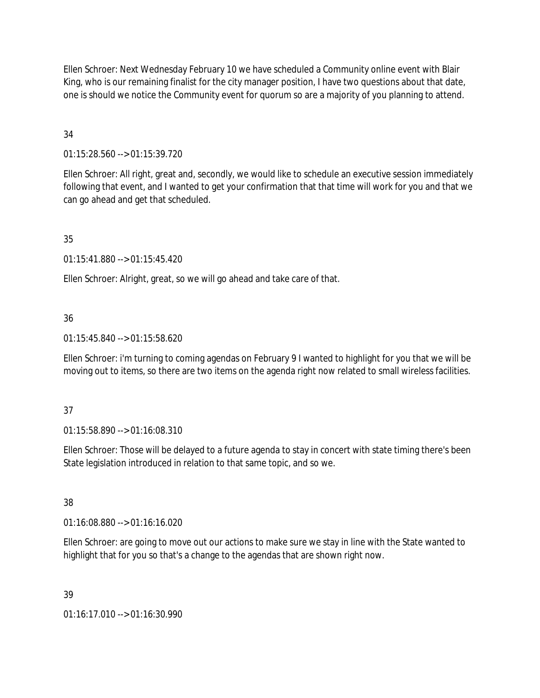Ellen Schroer: Next Wednesday February 10 we have scheduled a Community online event with Blair King, who is our remaining finalist for the city manager position, I have two questions about that date, one is should we notice the Community event for quorum so are a majority of you planning to attend.

## 34

01:15:28.560 --> 01:15:39.720

Ellen Schroer: All right, great and, secondly, we would like to schedule an executive session immediately following that event, and I wanted to get your confirmation that that time will work for you and that we can go ahead and get that scheduled.

## 35

01:15:41.880 --> 01:15:45.420

Ellen Schroer: Alright, great, so we will go ahead and take care of that.

## 36

01:15:45.840 --> 01:15:58.620

Ellen Schroer: i'm turning to coming agendas on February 9 I wanted to highlight for you that we will be moving out to items, so there are two items on the agenda right now related to small wireless facilities.

## 37

01:15:58.890 --> 01:16:08.310

Ellen Schroer: Those will be delayed to a future agenda to stay in concert with state timing there's been State legislation introduced in relation to that same topic, and so we.

## 38

01:16:08.880 --> 01:16:16.020

Ellen Schroer: are going to move out our actions to make sure we stay in line with the State wanted to highlight that for you so that's a change to the agendas that are shown right now.

## 39

01:16:17.010 --> 01:16:30.990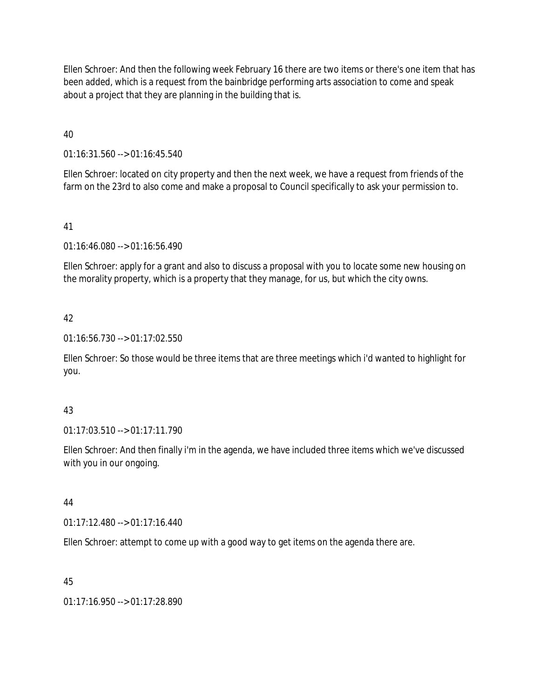Ellen Schroer: And then the following week February 16 there are two items or there's one item that has been added, which is a request from the bainbridge performing arts association to come and speak about a project that they are planning in the building that is.

40

01:16:31.560 --> 01:16:45.540

Ellen Schroer: located on city property and then the next week, we have a request from friends of the farm on the 23rd to also come and make a proposal to Council specifically to ask your permission to.

41

01:16:46.080 --> 01:16:56.490

Ellen Schroer: apply for a grant and also to discuss a proposal with you to locate some new housing on the morality property, which is a property that they manage, for us, but which the city owns.

## 42

01:16:56.730 --> 01:17:02.550

Ellen Schroer: So those would be three items that are three meetings which i'd wanted to highlight for you.

## 43

01:17:03.510 --> 01:17:11.790

Ellen Schroer: And then finally i'm in the agenda, we have included three items which we've discussed with you in our ongoing.

44

01:17:12.480 --> 01:17:16.440

Ellen Schroer: attempt to come up with a good way to get items on the agenda there are.

## 45

01:17:16.950 --> 01:17:28.890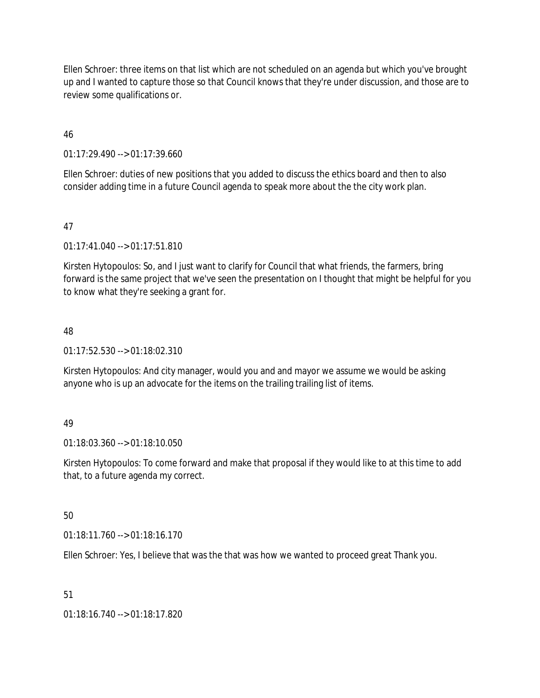Ellen Schroer: three items on that list which are not scheduled on an agenda but which you've brought up and I wanted to capture those so that Council knows that they're under discussion, and those are to review some qualifications or.

### 46

01:17:29.490 --> 01:17:39.660

Ellen Schroer: duties of new positions that you added to discuss the ethics board and then to also consider adding time in a future Council agenda to speak more about the the city work plan.

## 47

01:17:41.040 --> 01:17:51.810

Kirsten Hytopoulos: So, and I just want to clarify for Council that what friends, the farmers, bring forward is the same project that we've seen the presentation on I thought that might be helpful for you to know what they're seeking a grant for.

## 48

01:17:52.530 --> 01:18:02.310

Kirsten Hytopoulos: And city manager, would you and and mayor we assume we would be asking anyone who is up an advocate for the items on the trailing trailing list of items.

## 49

01:18:03.360 --> 01:18:10.050

Kirsten Hytopoulos: To come forward and make that proposal if they would like to at this time to add that, to a future agenda my correct.

## 50

01:18:11.760 --> 01:18:16.170

Ellen Schroer: Yes, I believe that was the that was how we wanted to proceed great Thank you.

## 51

01:18:16.740 --> 01:18:17.820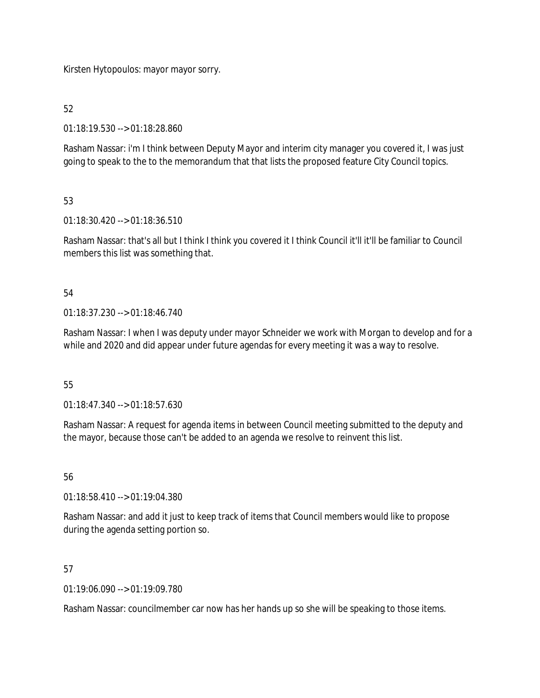Kirsten Hytopoulos: mayor mayor sorry.

## 52

01:18:19.530 --> 01:18:28.860

Rasham Nassar: i'm I think between Deputy Mayor and interim city manager you covered it, I was just going to speak to the to the memorandum that that lists the proposed feature City Council topics.

## 53

01:18:30.420 --> 01:18:36.510

Rasham Nassar: that's all but I think I think you covered it I think Council it'll it'll be familiar to Council members this list was something that.

## 54

01:18:37.230 --> 01:18:46.740

Rasham Nassar: I when I was deputy under mayor Schneider we work with Morgan to develop and for a while and 2020 and did appear under future agendas for every meeting it was a way to resolve.

## 55

01:18:47.340 --> 01:18:57.630

Rasham Nassar: A request for agenda items in between Council meeting submitted to the deputy and the mayor, because those can't be added to an agenda we resolve to reinvent this list.

## 56

01:18:58.410 --> 01:19:04.380

Rasham Nassar: and add it just to keep track of items that Council members would like to propose during the agenda setting portion so.

## 57

01:19:06.090 --> 01:19:09.780

Rasham Nassar: councilmember car now has her hands up so she will be speaking to those items.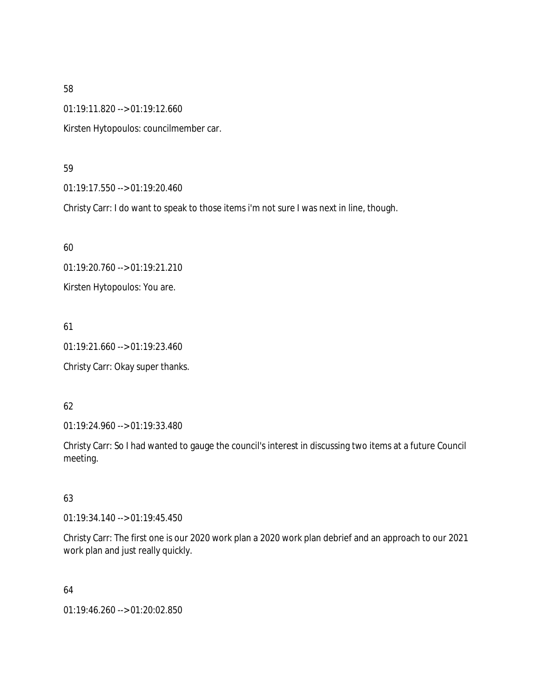01:19:11.820 --> 01:19:12.660

Kirsten Hytopoulos: councilmember car.

### 59

01:19:17.550 --> 01:19:20.460

Christy Carr: I do want to speak to those items i'm not sure I was next in line, though.

60 01:19:20.760 --> 01:19:21.210 Kirsten Hytopoulos: You are.

61

01:19:21.660 --> 01:19:23.460

Christy Carr: Okay super thanks.

## 62

01:19:24.960 --> 01:19:33.480

Christy Carr: So I had wanted to gauge the council's interest in discussing two items at a future Council meeting.

## 63

01:19:34.140 --> 01:19:45.450

Christy Carr: The first one is our 2020 work plan a 2020 work plan debrief and an approach to our 2021 work plan and just really quickly.

64

01:19:46.260 --> 01:20:02.850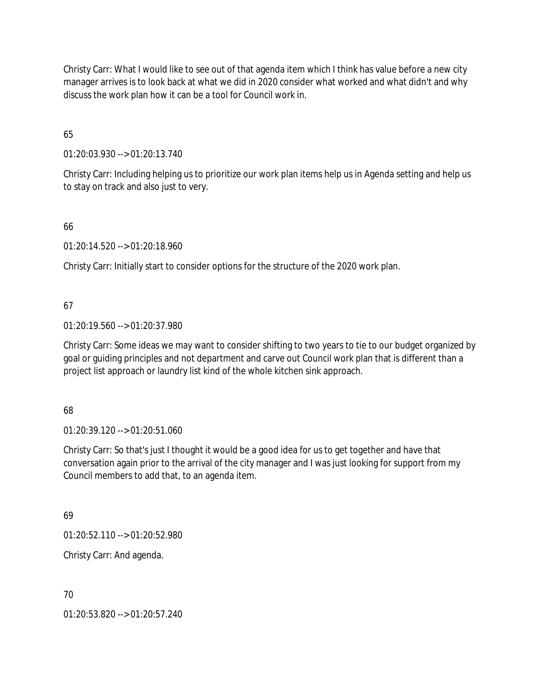Christy Carr: What I would like to see out of that agenda item which I think has value before a new city manager arrives is to look back at what we did in 2020 consider what worked and what didn't and why discuss the work plan how it can be a tool for Council work in.

65

01:20:03.930 --> 01:20:13.740

Christy Carr: Including helping us to prioritize our work plan items help us in Agenda setting and help us to stay on track and also just to very.

66

01:20:14.520 --> 01:20:18.960

Christy Carr: Initially start to consider options for the structure of the 2020 work plan.

67

01:20:19.560 --> 01:20:37.980

Christy Carr: Some ideas we may want to consider shifting to two years to tie to our budget organized by goal or guiding principles and not department and carve out Council work plan that is different than a project list approach or laundry list kind of the whole kitchen sink approach.

68

01:20:39.120 --> 01:20:51.060

Christy Carr: So that's just I thought it would be a good idea for us to get together and have that conversation again prior to the arrival of the city manager and I was just looking for support from my Council members to add that, to an agenda item.

69

01:20:52.110 --> 01:20:52.980

Christy Carr: And agenda.

70

01:20:53.820 --> 01:20:57.240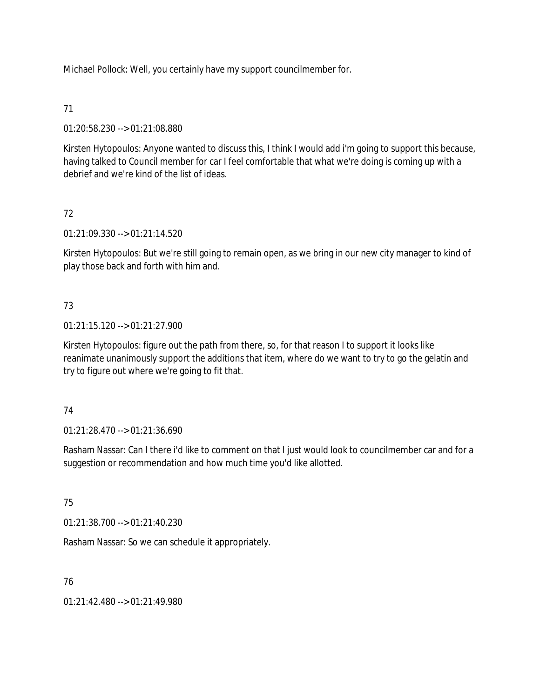Michael Pollock: Well, you certainly have my support councilmember for.

## 71

01:20:58.230 --> 01:21:08.880

Kirsten Hytopoulos: Anyone wanted to discuss this, I think I would add i'm going to support this because, having talked to Council member for car I feel comfortable that what we're doing is coming up with a debrief and we're kind of the list of ideas.

## 72

01:21:09.330 --> 01:21:14.520

Kirsten Hytopoulos: But we're still going to remain open, as we bring in our new city manager to kind of play those back and forth with him and.

## 73

01:21:15.120 --> 01:21:27.900

Kirsten Hytopoulos: figure out the path from there, so, for that reason I to support it looks like reanimate unanimously support the additions that item, where do we want to try to go the gelatin and try to figure out where we're going to fit that.

## 74

01:21:28.470 --> 01:21:36.690

Rasham Nassar: Can I there i'd like to comment on that I just would look to councilmember car and for a suggestion or recommendation and how much time you'd like allotted.

# 75

01:21:38.700 --> 01:21:40.230

Rasham Nassar: So we can schedule it appropriately.

## 76

01:21:42.480 --> 01:21:49.980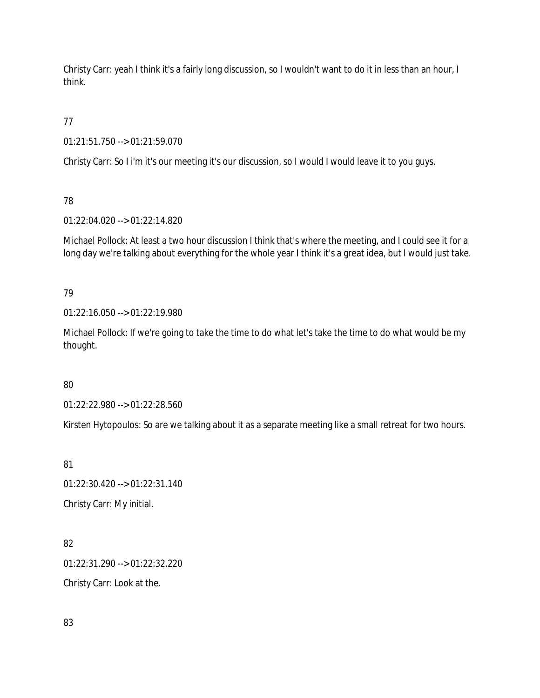Christy Carr: yeah I think it's a fairly long discussion, so I wouldn't want to do it in less than an hour, I think.

77

01:21:51.750 --> 01:21:59.070

Christy Carr: So I i'm it's our meeting it's our discussion, so I would I would leave it to you guys.

78

01:22:04.020 --> 01:22:14.820

Michael Pollock: At least a two hour discussion I think that's where the meeting, and I could see it for a long day we're talking about everything for the whole year I think it's a great idea, but I would just take.

79

01:22:16.050 --> 01:22:19.980

Michael Pollock: If we're going to take the time to do what let's take the time to do what would be my thought.

80

01:22:22.980 --> 01:22:28.560

Kirsten Hytopoulos: So are we talking about it as a separate meeting like a small retreat for two hours.

81

01:22:30.420 --> 01:22:31.140 Christy Carr: My initial.

82 01:22:31.290 --> 01:22:32.220 Christy Carr: Look at the.

83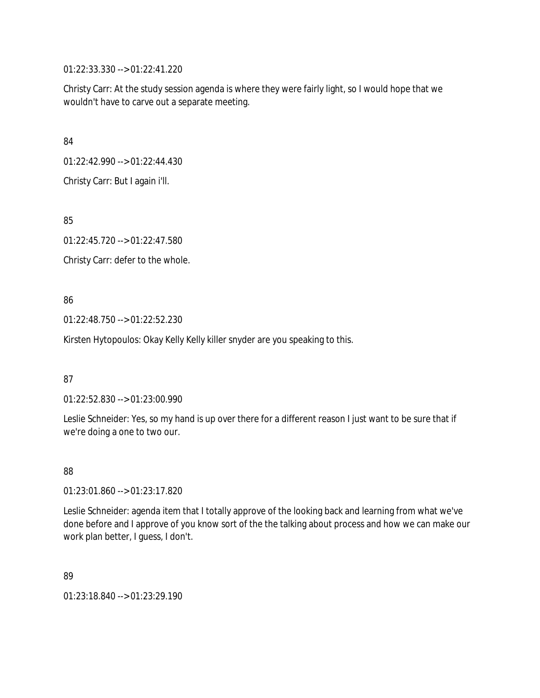01:22:33.330 --> 01:22:41.220

Christy Carr: At the study session agenda is where they were fairly light, so I would hope that we wouldn't have to carve out a separate meeting.

84

01:22:42.990 --> 01:22:44.430

Christy Carr: But I again i'll.

85

01:22:45.720 --> 01:22:47.580

Christy Carr: defer to the whole.

86

01:22:48.750 --> 01:22:52.230

Kirsten Hytopoulos: Okay Kelly Kelly killer snyder are you speaking to this.

87

01:22:52.830 --> 01:23:00.990

Leslie Schneider: Yes, so my hand is up over there for a different reason I just want to be sure that if we're doing a one to two our.

88

01:23:01.860 --> 01:23:17.820

Leslie Schneider: agenda item that I totally approve of the looking back and learning from what we've done before and I approve of you know sort of the the talking about process and how we can make our work plan better, I guess, I don't.

89

01:23:18.840 --> 01:23:29.190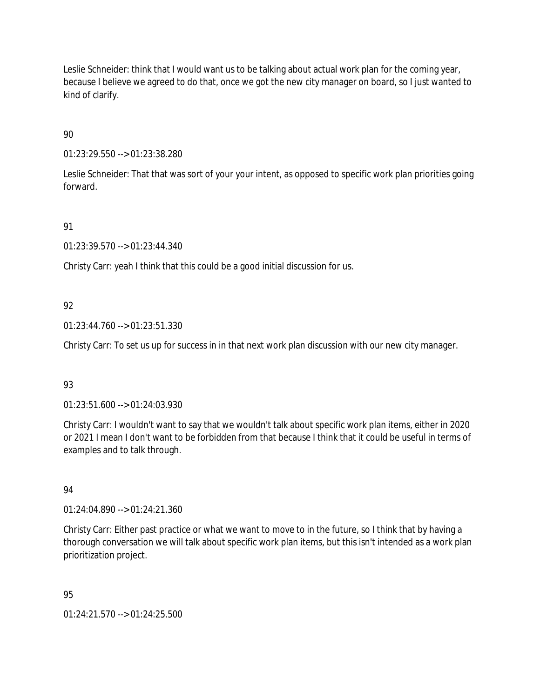Leslie Schneider: think that I would want us to be talking about actual work plan for the coming year, because I believe we agreed to do that, once we got the new city manager on board, so I just wanted to kind of clarify.

90

01:23:29.550 --> 01:23:38.280

Leslie Schneider: That that was sort of your your intent, as opposed to specific work plan priorities going forward.

91

01:23:39.570 --> 01:23:44.340

Christy Carr: yeah I think that this could be a good initial discussion for us.

## 92

01:23:44.760 --> 01:23:51.330

Christy Carr: To set us up for success in in that next work plan discussion with our new city manager.

## 93

01:23:51.600 --> 01:24:03.930

Christy Carr: I wouldn't want to say that we wouldn't talk about specific work plan items, either in 2020 or 2021 I mean I don't want to be forbidden from that because I think that it could be useful in terms of examples and to talk through.

## 94

01:24:04.890 --> 01:24:21.360

Christy Carr: Either past practice or what we want to move to in the future, so I think that by having a thorough conversation we will talk about specific work plan items, but this isn't intended as a work plan prioritization project.

## 95

01:24:21.570 --> 01:24:25.500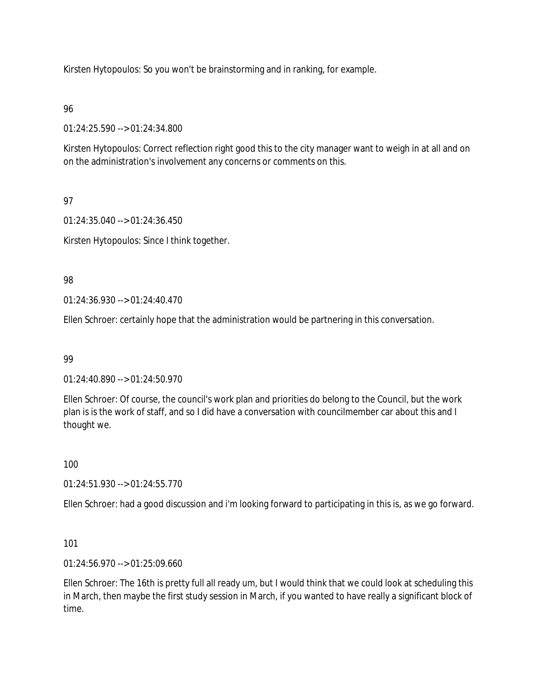Kirsten Hytopoulos: So you won't be brainstorming and in ranking, for example.

96

01:24:25.590 --> 01:24:34.800

Kirsten Hytopoulos: Correct reflection right good this to the city manager want to weigh in at all and on on the administration's involvement any concerns or comments on this.

97

01:24:35.040 --> 01:24:36.450

Kirsten Hytopoulos: Since I think together.

98

01:24:36.930 --> 01:24:40.470

Ellen Schroer: certainly hope that the administration would be partnering in this conversation.

99

01:24:40.890 --> 01:24:50.970

Ellen Schroer: Of course, the council's work plan and priorities do belong to the Council, but the work plan is is the work of staff, and so I did have a conversation with councilmember car about this and I thought we.

100

01:24:51.930 --> 01:24:55.770

Ellen Schroer: had a good discussion and i'm looking forward to participating in this is, as we go forward.

101

01:24:56.970 --> 01:25:09.660

Ellen Schroer: The 16th is pretty full all ready um, but I would think that we could look at scheduling this in March, then maybe the first study session in March, if you wanted to have really a significant block of time.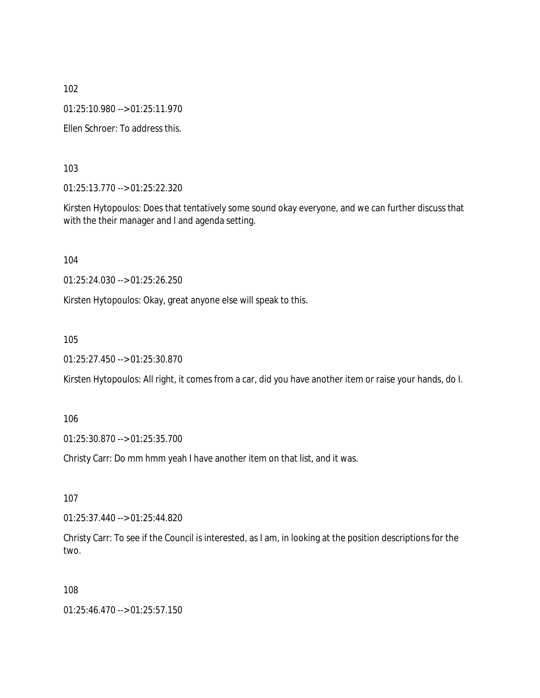01:25:10.980 --> 01:25:11.970

Ellen Schroer: To address this.

103

01:25:13.770 --> 01:25:22.320

Kirsten Hytopoulos: Does that tentatively some sound okay everyone, and we can further discuss that with the their manager and I and agenda setting.

104

01:25:24.030 --> 01:25:26.250

Kirsten Hytopoulos: Okay, great anyone else will speak to this.

105

01:25:27.450 --> 01:25:30.870

Kirsten Hytopoulos: All right, it comes from a car, did you have another item or raise your hands, do I.

106

01:25:30.870 --> 01:25:35.700

Christy Carr: Do mm hmm yeah I have another item on that list, and it was.

107

01:25:37.440 --> 01:25:44.820

Christy Carr: To see if the Council is interested, as I am, in looking at the position descriptions for the two.

108

01:25:46.470 --> 01:25:57.150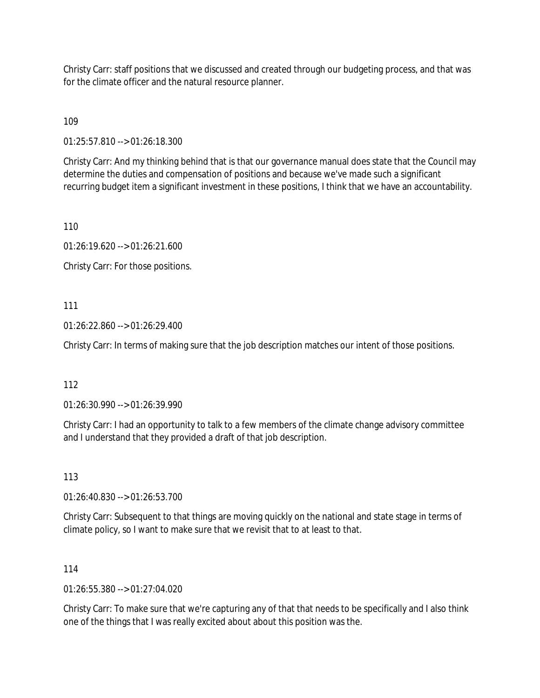Christy Carr: staff positions that we discussed and created through our budgeting process, and that was for the climate officer and the natural resource planner.

109

01:25:57.810 --> 01:26:18.300

Christy Carr: And my thinking behind that is that our governance manual does state that the Council may determine the duties and compensation of positions and because we've made such a significant recurring budget item a significant investment in these positions, I think that we have an accountability.

110

01:26:19.620 --> 01:26:21.600

Christy Carr: For those positions.

### 111

01:26:22.860 --> 01:26:29.400

Christy Carr: In terms of making sure that the job description matches our intent of those positions.

## 112

01:26:30.990 --> 01:26:39.990

Christy Carr: I had an opportunity to talk to a few members of the climate change advisory committee and I understand that they provided a draft of that job description.

113

01:26:40.830 --> 01:26:53.700

Christy Carr: Subsequent to that things are moving quickly on the national and state stage in terms of climate policy, so I want to make sure that we revisit that to at least to that.

### 114

 $01:26:55.380 \rightarrow 01:27:04.020$ 

Christy Carr: To make sure that we're capturing any of that that needs to be specifically and I also think one of the things that I was really excited about about this position was the.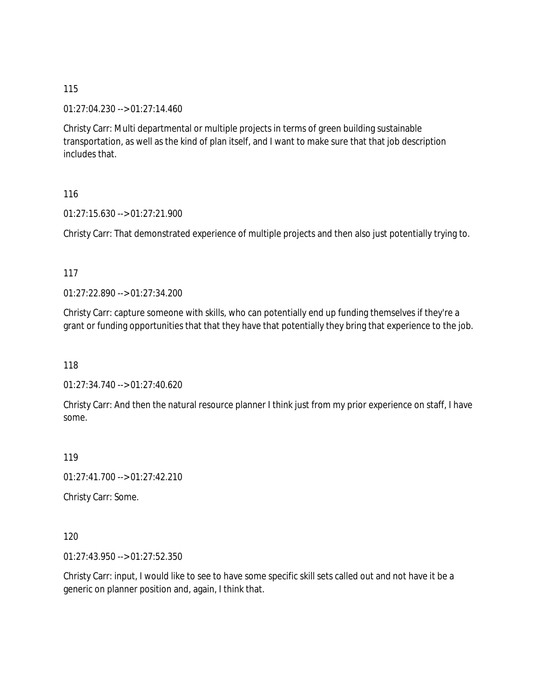01:27:04.230 --> 01:27:14.460

Christy Carr: Multi departmental or multiple projects in terms of green building sustainable transportation, as well as the kind of plan itself, and I want to make sure that that job description includes that.

116

01:27:15.630 --> 01:27:21.900

Christy Carr: That demonstrated experience of multiple projects and then also just potentially trying to.

117

01:27:22.890 --> 01:27:34.200

Christy Carr: capture someone with skills, who can potentially end up funding themselves if they're a grant or funding opportunities that that they have that potentially they bring that experience to the job.

118

01:27:34.740 --> 01:27:40.620

Christy Carr: And then the natural resource planner I think just from my prior experience on staff, I have some.

119

01:27:41.700 --> 01:27:42.210

Christy Carr: Some.

120

01:27:43.950 --> 01:27:52.350

Christy Carr: input, I would like to see to have some specific skill sets called out and not have it be a generic on planner position and, again, I think that.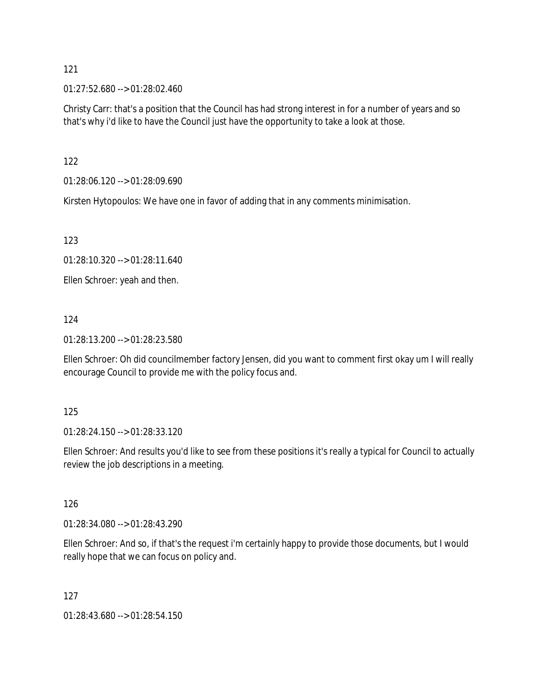01:27:52.680 --> 01:28:02.460

Christy Carr: that's a position that the Council has had strong interest in for a number of years and so that's why i'd like to have the Council just have the opportunity to take a look at those.

122

01:28:06.120 --> 01:28:09.690

Kirsten Hytopoulos: We have one in favor of adding that in any comments minimisation.

123

01:28:10.320 --> 01:28:11.640

Ellen Schroer: yeah and then.

124

01:28:13.200 --> 01:28:23.580

Ellen Schroer: Oh did councilmember factory Jensen, did you want to comment first okay um I will really encourage Council to provide me with the policy focus and.

125

01:28:24.150 --> 01:28:33.120

Ellen Schroer: And results you'd like to see from these positions it's really a typical for Council to actually review the job descriptions in a meeting.

126

01:28:34.080 --> 01:28:43.290

Ellen Schroer: And so, if that's the request i'm certainly happy to provide those documents, but I would really hope that we can focus on policy and.

127

01:28:43.680 --> 01:28:54.150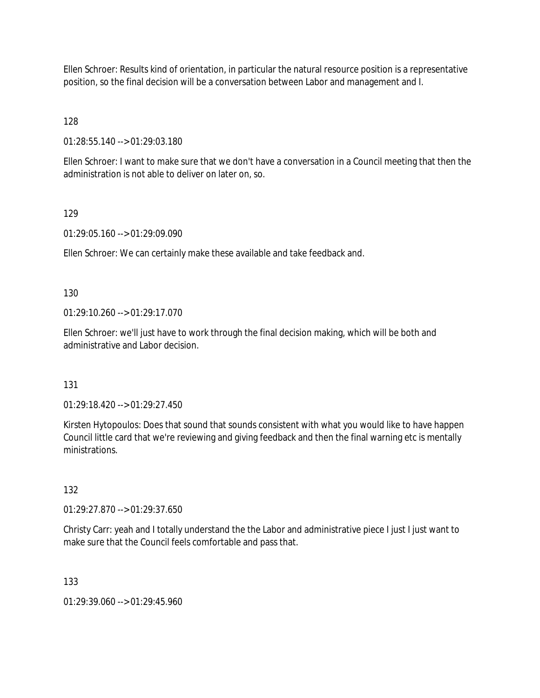Ellen Schroer: Results kind of orientation, in particular the natural resource position is a representative position, so the final decision will be a conversation between Labor and management and I.

128

01:28:55.140 --> 01:29:03.180

Ellen Schroer: I want to make sure that we don't have a conversation in a Council meeting that then the administration is not able to deliver on later on, so.

## 129

01:29:05.160 --> 01:29:09.090

Ellen Schroer: We can certainly make these available and take feedback and.

130

01:29:10.260 --> 01:29:17.070

Ellen Schroer: we'll just have to work through the final decision making, which will be both and administrative and Labor decision.

131

01:29:18.420 --> 01:29:27.450

Kirsten Hytopoulos: Does that sound that sounds consistent with what you would like to have happen Council little card that we're reviewing and giving feedback and then the final warning etc is mentally ministrations.

132

01:29:27.870 --> 01:29:37.650

Christy Carr: yeah and I totally understand the the Labor and administrative piece I just I just want to make sure that the Council feels comfortable and pass that.

133

01:29:39.060 --> 01:29:45.960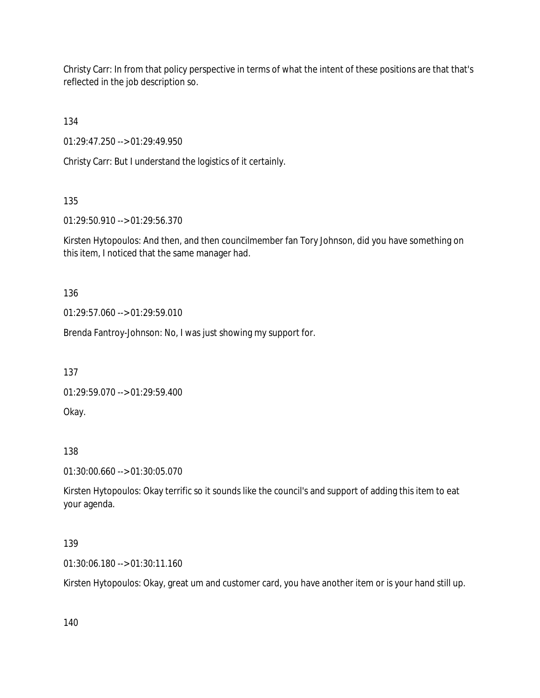Christy Carr: In from that policy perspective in terms of what the intent of these positions are that that's reflected in the job description so.

134

01:29:47.250 --> 01:29:49.950

Christy Carr: But I understand the logistics of it certainly.

135

01:29:50.910 --> 01:29:56.370

Kirsten Hytopoulos: And then, and then councilmember fan Tory Johnson, did you have something on this item, I noticed that the same manager had.

136

01:29:57.060 --> 01:29:59.010

Brenda Fantroy-Johnson: No, I was just showing my support for.

137

01:29:59.070 --> 01:29:59.400

Okay.

138

01:30:00.660 --> 01:30:05.070

Kirsten Hytopoulos: Okay terrific so it sounds like the council's and support of adding this item to eat your agenda.

### 139

01:30:06.180 --> 01:30:11.160

Kirsten Hytopoulos: Okay, great um and customer card, you have another item or is your hand still up.

140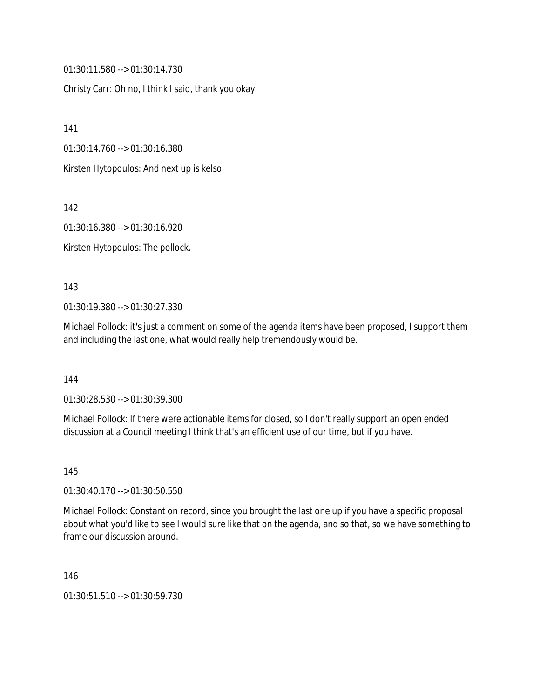01:30:11.580 --> 01:30:14.730

Christy Carr: Oh no, I think I said, thank you okay.

141

01:30:14.760 --> 01:30:16.380

Kirsten Hytopoulos: And next up is kelso.

142

01:30:16.380 --> 01:30:16.920

Kirsten Hytopoulos: The pollock.

#### 143

01:30:19.380 --> 01:30:27.330

Michael Pollock: it's just a comment on some of the agenda items have been proposed, I support them and including the last one, what would really help tremendously would be.

144

01:30:28.530 --> 01:30:39.300

Michael Pollock: If there were actionable items for closed, so I don't really support an open ended discussion at a Council meeting I think that's an efficient use of our time, but if you have.

145

01:30:40.170 --> 01:30:50.550

Michael Pollock: Constant on record, since you brought the last one up if you have a specific proposal about what you'd like to see I would sure like that on the agenda, and so that, so we have something to frame our discussion around.

146

01:30:51.510 --> 01:30:59.730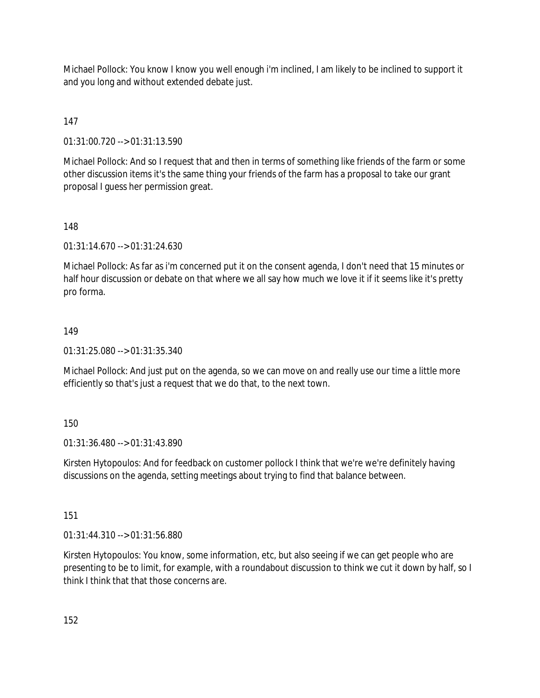Michael Pollock: You know I know you well enough i'm inclined, I am likely to be inclined to support it and you long and without extended debate just.

## 147

01:31:00.720 --> 01:31:13.590

Michael Pollock: And so I request that and then in terms of something like friends of the farm or some other discussion items it's the same thing your friends of the farm has a proposal to take our grant proposal I guess her permission great.

### 148

01:31:14.670 --> 01:31:24.630

Michael Pollock: As far as i'm concerned put it on the consent agenda, I don't need that 15 minutes or half hour discussion or debate on that where we all say how much we love it if it seems like it's pretty pro forma.

## 149

01:31:25.080 --> 01:31:35.340

Michael Pollock: And just put on the agenda, so we can move on and really use our time a little more efficiently so that's just a request that we do that, to the next town.

## 150

01:31:36.480 --> 01:31:43.890

Kirsten Hytopoulos: And for feedback on customer pollock I think that we're we're definitely having discussions on the agenda, setting meetings about trying to find that balance between.

## 151

01:31:44.310 --> 01:31:56.880

Kirsten Hytopoulos: You know, some information, etc, but also seeing if we can get people who are presenting to be to limit, for example, with a roundabout discussion to think we cut it down by half, so I think I think that that those concerns are.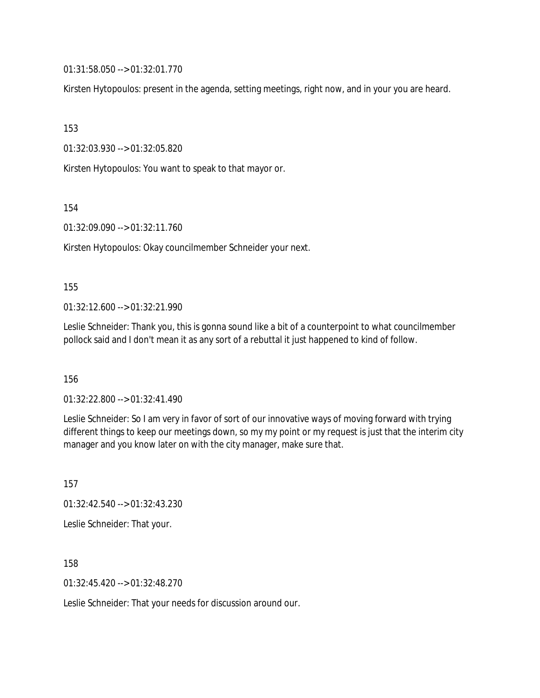01:31:58.050 --> 01:32:01.770

Kirsten Hytopoulos: present in the agenda, setting meetings, right now, and in your you are heard.

153

01:32:03.930 --> 01:32:05.820

Kirsten Hytopoulos: You want to speak to that mayor or.

154

01:32:09.090 --> 01:32:11.760

Kirsten Hytopoulos: Okay councilmember Schneider your next.

#### 155

01:32:12.600 --> 01:32:21.990

Leslie Schneider: Thank you, this is gonna sound like a bit of a counterpoint to what councilmember pollock said and I don't mean it as any sort of a rebuttal it just happened to kind of follow.

156

01:32:22.800 --> 01:32:41.490

Leslie Schneider: So I am very in favor of sort of our innovative ways of moving forward with trying different things to keep our meetings down, so my my point or my request is just that the interim city manager and you know later on with the city manager, make sure that.

157 01:32:42.540 --> 01:32:43.230 Leslie Schneider: That your.

158

01:32:45.420 --> 01:32:48.270

Leslie Schneider: That your needs for discussion around our.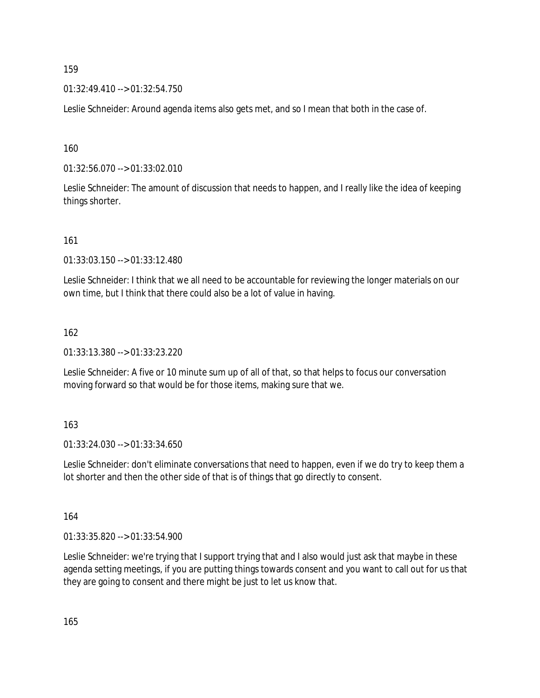01:32:49.410 --> 01:32:54.750

Leslie Schneider: Around agenda items also gets met, and so I mean that both in the case of.

160

01:32:56.070 --> 01:33:02.010

Leslie Schneider: The amount of discussion that needs to happen, and I really like the idea of keeping things shorter.

161

01:33:03.150 --> 01:33:12.480

Leslie Schneider: I think that we all need to be accountable for reviewing the longer materials on our own time, but I think that there could also be a lot of value in having.

162

01:33:13.380 --> 01:33:23.220

Leslie Schneider: A five or 10 minute sum up of all of that, so that helps to focus our conversation moving forward so that would be for those items, making sure that we.

163

01:33:24.030 --> 01:33:34.650

Leslie Schneider: don't eliminate conversations that need to happen, even if we do try to keep them a lot shorter and then the other side of that is of things that go directly to consent.

164

01:33:35.820 --> 01:33:54.900

Leslie Schneider: we're trying that I support trying that and I also would just ask that maybe in these agenda setting meetings, if you are putting things towards consent and you want to call out for us that they are going to consent and there might be just to let us know that.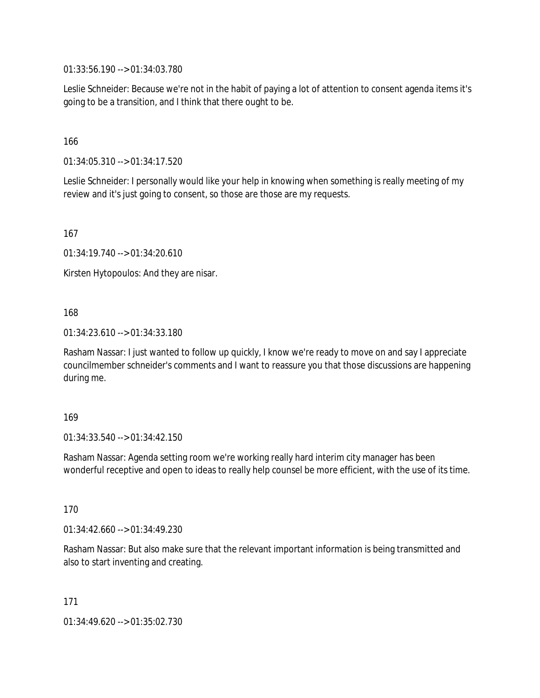01:33:56.190 --> 01:34:03.780

Leslie Schneider: Because we're not in the habit of paying a lot of attention to consent agenda items it's going to be a transition, and I think that there ought to be.

166

01:34:05.310 --> 01:34:17.520

Leslie Schneider: I personally would like your help in knowing when something is really meeting of my review and it's just going to consent, so those are those are my requests.

167

01:34:19.740 --> 01:34:20.610

Kirsten Hytopoulos: And they are nisar.

168

01:34:23.610 --> 01:34:33.180

Rasham Nassar: I just wanted to follow up quickly, I know we're ready to move on and say I appreciate councilmember schneider's comments and I want to reassure you that those discussions are happening during me.

169

01:34:33.540 --> 01:34:42.150

Rasham Nassar: Agenda setting room we're working really hard interim city manager has been wonderful receptive and open to ideas to really help counsel be more efficient, with the use of its time.

170

01:34:42.660 --> 01:34:49.230

Rasham Nassar: But also make sure that the relevant important information is being transmitted and also to start inventing and creating.

171

01:34:49.620 --> 01:35:02.730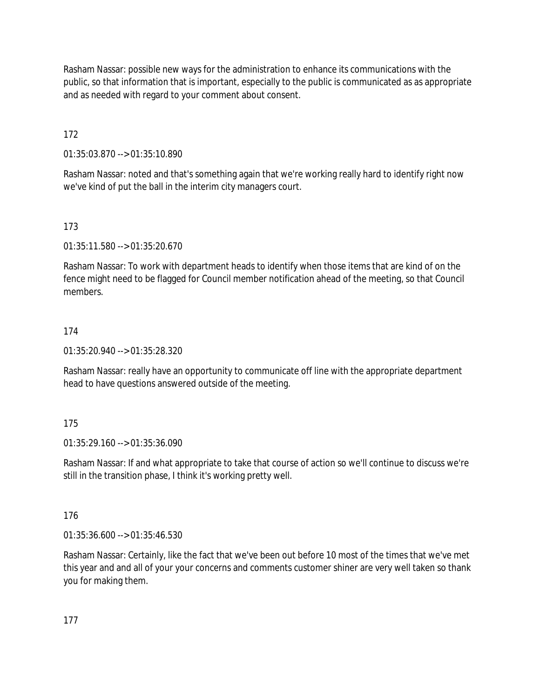Rasham Nassar: possible new ways for the administration to enhance its communications with the public, so that information that is important, especially to the public is communicated as as appropriate and as needed with regard to your comment about consent.

172

01:35:03.870 --> 01:35:10.890

Rasham Nassar: noted and that's something again that we're working really hard to identify right now we've kind of put the ball in the interim city managers court.

## 173

01:35:11.580 --> 01:35:20.670

Rasham Nassar: To work with department heads to identify when those items that are kind of on the fence might need to be flagged for Council member notification ahead of the meeting, so that Council members.

## 174

01:35:20.940 --> 01:35:28.320

Rasham Nassar: really have an opportunity to communicate off line with the appropriate department head to have questions answered outside of the meeting.

## 175

01:35:29.160 --> 01:35:36.090

Rasham Nassar: If and what appropriate to take that course of action so we'll continue to discuss we're still in the transition phase, I think it's working pretty well.

## 176

01:35:36.600 --> 01:35:46.530

Rasham Nassar: Certainly, like the fact that we've been out before 10 most of the times that we've met this year and and all of your your concerns and comments customer shiner are very well taken so thank you for making them.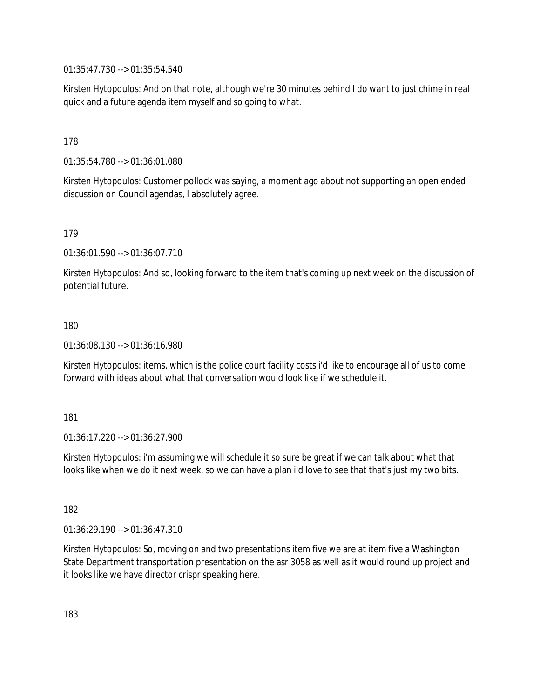01:35:47.730 --> 01:35:54.540

Kirsten Hytopoulos: And on that note, although we're 30 minutes behind I do want to just chime in real quick and a future agenda item myself and so going to what.

### 178

01:35:54.780 --> 01:36:01.080

Kirsten Hytopoulos: Customer pollock was saying, a moment ago about not supporting an open ended discussion on Council agendas, I absolutely agree.

### 179

01:36:01.590 --> 01:36:07.710

Kirsten Hytopoulos: And so, looking forward to the item that's coming up next week on the discussion of potential future.

### 180

01:36:08.130 --> 01:36:16.980

Kirsten Hytopoulos: items, which is the police court facility costs i'd like to encourage all of us to come forward with ideas about what that conversation would look like if we schedule it.

### 181

01:36:17.220 --> 01:36:27.900

Kirsten Hytopoulos: i'm assuming we will schedule it so sure be great if we can talk about what that looks like when we do it next week, so we can have a plan i'd love to see that that's just my two bits.

182

01:36:29.190 --> 01:36:47.310

Kirsten Hytopoulos: So, moving on and two presentations item five we are at item five a Washington State Department transportation presentation on the asr 3058 as well as it would round up project and it looks like we have director crispr speaking here.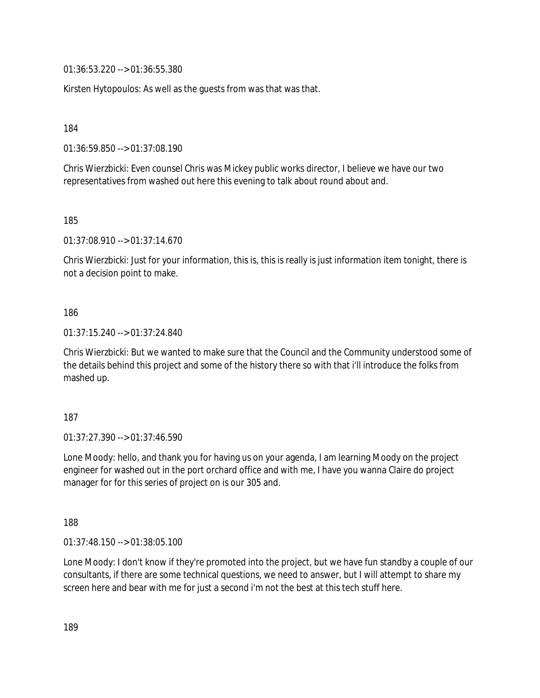01:36:53.220 --> 01:36:55.380

Kirsten Hytopoulos: As well as the guests from was that was that.

184

01:36:59.850 --> 01:37:08.190

Chris Wierzbicki: Even counsel Chris was Mickey public works director, I believe we have our two representatives from washed out here this evening to talk about round about and.

185

01:37:08.910 --> 01:37:14.670

Chris Wierzbicki: Just for your information, this is, this is really is just information item tonight, there is not a decision point to make.

186

01:37:15.240 --> 01:37:24.840

Chris Wierzbicki: But we wanted to make sure that the Council and the Community understood some of the details behind this project and some of the history there so with that i'll introduce the folks from mashed up.

187

01:37:27.390 --> 01:37:46.590

Lone Moody: hello, and thank you for having us on your agenda, I am learning Moody on the project engineer for washed out in the port orchard office and with me, I have you wanna Claire do project manager for for this series of project on is our 305 and.

188

01:37:48.150 --> 01:38:05.100

Lone Moody: I don't know if they're promoted into the project, but we have fun standby a couple of our consultants, if there are some technical questions, we need to answer, but I will attempt to share my screen here and bear with me for just a second i'm not the best at this tech stuff here.

189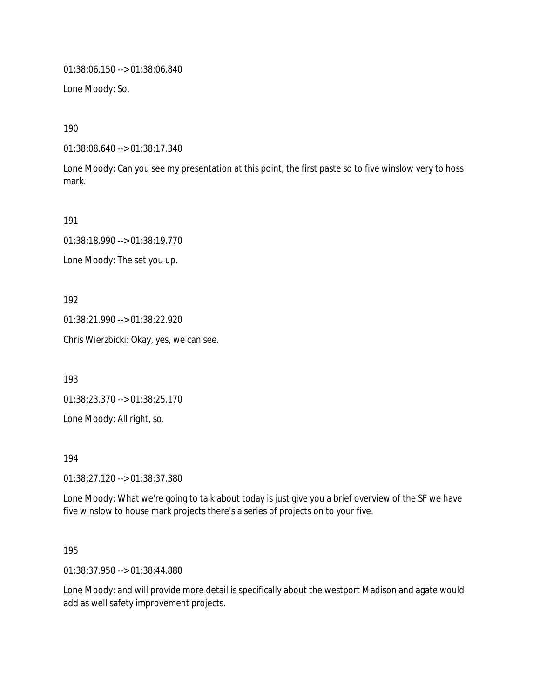01:38:06.150 --> 01:38:06.840

Lone Moody: So.

190

01:38:08.640 --> 01:38:17.340

Lone Moody: Can you see my presentation at this point, the first paste so to five winslow very to hoss mark.

191

01:38:18.990 --> 01:38:19.770

Lone Moody: The set you up.

192

01:38:21.990 --> 01:38:22.920

Chris Wierzbicki: Okay, yes, we can see.

193

01:38:23.370 --> 01:38:25.170

Lone Moody: All right, so.

194

01:38:27.120 --> 01:38:37.380

Lone Moody: What we're going to talk about today is just give you a brief overview of the SF we have five winslow to house mark projects there's a series of projects on to your five.

195

01:38:37.950 --> 01:38:44.880

Lone Moody: and will provide more detail is specifically about the westport Madison and agate would add as well safety improvement projects.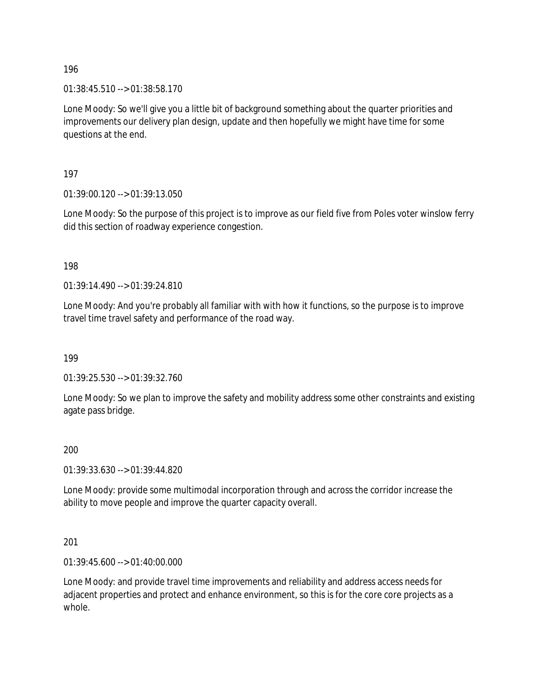01:38:45.510 --> 01:38:58.170

Lone Moody: So we'll give you a little bit of background something about the quarter priorities and improvements our delivery plan design, update and then hopefully we might have time for some questions at the end.

197

01:39:00.120 --> 01:39:13.050

Lone Moody: So the purpose of this project is to improve as our field five from Poles voter winslow ferry did this section of roadway experience congestion.

198

01:39:14.490 --> 01:39:24.810

Lone Moody: And you're probably all familiar with with how it functions, so the purpose is to improve travel time travel safety and performance of the road way.

199

01:39:25.530 --> 01:39:32.760

Lone Moody: So we plan to improve the safety and mobility address some other constraints and existing agate pass bridge.

200

01:39:33.630 --> 01:39:44.820

Lone Moody: provide some multimodal incorporation through and across the corridor increase the ability to move people and improve the quarter capacity overall.

201

01:39:45.600 --> 01:40:00.000

Lone Moody: and provide travel time improvements and reliability and address access needs for adjacent properties and protect and enhance environment, so this is for the core core projects as a whole.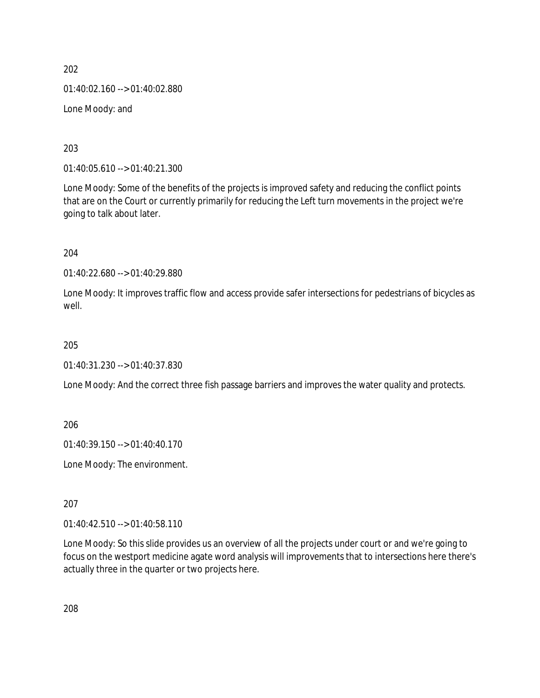202 01:40:02.160 --> 01:40:02.880 Lone Moody: and

203

01:40:05.610 --> 01:40:21.300

Lone Moody: Some of the benefits of the projects is improved safety and reducing the conflict points that are on the Court or currently primarily for reducing the Left turn movements in the project we're going to talk about later.

204

01:40:22.680 --> 01:40:29.880

Lone Moody: It improves traffic flow and access provide safer intersections for pedestrians of bicycles as well.

205

01:40:31.230 --> 01:40:37.830

Lone Moody: And the correct three fish passage barriers and improves the water quality and protects.

206

01:40:39.150 --> 01:40:40.170

Lone Moody: The environment.

207

01:40:42.510 --> 01:40:58.110

Lone Moody: So this slide provides us an overview of all the projects under court or and we're going to focus on the westport medicine agate word analysis will improvements that to intersections here there's actually three in the quarter or two projects here.

208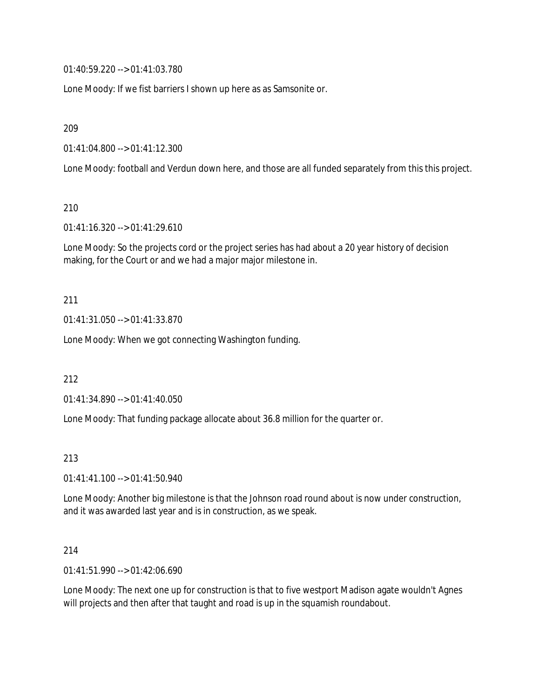01:40:59.220 --> 01:41:03.780

Lone Moody: If we fist barriers I shown up here as as Samsonite or.

209

01:41:04.800 --> 01:41:12.300

Lone Moody: football and Verdun down here, and those are all funded separately from this this project.

210

01:41:16.320 --> 01:41:29.610

Lone Moody: So the projects cord or the project series has had about a 20 year history of decision making, for the Court or and we had a major major milestone in.

### 211

01:41:31.050 --> 01:41:33.870

Lone Moody: When we got connecting Washington funding.

212

01:41:34.890 --> 01:41:40.050

Lone Moody: That funding package allocate about 36.8 million for the quarter or.

### 213

01:41:41.100 --> 01:41:50.940

Lone Moody: Another big milestone is that the Johnson road round about is now under construction, and it was awarded last year and is in construction, as we speak.

### 214

01:41:51.990 --> 01:42:06.690

Lone Moody: The next one up for construction is that to five westport Madison agate wouldn't Agnes will projects and then after that taught and road is up in the squamish roundabout.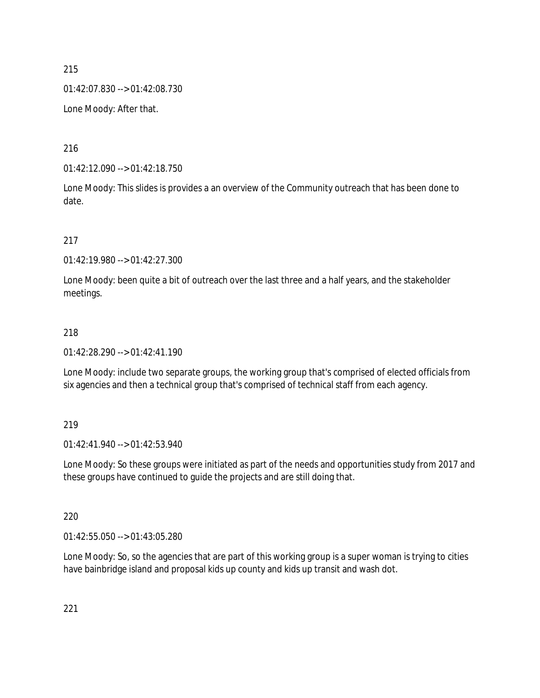01:42:07.830 --> 01:42:08.730

Lone Moody: After that.

216

01:42:12.090 --> 01:42:18.750

Lone Moody: This slides is provides a an overview of the Community outreach that has been done to date.

217

01:42:19.980 --> 01:42:27.300

Lone Moody: been quite a bit of outreach over the last three and a half years, and the stakeholder meetings.

#### 218

01:42:28.290 --> 01:42:41.190

Lone Moody: include two separate groups, the working group that's comprised of elected officials from six agencies and then a technical group that's comprised of technical staff from each agency.

#### 219

01:42:41.940 --> 01:42:53.940

Lone Moody: So these groups were initiated as part of the needs and opportunities study from 2017 and these groups have continued to guide the projects and are still doing that.

#### 220

01:42:55.050 --> 01:43:05.280

Lone Moody: So, so the agencies that are part of this working group is a super woman is trying to cities have bainbridge island and proposal kids up county and kids up transit and wash dot.

221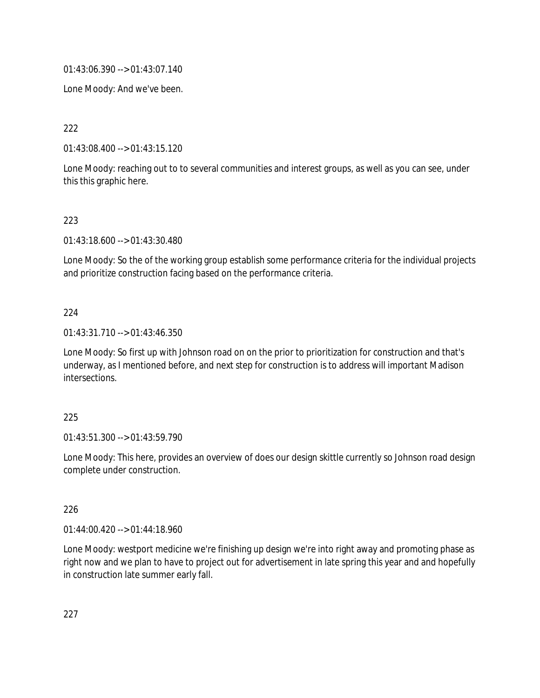01:43:06.390 --> 01:43:07.140

Lone Moody: And we've been.

222

01:43:08.400 --> 01:43:15.120

Lone Moody: reaching out to to several communities and interest groups, as well as you can see, under this this graphic here.

### 223

01:43:18.600 --> 01:43:30.480

Lone Moody: So the of the working group establish some performance criteria for the individual projects and prioritize construction facing based on the performance criteria.

### 224

01:43:31.710 --> 01:43:46.350

Lone Moody: So first up with Johnson road on on the prior to prioritization for construction and that's underway, as I mentioned before, and next step for construction is to address will important Madison intersections.

### 225

01:43:51.300 --> 01:43:59.790

Lone Moody: This here, provides an overview of does our design skittle currently so Johnson road design complete under construction.

### 226

01:44:00.420 --> 01:44:18.960

Lone Moody: westport medicine we're finishing up design we're into right away and promoting phase as right now and we plan to have to project out for advertisement in late spring this year and and hopefully in construction late summer early fall.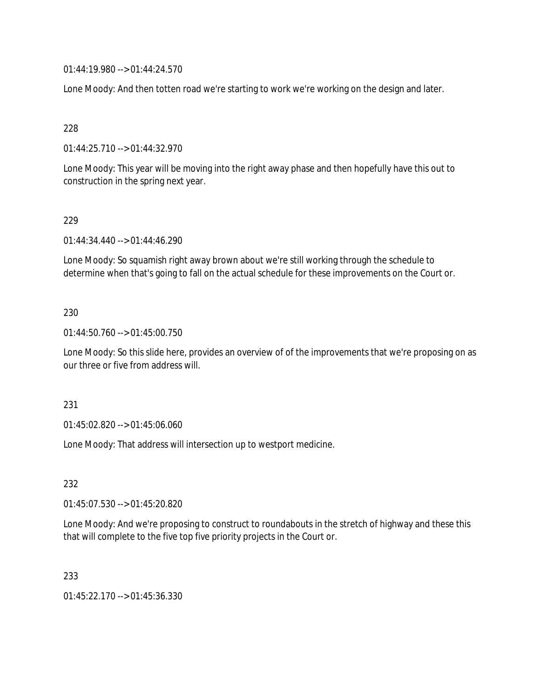01:44:19.980 --> 01:44:24.570

Lone Moody: And then totten road we're starting to work we're working on the design and later.

# 228

01:44:25.710 --> 01:44:32.970

Lone Moody: This year will be moving into the right away phase and then hopefully have this out to construction in the spring next year.

# 229

01:44:34.440 --> 01:44:46.290

Lone Moody: So squamish right away brown about we're still working through the schedule to determine when that's going to fall on the actual schedule for these improvements on the Court or.

# 230

01:44:50.760 --> 01:45:00.750

Lone Moody: So this slide here, provides an overview of of the improvements that we're proposing on as our three or five from address will.

### 231

01:45:02.820 --> 01:45:06.060

Lone Moody: That address will intersection up to westport medicine.

# 232

01:45:07.530 --> 01:45:20.820

Lone Moody: And we're proposing to construct to roundabouts in the stretch of highway and these this that will complete to the five top five priority projects in the Court or.

### 233

01:45:22.170 --> 01:45:36.330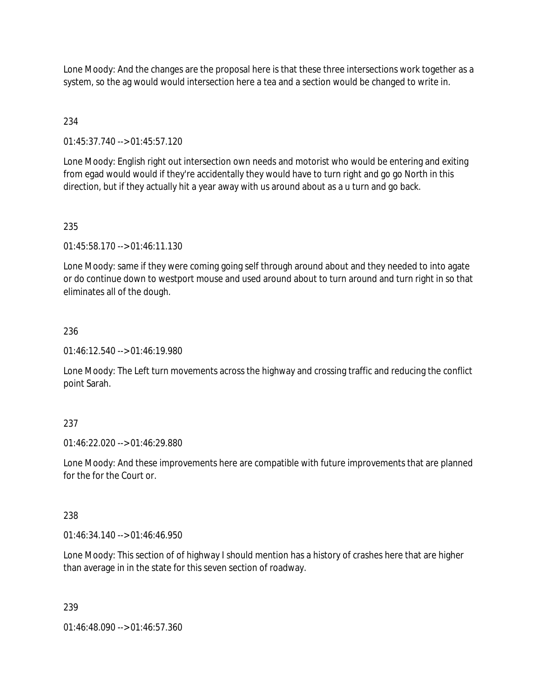Lone Moody: And the changes are the proposal here is that these three intersections work together as a system, so the ag would would intersection here a tea and a section would be changed to write in.

# 234

01:45:37.740 --> 01:45:57.120

Lone Moody: English right out intersection own needs and motorist who would be entering and exiting from egad would would if they're accidentally they would have to turn right and go go North in this direction, but if they actually hit a year away with us around about as a u turn and go back.

# 235

01:45:58.170 --> 01:46:11.130

Lone Moody: same if they were coming going self through around about and they needed to into agate or do continue down to westport mouse and used around about to turn around and turn right in so that eliminates all of the dough.

# 236

01:46:12.540 --> 01:46:19.980

Lone Moody: The Left turn movements across the highway and crossing traffic and reducing the conflict point Sarah.

# 237

01:46:22.020 --> 01:46:29.880

Lone Moody: And these improvements here are compatible with future improvements that are planned for the for the Court or.

# 238

 $01:46:34.140 \rightarrow 01:46:46.950$ 

Lone Moody: This section of of highway I should mention has a history of crashes here that are higher than average in in the state for this seven section of roadway.

# 239

01:46:48.090 --> 01:46:57.360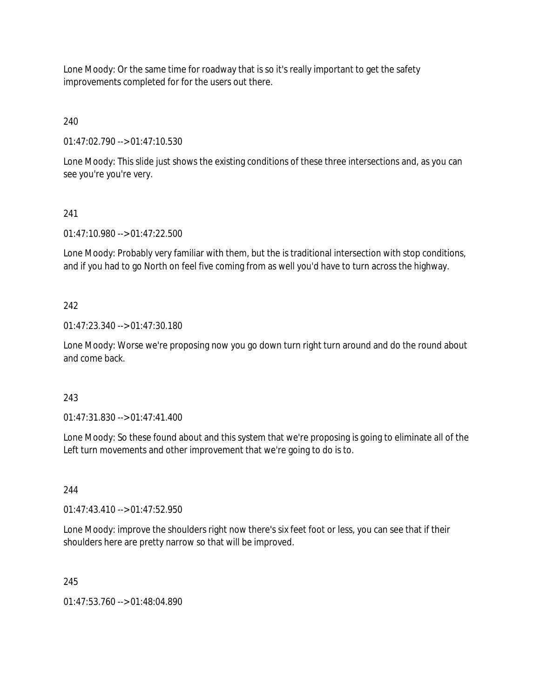Lone Moody: Or the same time for roadway that is so it's really important to get the safety improvements completed for for the users out there.

240

01:47:02.790 --> 01:47:10.530

Lone Moody: This slide just shows the existing conditions of these three intersections and, as you can see you're you're very.

# 241

01:47:10.980 --> 01:47:22.500

Lone Moody: Probably very familiar with them, but the is traditional intersection with stop conditions, and if you had to go North on feel five coming from as well you'd have to turn across the highway.

# 242

01:47:23.340 --> 01:47:30.180

Lone Moody: Worse we're proposing now you go down turn right turn around and do the round about and come back.

# 243

01:47:31.830 --> 01:47:41.400

Lone Moody: So these found about and this system that we're proposing is going to eliminate all of the Left turn movements and other improvement that we're going to do is to.

### 244

01:47:43.410 --> 01:47:52.950

Lone Moody: improve the shoulders right now there's six feet foot or less, you can see that if their shoulders here are pretty narrow so that will be improved.

# 245

01:47:53.760 --> 01:48:04.890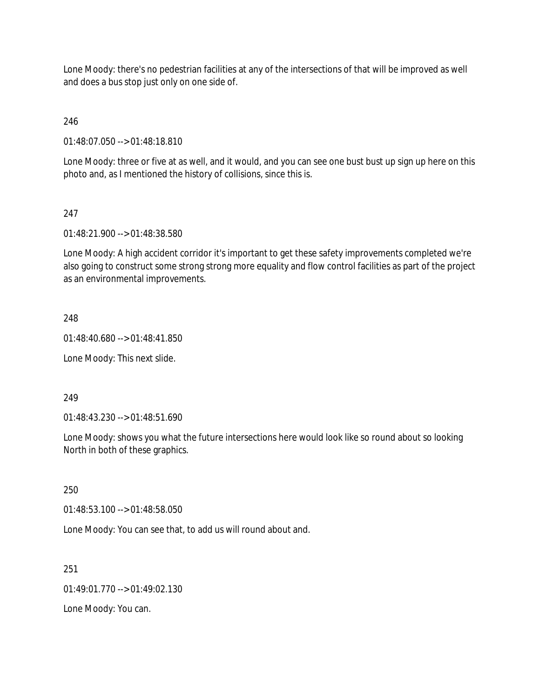Lone Moody: there's no pedestrian facilities at any of the intersections of that will be improved as well and does a bus stop just only on one side of.

246

01:48:07.050 --> 01:48:18.810

Lone Moody: three or five at as well, and it would, and you can see one bust bust up sign up here on this photo and, as I mentioned the history of collisions, since this is.

### 247

01:48:21.900 --> 01:48:38.580

Lone Moody: A high accident corridor it's important to get these safety improvements completed we're also going to construct some strong strong more equality and flow control facilities as part of the project as an environmental improvements.

#### 248

01:48:40.680 --> 01:48:41.850

Lone Moody: This next slide.

#### 249

01:48:43.230 --> 01:48:51.690

Lone Moody: shows you what the future intersections here would look like so round about so looking North in both of these graphics.

250

01:48:53.100 --> 01:48:58.050

Lone Moody: You can see that, to add us will round about and.

251

 $01.49.01.770 -> 01.49.02.130$ 

Lone Moody: You can.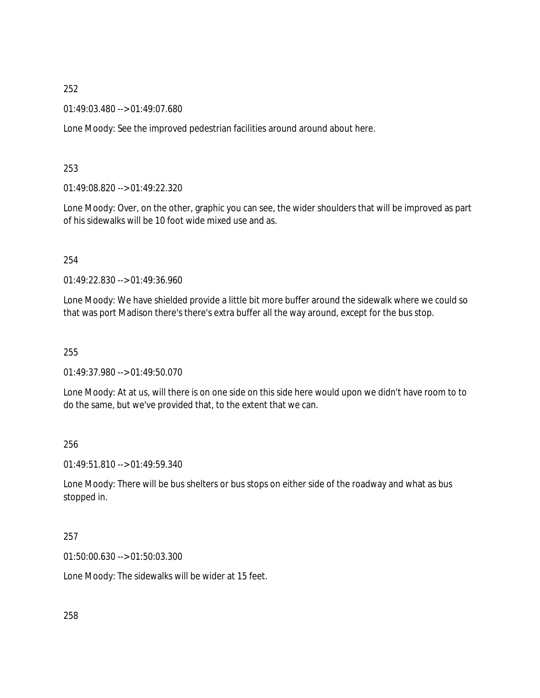01:49:03.480 --> 01:49:07.680

Lone Moody: See the improved pedestrian facilities around around about here.

### 253

01:49:08.820 --> 01:49:22.320

Lone Moody: Over, on the other, graphic you can see, the wider shoulders that will be improved as part of his sidewalks will be 10 foot wide mixed use and as.

### 254

01:49:22.830 --> 01:49:36.960

Lone Moody: We have shielded provide a little bit more buffer around the sidewalk where we could so that was port Madison there's there's extra buffer all the way around, except for the bus stop.

### 255

01:49:37.980 --> 01:49:50.070

Lone Moody: At at us, will there is on one side on this side here would upon we didn't have room to to do the same, but we've provided that, to the extent that we can.

### 256

01:49:51.810 --> 01:49:59.340

Lone Moody: There will be bus shelters or bus stops on either side of the roadway and what as bus stopped in.

#### 257

01:50:00.630 --> 01:50:03.300

Lone Moody: The sidewalks will be wider at 15 feet.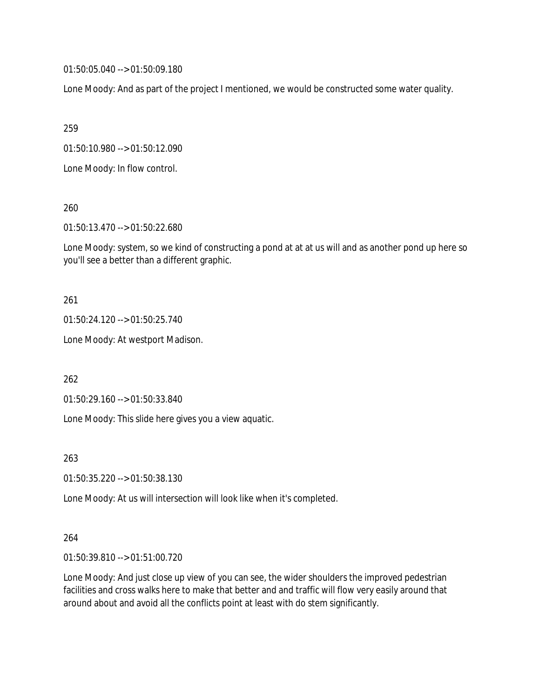01:50:05.040 --> 01:50:09.180

Lone Moody: And as part of the project I mentioned, we would be constructed some water quality.

259

01:50:10.980 --> 01:50:12.090

Lone Moody: In flow control.

260

01:50:13.470 --> 01:50:22.680

Lone Moody: system, so we kind of constructing a pond at at at us will and as another pond up here so you'll see a better than a different graphic.

### 261

01:50:24.120 --> 01:50:25.740

Lone Moody: At westport Madison.

262

01:50:29.160 --> 01:50:33.840

Lone Moody: This slide here gives you a view aquatic.

263

01:50:35.220 --> 01:50:38.130

Lone Moody: At us will intersection will look like when it's completed.

### 264

01:50:39.810 --> 01:51:00.720

Lone Moody: And just close up view of you can see, the wider shoulders the improved pedestrian facilities and cross walks here to make that better and and traffic will flow very easily around that around about and avoid all the conflicts point at least with do stem significantly.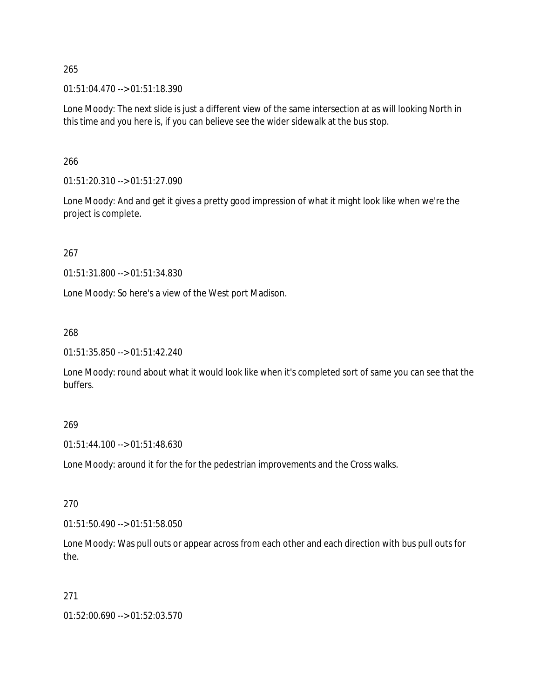01:51:04.470 --> 01:51:18.390

Lone Moody: The next slide is just a different view of the same intersection at as will looking North in this time and you here is, if you can believe see the wider sidewalk at the bus stop.

266

01:51:20.310 --> 01:51:27.090

Lone Moody: And and get it gives a pretty good impression of what it might look like when we're the project is complete.

267

01:51:31.800 --> 01:51:34.830

Lone Moody: So here's a view of the West port Madison.

268

01:51:35.850 --> 01:51:42.240

Lone Moody: round about what it would look like when it's completed sort of same you can see that the buffers.

### 269

01:51:44.100 --> 01:51:48.630

Lone Moody: around it for the for the pedestrian improvements and the Cross walks.

270

01:51:50.490 --> 01:51:58.050

Lone Moody: Was pull outs or appear across from each other and each direction with bus pull outs for the.

### 271

01:52:00.690 --> 01:52:03.570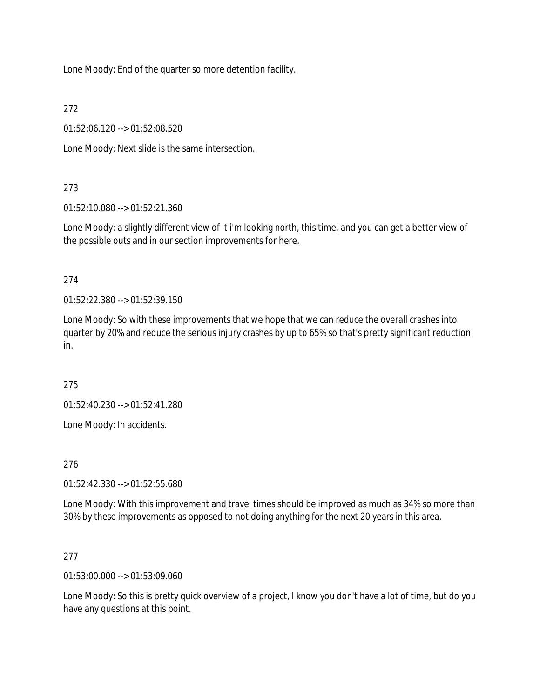Lone Moody: End of the quarter so more detention facility.

272

01:52:06.120 --> 01:52:08.520

Lone Moody: Next slide is the same intersection.

# 273

01:52:10.080 --> 01:52:21.360

Lone Moody: a slightly different view of it i'm looking north, this time, and you can get a better view of the possible outs and in our section improvements for here.

# 274

01:52:22.380 --> 01:52:39.150

Lone Moody: So with these improvements that we hope that we can reduce the overall crashes into quarter by 20% and reduce the serious injury crashes by up to 65% so that's pretty significant reduction in.

275

01:52:40.230 --> 01:52:41.280

Lone Moody: In accidents.

276

01:52:42.330 --> 01:52:55.680

Lone Moody: With this improvement and travel times should be improved as much as 34% so more than 30% by these improvements as opposed to not doing anything for the next 20 years in this area.

### 277

01:53:00.000 --> 01:53:09.060

Lone Moody: So this is pretty quick overview of a project, I know you don't have a lot of time, but do you have any questions at this point.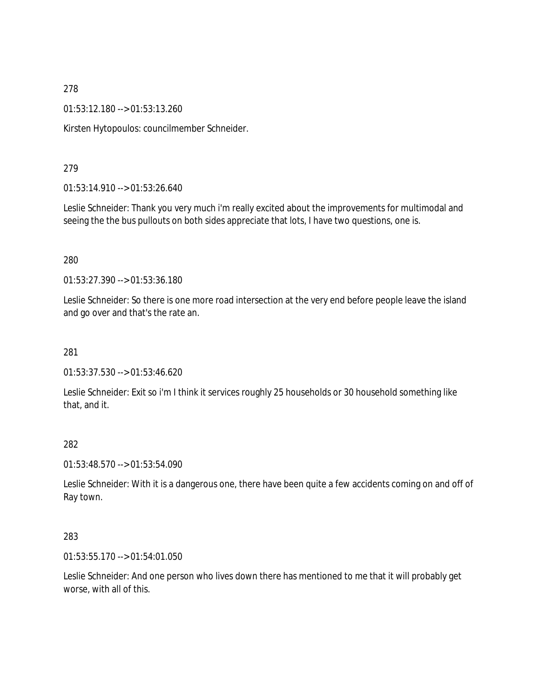01:53:12.180 --> 01:53:13.260

Kirsten Hytopoulos: councilmember Schneider.

### 279

01:53:14.910 --> 01:53:26.640

Leslie Schneider: Thank you very much i'm really excited about the improvements for multimodal and seeing the the bus pullouts on both sides appreciate that lots, I have two questions, one is.

### 280

01:53:27.390 --> 01:53:36.180

Leslie Schneider: So there is one more road intersection at the very end before people leave the island and go over and that's the rate an.

### 281

01:53:37.530 --> 01:53:46.620

Leslie Schneider: Exit so i'm I think it services roughly 25 households or 30 household something like that, and it.

### 282

01:53:48.570 --> 01:53:54.090

Leslie Schneider: With it is a dangerous one, there have been quite a few accidents coming on and off of Ray town.

#### 283

01:53:55.170 --> 01:54:01.050

Leslie Schneider: And one person who lives down there has mentioned to me that it will probably get worse, with all of this.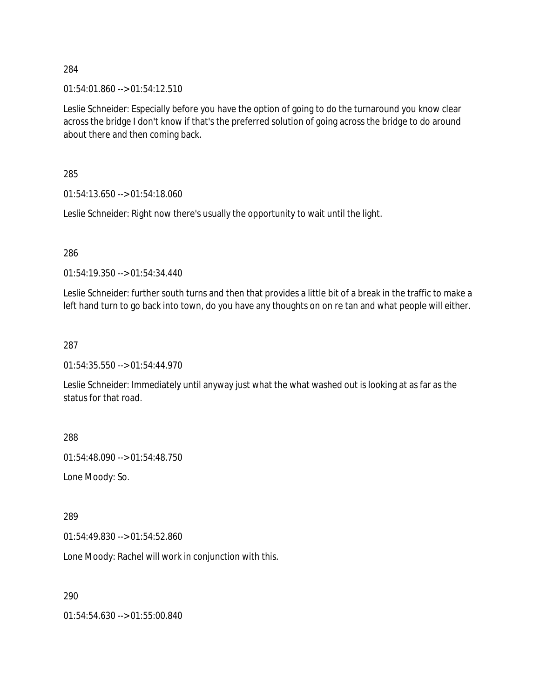$01:54:01.860 \rightarrow 01:54:12.510$ 

Leslie Schneider: Especially before you have the option of going to do the turnaround you know clear across the bridge I don't know if that's the preferred solution of going across the bridge to do around about there and then coming back.

285

01:54:13.650 --> 01:54:18.060

Leslie Schneider: Right now there's usually the opportunity to wait until the light.

286

01:54:19.350 --> 01:54:34.440

Leslie Schneider: further south turns and then that provides a little bit of a break in the traffic to make a left hand turn to go back into town, do you have any thoughts on on re tan and what people will either.

287

01:54:35.550 --> 01:54:44.970

Leslie Schneider: Immediately until anyway just what the what washed out is looking at as far as the status for that road.

288

01:54:48.090 --> 01:54:48.750

Lone Moody: So.

289

01:54:49.830 --> 01:54:52.860

Lone Moody: Rachel will work in conjunction with this.

290

01:54:54.630 --> 01:55:00.840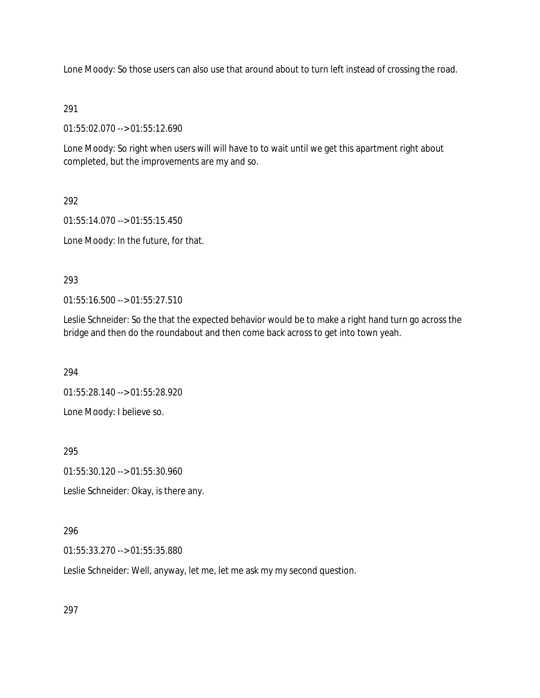Lone Moody: So those users can also use that around about to turn left instead of crossing the road.

# 291

01:55:02.070 --> 01:55:12.690

Lone Moody: So right when users will will have to to wait until we get this apartment right about completed, but the improvements are my and so.

292

01:55:14.070 --> 01:55:15.450

Lone Moody: In the future, for that.

# 293

01:55:16.500 --> 01:55:27.510

Leslie Schneider: So the that the expected behavior would be to make a right hand turn go across the bridge and then do the roundabout and then come back across to get into town yeah.

294

01:55:28.140 --> 01:55:28.920

Lone Moody: I believe so.

295

01:55:30.120 --> 01:55:30.960

Leslie Schneider: Okay, is there any.

# 296

01:55:33.270 --> 01:55:35.880

Leslie Schneider: Well, anyway, let me, let me ask my my second question.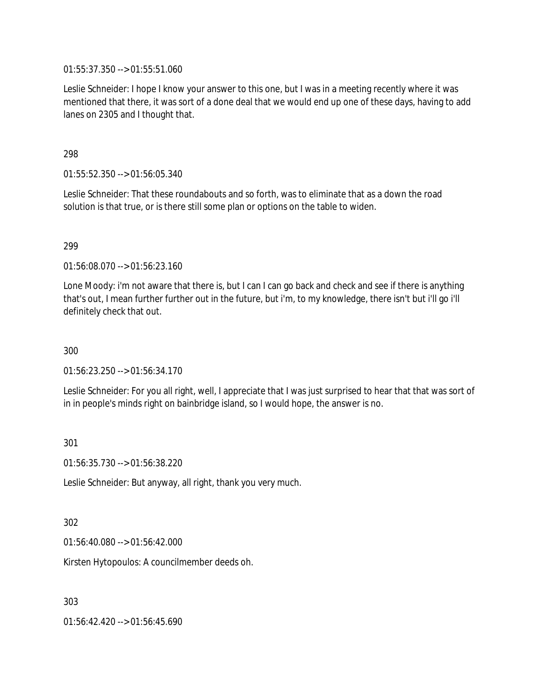01:55:37.350 --> 01:55:51.060

Leslie Schneider: I hope I know your answer to this one, but I was in a meeting recently where it was mentioned that there, it was sort of a done deal that we would end up one of these days, having to add lanes on 2305 and I thought that.

# 298

01:55:52.350 --> 01:56:05.340

Leslie Schneider: That these roundabouts and so forth, was to eliminate that as a down the road solution is that true, or is there still some plan or options on the table to widen.

# 299

01:56:08.070 --> 01:56:23.160

Lone Moody: i'm not aware that there is, but I can I can go back and check and see if there is anything that's out, I mean further further out in the future, but i'm, to my knowledge, there isn't but i'll go i'll definitely check that out.

300

01:56:23.250 --> 01:56:34.170

Leslie Schneider: For you all right, well, I appreciate that I was just surprised to hear that that was sort of in in people's minds right on bainbridge island, so I would hope, the answer is no.

301

01:56:35.730 --> 01:56:38.220

Leslie Schneider: But anyway, all right, thank you very much.

302

01:56:40.080 --> 01:56:42.000

Kirsten Hytopoulos: A councilmember deeds oh.

303

01:56:42.420 --> 01:56:45.690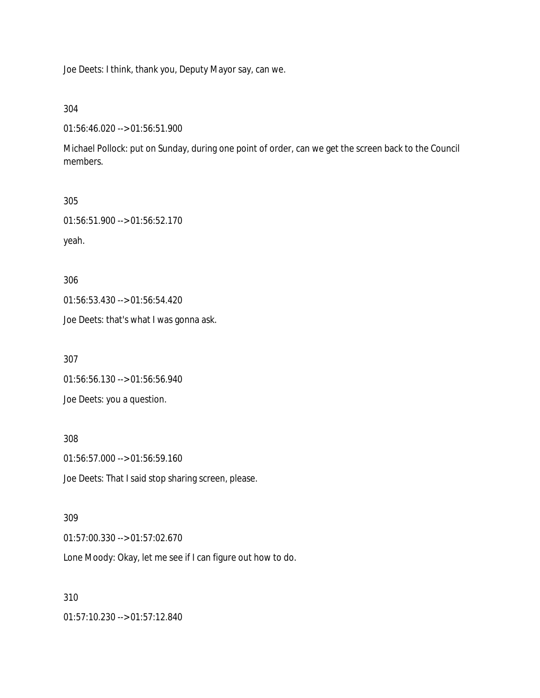Joe Deets: I think, thank you, Deputy Mayor say, can we.

304

01:56:46.020 --> 01:56:51.900

Michael Pollock: put on Sunday, during one point of order, can we get the screen back to the Council members.

```
305
```
01:56:51.900 --> 01:56:52.170

yeah.

306

01:56:53.430 --> 01:56:54.420

Joe Deets: that's what I was gonna ask.

307

01:56:56.130 --> 01:56:56.940

Joe Deets: you a question.

308

01:56:57.000 --> 01:56:59.160

Joe Deets: That I said stop sharing screen, please.

### 309

01:57:00.330 --> 01:57:02.670

Lone Moody: Okay, let me see if I can figure out how to do.

### 310

01:57:10.230 --> 01:57:12.840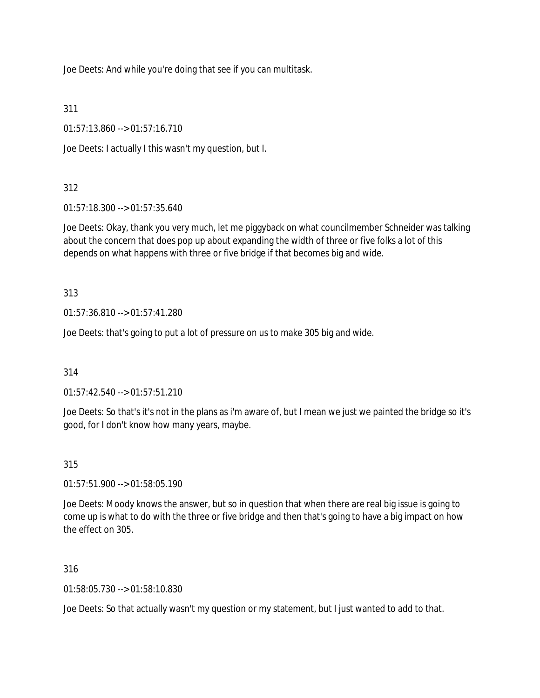Joe Deets: And while you're doing that see if you can multitask.

311

01:57:13.860 --> 01:57:16.710

Joe Deets: I actually I this wasn't my question, but I.

# 312

01:57:18.300 --> 01:57:35.640

Joe Deets: Okay, thank you very much, let me piggyback on what councilmember Schneider was talking about the concern that does pop up about expanding the width of three or five folks a lot of this depends on what happens with three or five bridge if that becomes big and wide.

313

01:57:36.810 --> 01:57:41.280

Joe Deets: that's going to put a lot of pressure on us to make 305 big and wide.

314

01:57:42.540 --> 01:57:51.210

Joe Deets: So that's it's not in the plans as i'm aware of, but I mean we just we painted the bridge so it's good, for I don't know how many years, maybe.

315

01:57:51.900 --> 01:58:05.190

Joe Deets: Moody knows the answer, but so in question that when there are real big issue is going to come up is what to do with the three or five bridge and then that's going to have a big impact on how the effect on 305.

316

01:58:05.730 --> 01:58:10.830

Joe Deets: So that actually wasn't my question or my statement, but I just wanted to add to that.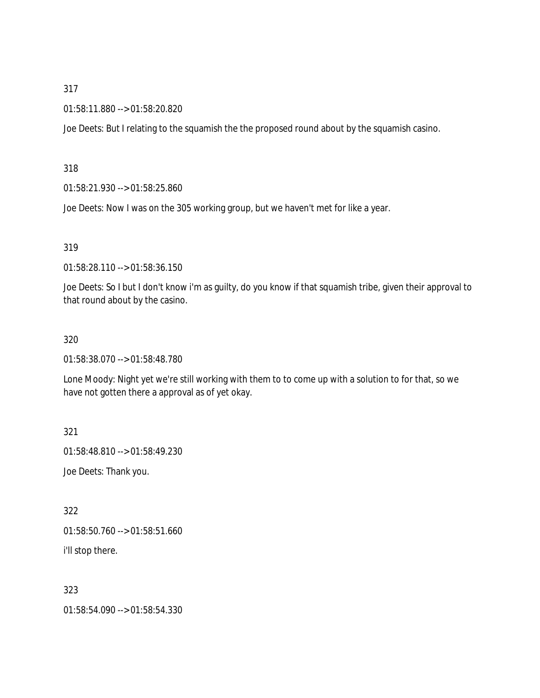#### 01:58:11.880 --> 01:58:20.820

Joe Deets: But I relating to the squamish the the proposed round about by the squamish casino.

318

01:58:21.930 --> 01:58:25.860

Joe Deets: Now I was on the 305 working group, but we haven't met for like a year.

319

01:58:28.110 --> 01:58:36.150

Joe Deets: So I but I don't know i'm as guilty, do you know if that squamish tribe, given their approval to that round about by the casino.

#### 320

01:58:38.070 --> 01:58:48.780

Lone Moody: Night yet we're still working with them to to come up with a solution to for that, so we have not gotten there a approval as of yet okay.

321

01:58:48.810 --> 01:58:49.230

Joe Deets: Thank you.

322

01:58:50.760 --> 01:58:51.660

i'll stop there.

323

01:58:54.090 --> 01:58:54.330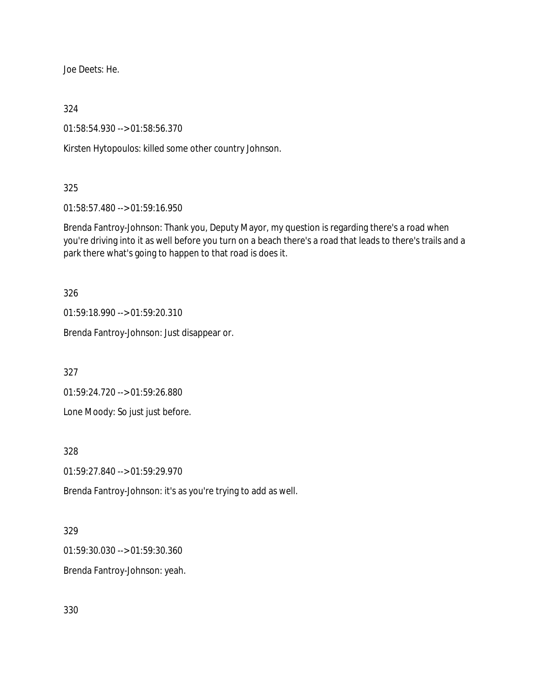Joe Deets: He.

324

01:58:54.930 --> 01:58:56.370

Kirsten Hytopoulos: killed some other country Johnson.

# 325

01:58:57.480 --> 01:59:16.950

Brenda Fantroy-Johnson: Thank you, Deputy Mayor, my question is regarding there's a road when you're driving into it as well before you turn on a beach there's a road that leads to there's trails and a park there what's going to happen to that road is does it.

326

01:59:18.990 --> 01:59:20.310

Brenda Fantroy-Johnson: Just disappear or.

327

01:59:24.720 --> 01:59:26.880

Lone Moody: So just just before.

328

01:59:27.840 --> 01:59:29.970

Brenda Fantroy-Johnson: it's as you're trying to add as well.

### 329

01:59:30.030 --> 01:59:30.360

Brenda Fantroy-Johnson: yeah.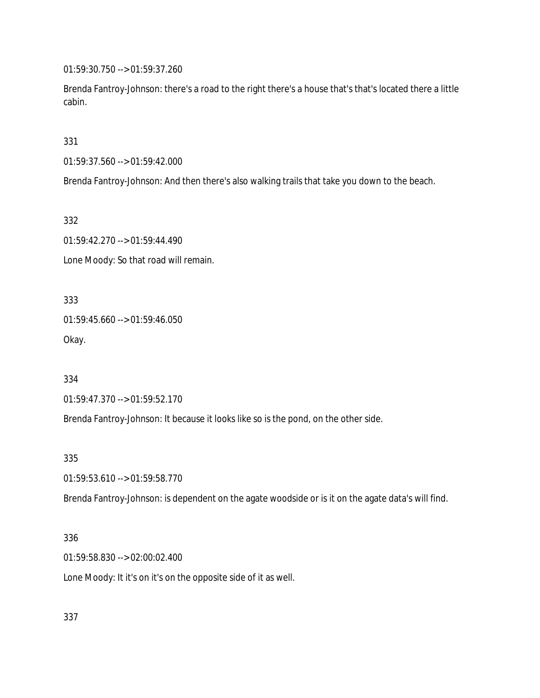01:59:30.750 --> 01:59:37.260

Brenda Fantroy-Johnson: there's a road to the right there's a house that's that's located there a little cabin.

331

01:59:37.560 --> 01:59:42.000

Brenda Fantroy-Johnson: And then there's also walking trails that take you down to the beach.

332

01:59:42.270 --> 01:59:44.490 Lone Moody: So that road will remain.

333 01:59:45.660 --> 01:59:46.050 Okay.

334

01:59:47.370 --> 01:59:52.170

Brenda Fantroy-Johnson: It because it looks like so is the pond, on the other side.

335

01:59:53.610 --> 01:59:58.770

Brenda Fantroy-Johnson: is dependent on the agate woodside or is it on the agate data's will find.

#### 336

01:59:58.830 --> 02:00:02.400

Lone Moody: It it's on it's on the opposite side of it as well.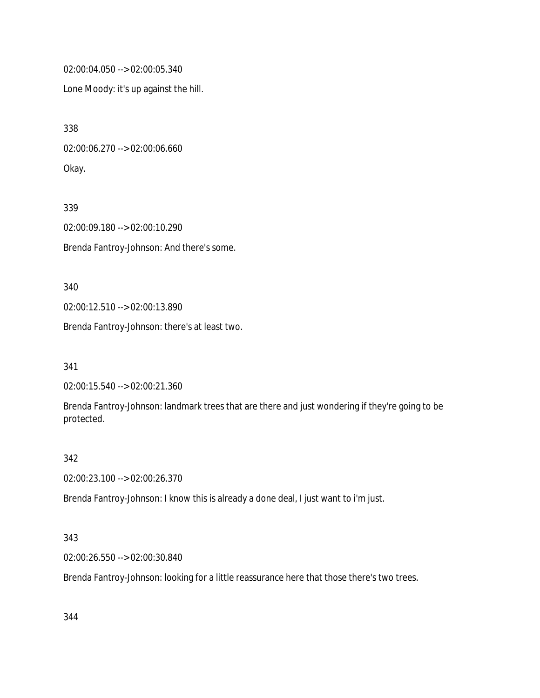02:00:04.050 --> 02:00:05.340

Lone Moody: it's up against the hill.

338 02:00:06.270 --> 02:00:06.660 Okay.

339 02:00:09.180 --> 02:00:10.290 Brenda Fantroy-Johnson: And there's some.

340 02:00:12.510 --> 02:00:13.890

Brenda Fantroy-Johnson: there's at least two.

341

02:00:15.540 --> 02:00:21.360

Brenda Fantroy-Johnson: landmark trees that are there and just wondering if they're going to be protected.

#### 342

02:00:23.100 --> 02:00:26.370

Brenda Fantroy-Johnson: I know this is already a done deal, I just want to i'm just.

### 343

02:00:26.550 --> 02:00:30.840

Brenda Fantroy-Johnson: looking for a little reassurance here that those there's two trees.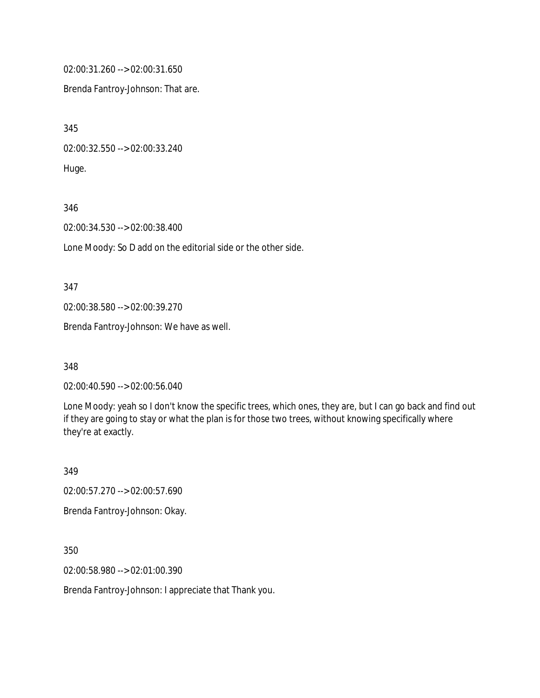02:00:31.260 --> 02:00:31.650

Brenda Fantroy-Johnson: That are.

345 02:00:32.550 --> 02:00:33.240 Huge.

346

02:00:34.530 --> 02:00:38.400

Lone Moody: So D add on the editorial side or the other side.

347

02:00:38.580 --> 02:00:39.270

Brenda Fantroy-Johnson: We have as well.

348

02:00:40.590 --> 02:00:56.040

Lone Moody: yeah so I don't know the specific trees, which ones, they are, but I can go back and find out if they are going to stay or what the plan is for those two trees, without knowing specifically where they're at exactly.

349

02:00:57.270 --> 02:00:57.690

Brenda Fantroy-Johnson: Okay.

350

02:00:58.980 --> 02:01:00.390

Brenda Fantroy-Johnson: I appreciate that Thank you.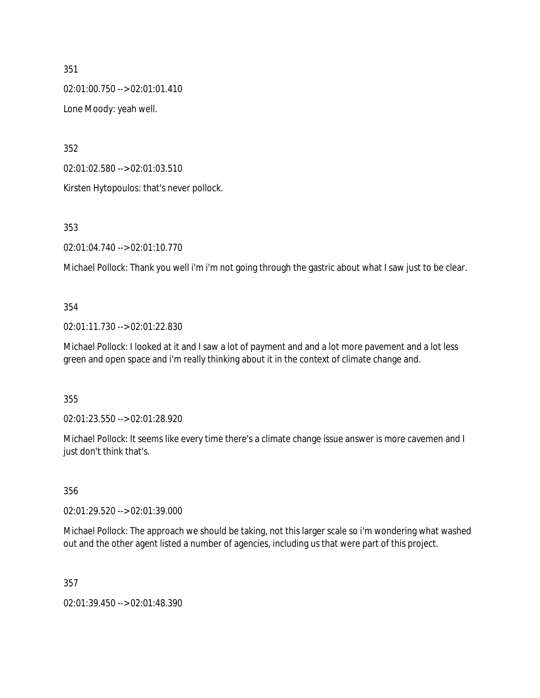02:01:00.750 --> 02:01:01.410

Lone Moody: yeah well.

352

02:01:02.580 --> 02:01:03.510

Kirsten Hytopoulos: that's never pollock.

353

02:01:04.740 --> 02:01:10.770

Michael Pollock: Thank you well i'm i'm not going through the gastric about what I saw just to be clear.

# 354

02:01:11.730 --> 02:01:22.830

Michael Pollock: I looked at it and I saw a lot of payment and and a lot more pavement and a lot less green and open space and i'm really thinking about it in the context of climate change and.

355

02:01:23.550 --> 02:01:28.920

Michael Pollock: It seems like every time there's a climate change issue answer is more cavemen and I just don't think that's.

356

02:01:29.520 --> 02:01:39.000

Michael Pollock: The approach we should be taking, not this larger scale so i'm wondering what washed out and the other agent listed a number of agencies, including us that were part of this project.

357

02:01:39.450 --> 02:01:48.390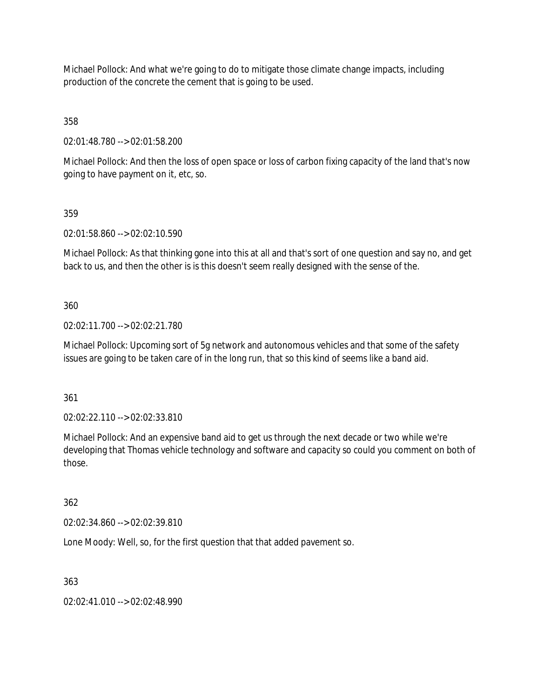Michael Pollock: And what we're going to do to mitigate those climate change impacts, including production of the concrete the cement that is going to be used.

358

02:01:48.780 --> 02:01:58.200

Michael Pollock: And then the loss of open space or loss of carbon fixing capacity of the land that's now going to have payment on it, etc, so.

# 359

02:01:58.860 --> 02:02:10.590

Michael Pollock: As that thinking gone into this at all and that's sort of one question and say no, and get back to us, and then the other is is this doesn't seem really designed with the sense of the.

# 360

02:02:11.700 --> 02:02:21.780

Michael Pollock: Upcoming sort of 5g network and autonomous vehicles and that some of the safety issues are going to be taken care of in the long run, that so this kind of seems like a band aid.

361

02:02:22.110 --> 02:02:33.810

Michael Pollock: And an expensive band aid to get us through the next decade or two while we're developing that Thomas vehicle technology and software and capacity so could you comment on both of those.

### 362

02:02:34.860 --> 02:02:39.810

Lone Moody: Well, so, for the first question that that added pavement so.

# 363

02:02:41.010 --> 02:02:48.990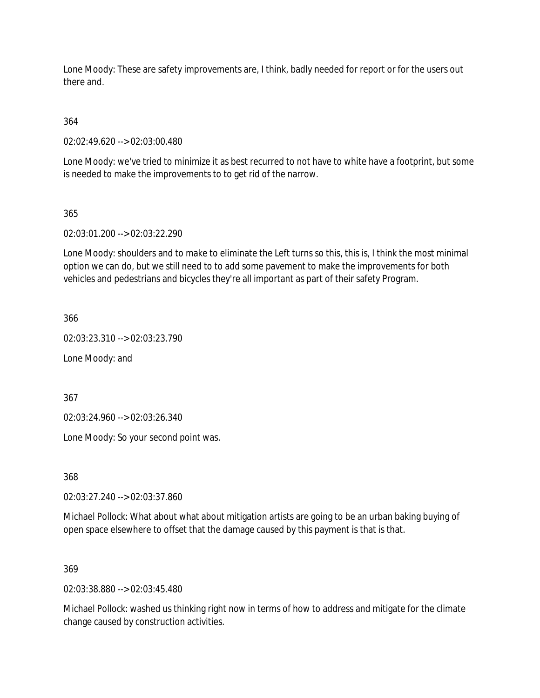Lone Moody: These are safety improvements are, I think, badly needed for report or for the users out there and.

364

02:02:49.620 --> 02:03:00.480

Lone Moody: we've tried to minimize it as best recurred to not have to white have a footprint, but some is needed to make the improvements to to get rid of the narrow.

# 365

02:03:01.200 --> 02:03:22.290

Lone Moody: shoulders and to make to eliminate the Left turns so this, this is, I think the most minimal option we can do, but we still need to to add some pavement to make the improvements for both vehicles and pedestrians and bicycles they're all important as part of their safety Program.

366

02:03:23.310 --> 02:03:23.790

Lone Moody: and

367

02:03:24.960 --> 02:03:26.340

Lone Moody: So your second point was.

368

02:03:27.240 --> 02:03:37.860

Michael Pollock: What about what about mitigation artists are going to be an urban baking buying of open space elsewhere to offset that the damage caused by this payment is that is that.

### 369

02:03:38.880 --> 02:03:45.480

Michael Pollock: washed us thinking right now in terms of how to address and mitigate for the climate change caused by construction activities.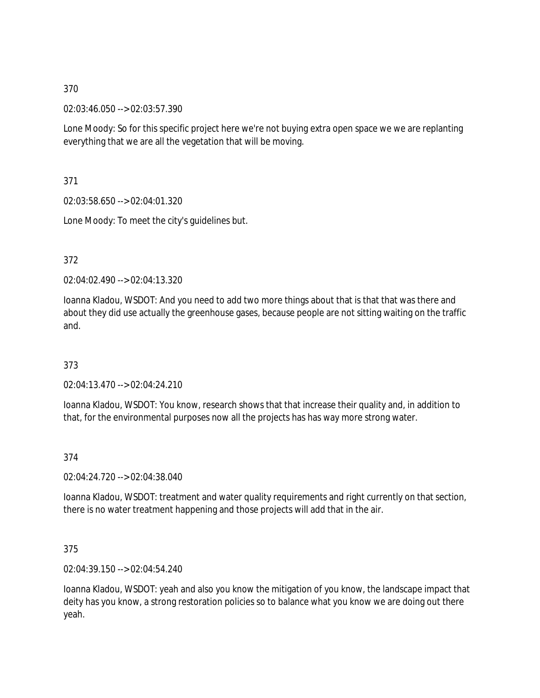02:03:46.050 --> 02:03:57.390

Lone Moody: So for this specific project here we're not buying extra open space we we are replanting everything that we are all the vegetation that will be moving.

371

02:03:58.650 --> 02:04:01.320

Lone Moody: To meet the city's guidelines but.

372

02:04:02.490 --> 02:04:13.320

Ioanna Kladou, WSDOT: And you need to add two more things about that is that that was there and about they did use actually the greenhouse gases, because people are not sitting waiting on the traffic and.

373

02:04:13.470 --> 02:04:24.210

Ioanna Kladou, WSDOT: You know, research shows that that increase their quality and, in addition to that, for the environmental purposes now all the projects has has way more strong water.

374

02:04:24.720 --> 02:04:38.040

Ioanna Kladou, WSDOT: treatment and water quality requirements and right currently on that section, there is no water treatment happening and those projects will add that in the air.

375

02:04:39.150 --> 02:04:54.240

Ioanna Kladou, WSDOT: yeah and also you know the mitigation of you know, the landscape impact that deity has you know, a strong restoration policies so to balance what you know we are doing out there yeah.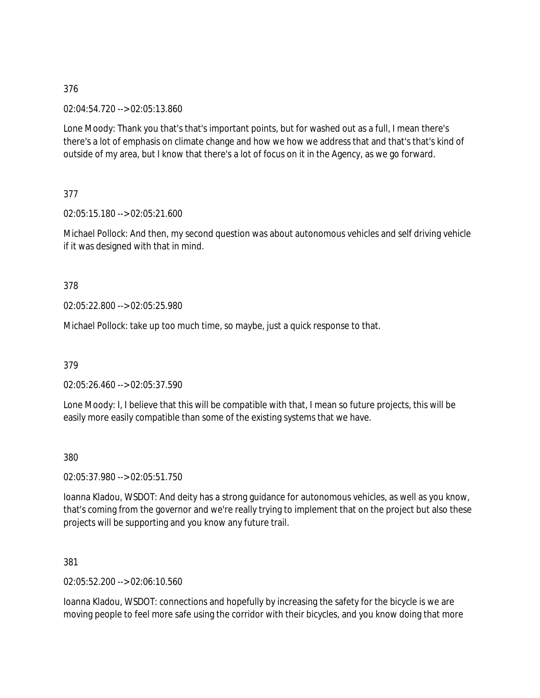02:04:54.720 --> 02:05:13.860

Lone Moody: Thank you that's that's important points, but for washed out as a full, I mean there's there's a lot of emphasis on climate change and how we how we address that and that's that's kind of outside of my area, but I know that there's a lot of focus on it in the Agency, as we go forward.

377

02:05:15.180 --> 02:05:21.600

Michael Pollock: And then, my second question was about autonomous vehicles and self driving vehicle if it was designed with that in mind.

### 378

02:05:22.800 --> 02:05:25.980

Michael Pollock: take up too much time, so maybe, just a quick response to that.

379

02:05:26.460 --> 02:05:37.590

Lone Moody: I, I believe that this will be compatible with that, I mean so future projects, this will be easily more easily compatible than some of the existing systems that we have.

380

02:05:37.980 --> 02:05:51.750

Ioanna Kladou, WSDOT: And deity has a strong guidance for autonomous vehicles, as well as you know, that's coming from the governor and we're really trying to implement that on the project but also these projects will be supporting and you know any future trail.

381

02:05:52.200 --> 02:06:10.560

Ioanna Kladou, WSDOT: connections and hopefully by increasing the safety for the bicycle is we are moving people to feel more safe using the corridor with their bicycles, and you know doing that more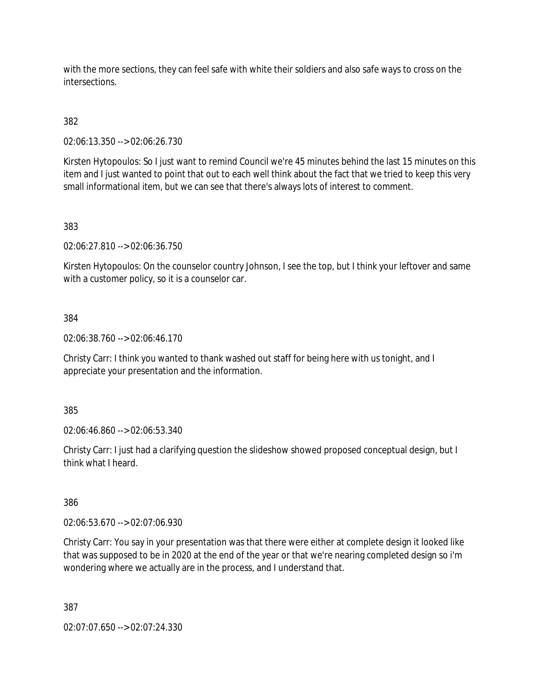with the more sections, they can feel safe with white their soldiers and also safe ways to cross on the intersections.

382

02:06:13.350 --> 02:06:26.730

Kirsten Hytopoulos: So I just want to remind Council we're 45 minutes behind the last 15 minutes on this item and I just wanted to point that out to each well think about the fact that we tried to keep this very small informational item, but we can see that there's always lots of interest to comment.

### 383

02:06:27.810 --> 02:06:36.750

Kirsten Hytopoulos: On the counselor country Johnson, I see the top, but I think your leftover and same with a customer policy, so it is a counselor car.

### 384

02:06:38.760 --> 02:06:46.170

Christy Carr: I think you wanted to thank washed out staff for being here with us tonight, and I appreciate your presentation and the information.

385

02:06:46.860 --> 02:06:53.340

Christy Carr: I just had a clarifying question the slideshow showed proposed conceptual design, but I think what I heard.

386

02:06:53.670 --> 02:07:06.930

Christy Carr: You say in your presentation was that there were either at complete design it looked like that was supposed to be in 2020 at the end of the year or that we're nearing completed design so i'm wondering where we actually are in the process, and I understand that.

387

02:07:07.650 --> 02:07:24.330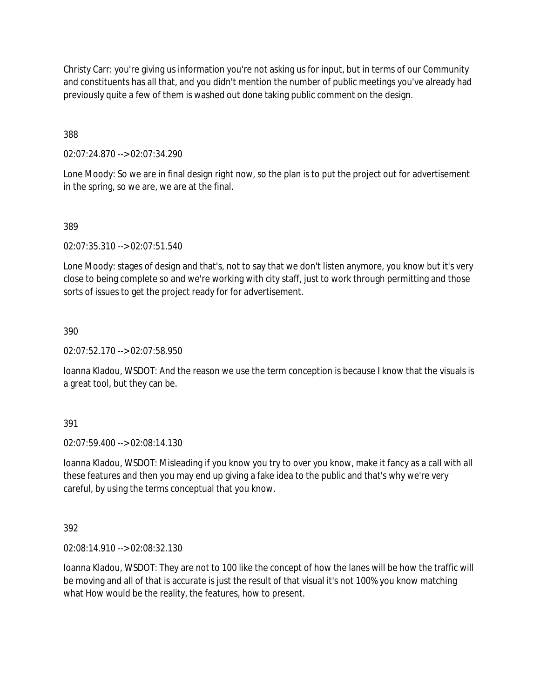Christy Carr: you're giving us information you're not asking us for input, but in terms of our Community and constituents has all that, and you didn't mention the number of public meetings you've already had previously quite a few of them is washed out done taking public comment on the design.

388

02:07:24.870 --> 02:07:34.290

Lone Moody: So we are in final design right now, so the plan is to put the project out for advertisement in the spring, so we are, we are at the final.

### 389

02:07:35.310 --> 02:07:51.540

Lone Moody: stages of design and that's, not to say that we don't listen anymore, you know but it's very close to being complete so and we're working with city staff, just to work through permitting and those sorts of issues to get the project ready for for advertisement.

390

02:07:52.170 --> 02:07:58.950

Ioanna Kladou, WSDOT: And the reason we use the term conception is because I know that the visuals is a great tool, but they can be.

391

02:07:59.400 --> 02:08:14.130

Ioanna Kladou, WSDOT: Misleading if you know you try to over you know, make it fancy as a call with all these features and then you may end up giving a fake idea to the public and that's why we're very careful, by using the terms conceptual that you know.

392

02:08:14.910 --> 02:08:32.130

Ioanna Kladou, WSDOT: They are not to 100 like the concept of how the lanes will be how the traffic will be moving and all of that is accurate is just the result of that visual it's not 100% you know matching what How would be the reality, the features, how to present.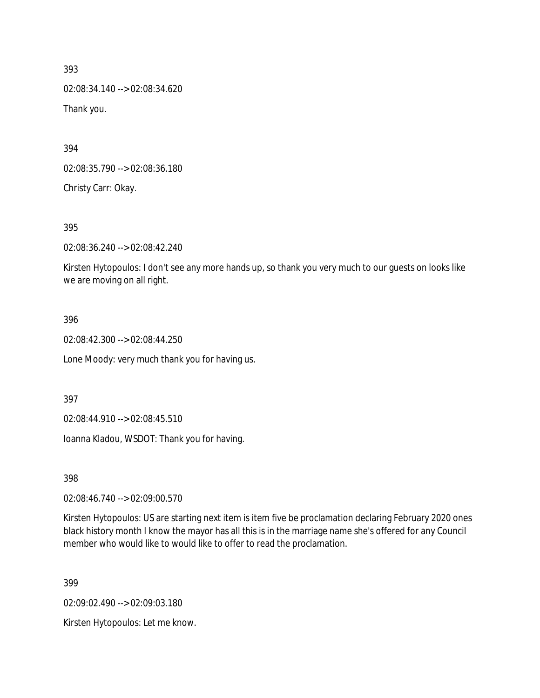02:08:34.140 --> 02:08:34.620 Thank you.

394

02:08:35.790 --> 02:08:36.180

Christy Carr: Okay.

395

02:08:36.240 --> 02:08:42.240

Kirsten Hytopoulos: I don't see any more hands up, so thank you very much to our guests on looks like we are moving on all right.

### 396

02:08:42.300 --> 02:08:44.250

Lone Moody: very much thank you for having us.

397

02:08:44.910 --> 02:08:45.510

Ioanna Kladou, WSDOT: Thank you for having.

398

02:08:46.740 --> 02:09:00.570

Kirsten Hytopoulos: US are starting next item is item five be proclamation declaring February 2020 ones black history month I know the mayor has all this is in the marriage name she's offered for any Council member who would like to would like to offer to read the proclamation.

399

02:09:02.490 --> 02:09:03.180

Kirsten Hytopoulos: Let me know.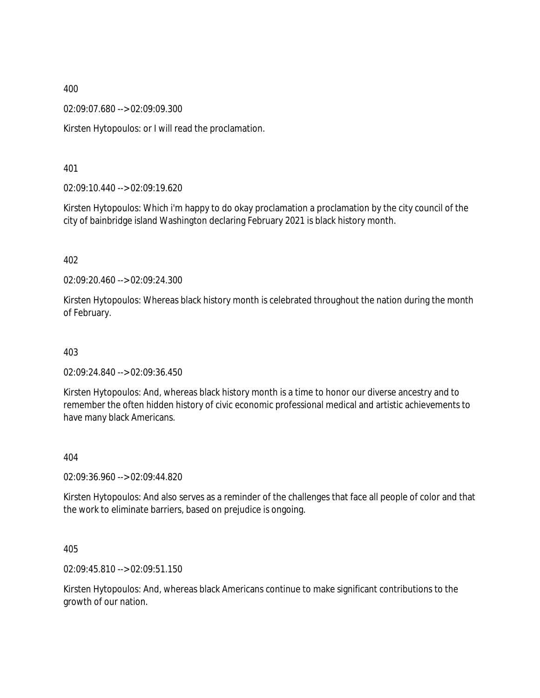02:09:07.680 --> 02:09:09.300

Kirsten Hytopoulos: or I will read the proclamation.

401

02:09:10.440 --> 02:09:19.620

Kirsten Hytopoulos: Which i'm happy to do okay proclamation a proclamation by the city council of the city of bainbridge island Washington declaring February 2021 is black history month.

402

02:09:20.460 --> 02:09:24.300

Kirsten Hytopoulos: Whereas black history month is celebrated throughout the nation during the month of February.

403

02:09:24.840 --> 02:09:36.450

Kirsten Hytopoulos: And, whereas black history month is a time to honor our diverse ancestry and to remember the often hidden history of civic economic professional medical and artistic achievements to have many black Americans.

404

02:09:36.960 --> 02:09:44.820

Kirsten Hytopoulos: And also serves as a reminder of the challenges that face all people of color and that the work to eliminate barriers, based on prejudice is ongoing.

405

02:09:45.810 --> 02:09:51.150

Kirsten Hytopoulos: And, whereas black Americans continue to make significant contributions to the growth of our nation.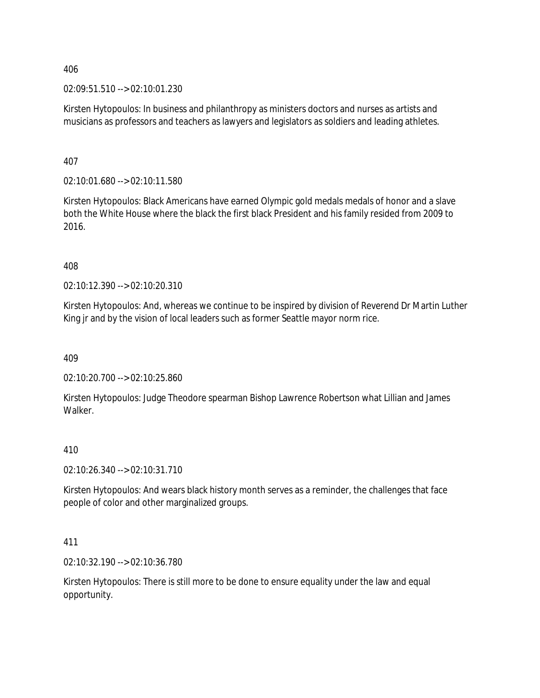02:09:51.510 --> 02:10:01.230

Kirsten Hytopoulos: In business and philanthropy as ministers doctors and nurses as artists and musicians as professors and teachers as lawyers and legislators as soldiers and leading athletes.

407

02:10:01.680 --> 02:10:11.580

Kirsten Hytopoulos: Black Americans have earned Olympic gold medals medals of honor and a slave both the White House where the black the first black President and his family resided from 2009 to 2016.

408

02:10:12.390 --> 02:10:20.310

Kirsten Hytopoulos: And, whereas we continue to be inspired by division of Reverend Dr Martin Luther King jr and by the vision of local leaders such as former Seattle mayor norm rice.

409

02:10:20.700 --> 02:10:25.860

Kirsten Hytopoulos: Judge Theodore spearman Bishop Lawrence Robertson what Lillian and James **Walker** 

### 410

02:10:26.340 --> 02:10:31.710

Kirsten Hytopoulos: And wears black history month serves as a reminder, the challenges that face people of color and other marginalized groups.

411

02:10:32.190 --> 02:10:36.780

Kirsten Hytopoulos: There is still more to be done to ensure equality under the law and equal opportunity.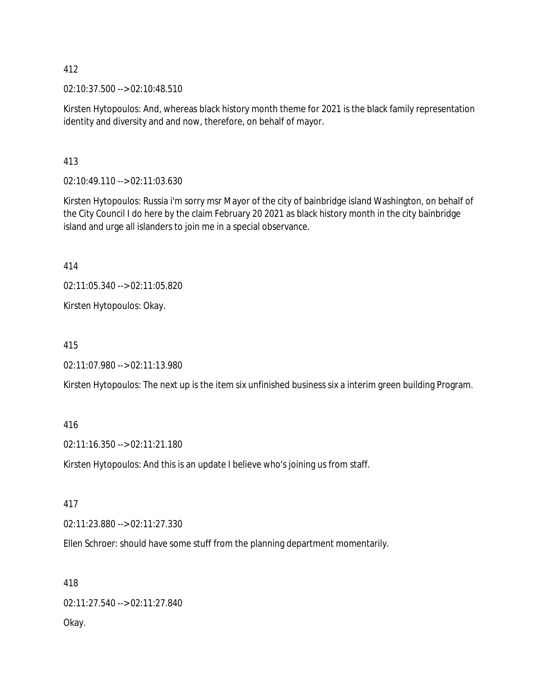02:10:37.500 --> 02:10:48.510

Kirsten Hytopoulos: And, whereas black history month theme for 2021 is the black family representation identity and diversity and and now, therefore, on behalf of mayor.

413

02:10:49.110 --> 02:11:03.630

Kirsten Hytopoulos: Russia i'm sorry msr Mayor of the city of bainbridge island Washington, on behalf of the City Council I do here by the claim February 20 2021 as black history month in the city bainbridge island and urge all islanders to join me in a special observance.

414

02:11:05.340 --> 02:11:05.820

Kirsten Hytopoulos: Okay.

415

02:11:07.980 --> 02:11:13.980

Kirsten Hytopoulos: The next up is the item six unfinished business six a interim green building Program.

416

02:11:16.350 --> 02:11:21.180

Kirsten Hytopoulos: And this is an update I believe who's joining us from staff.

417

02:11:23.880 --> 02:11:27.330

Ellen Schroer: should have some stuff from the planning department momentarily.

418 02:11:27.540 --> 02:11:27.840 Okay.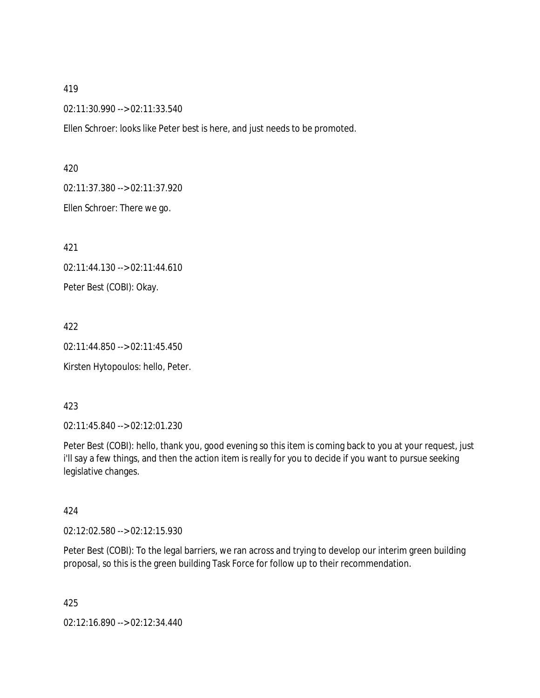02:11:30.990 --> 02:11:33.540

Ellen Schroer: looks like Peter best is here, and just needs to be promoted.

#### 420

02:11:37.380 --> 02:11:37.920

Ellen Schroer: There we go.

421

02:11:44.130 --> 02:11:44.610

Peter Best (COBI): Okay.

422

02:11:44.850 --> 02:11:45.450

Kirsten Hytopoulos: hello, Peter.

### 423

02:11:45.840 --> 02:12:01.230

Peter Best (COBI): hello, thank you, good evening so this item is coming back to you at your request, just i'll say a few things, and then the action item is really for you to decide if you want to pursue seeking legislative changes.

### 424

02:12:02.580 --> 02:12:15.930

Peter Best (COBI): To the legal barriers, we ran across and trying to develop our interim green building proposal, so this is the green building Task Force for follow up to their recommendation.

425

02:12:16.890 --> 02:12:34.440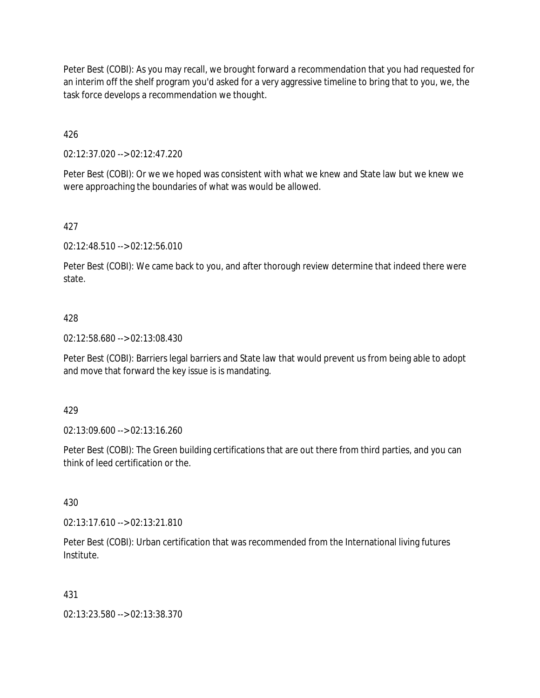Peter Best (COBI): As you may recall, we brought forward a recommendation that you had requested for an interim off the shelf program you'd asked for a very aggressive timeline to bring that to you, we, the task force develops a recommendation we thought.

426

02:12:37.020 --> 02:12:47.220

Peter Best (COBI): Or we we hoped was consistent with what we knew and State law but we knew we were approaching the boundaries of what was would be allowed.

427

02:12:48.510 --> 02:12:56.010

Peter Best (COBI): We came back to you, and after thorough review determine that indeed there were state.

### 428

02:12:58.680 --> 02:13:08.430

Peter Best (COBI): Barriers legal barriers and State law that would prevent us from being able to adopt and move that forward the key issue is is mandating.

#### 429

02:13:09.600 --> 02:13:16.260

Peter Best (COBI): The Green building certifications that are out there from third parties, and you can think of leed certification or the.

430

02:13:17.610 --> 02:13:21.810

Peter Best (COBI): Urban certification that was recommended from the International living futures Institute.

#### 431

02:13:23.580 --> 02:13:38.370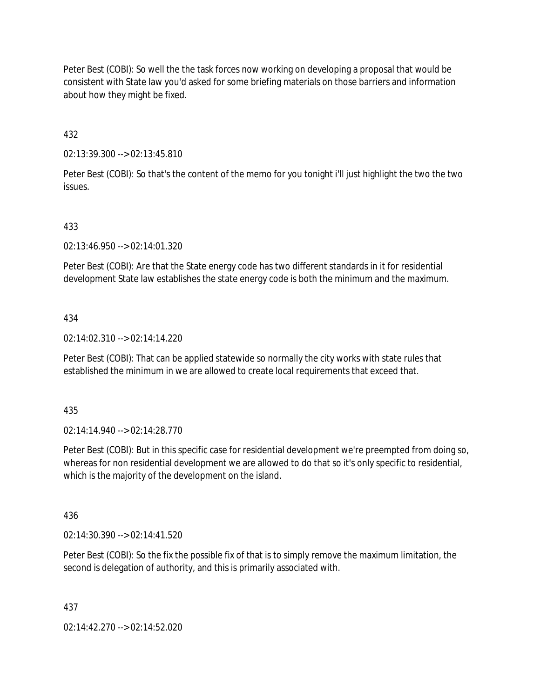Peter Best (COBI): So well the the task forces now working on developing a proposal that would be consistent with State law you'd asked for some briefing materials on those barriers and information about how they might be fixed.

432

02:13:39.300 --> 02:13:45.810

Peter Best (COBI): So that's the content of the memo for you tonight i'll just highlight the two the two issues.

### 433

02:13:46.950 --> 02:14:01.320

Peter Best (COBI): Are that the State energy code has two different standards in it for residential development State law establishes the state energy code is both the minimum and the maximum.

#### 434

02:14:02.310 --> 02:14:14.220

Peter Best (COBI): That can be applied statewide so normally the city works with state rules that established the minimum in we are allowed to create local requirements that exceed that.

435

02:14:14.940 --> 02:14:28.770

Peter Best (COBI): But in this specific case for residential development we're preempted from doing so, whereas for non residential development we are allowed to do that so it's only specific to residential, which is the majority of the development on the island.

436

02:14:30.390 --> 02:14:41.520

Peter Best (COBI): So the fix the possible fix of that is to simply remove the maximum limitation, the second is delegation of authority, and this is primarily associated with.

437

02:14:42.270 --> 02:14:52.020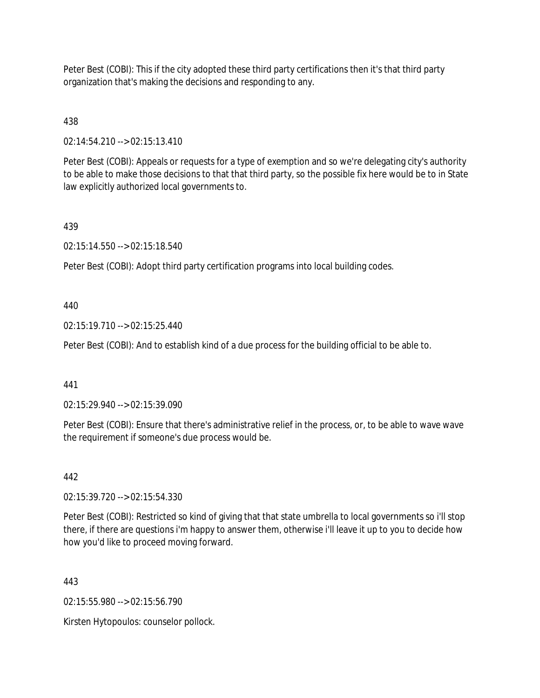Peter Best (COBI): This if the city adopted these third party certifications then it's that third party organization that's making the decisions and responding to any.

438

02:14:54.210 --> 02:15:13.410

Peter Best (COBI): Appeals or requests for a type of exemption and so we're delegating city's authority to be able to make those decisions to that that third party, so the possible fix here would be to in State law explicitly authorized local governments to.

439

02:15:14.550 --> 02:15:18.540

Peter Best (COBI): Adopt third party certification programs into local building codes.

440

02:15:19.710 --> 02:15:25.440

Peter Best (COBI): And to establish kind of a due process for the building official to be able to.

441

02:15:29.940 --> 02:15:39.090

Peter Best (COBI): Ensure that there's administrative relief in the process, or, to be able to wave wave the requirement if someone's due process would be.

442

02:15:39.720 --> 02:15:54.330

Peter Best (COBI): Restricted so kind of giving that that state umbrella to local governments so i'll stop there, if there are questions i'm happy to answer them, otherwise i'll leave it up to you to decide how how you'd like to proceed moving forward.

443

02:15:55.980 --> 02:15:56.790

Kirsten Hytopoulos: counselor pollock.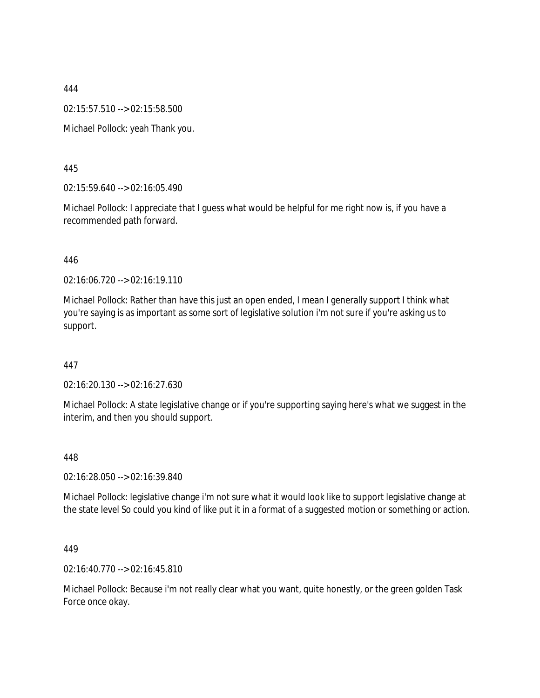02:15:57.510 --> 02:15:58.500

Michael Pollock: yeah Thank you.

445

02:15:59.640 --> 02:16:05.490

Michael Pollock: I appreciate that I guess what would be helpful for me right now is, if you have a recommended path forward.

#### 446

02:16:06.720 --> 02:16:19.110

Michael Pollock: Rather than have this just an open ended, I mean I generally support I think what you're saying is as important as some sort of legislative solution i'm not sure if you're asking us to support.

447

02:16:20.130 --> 02:16:27.630

Michael Pollock: A state legislative change or if you're supporting saying here's what we suggest in the interim, and then you should support.

448

02:16:28.050 --> 02:16:39.840

Michael Pollock: legislative change i'm not sure what it would look like to support legislative change at the state level So could you kind of like put it in a format of a suggested motion or something or action.

### 449

02:16:40.770 --> 02:16:45.810

Michael Pollock: Because i'm not really clear what you want, quite honestly, or the green golden Task Force once okay.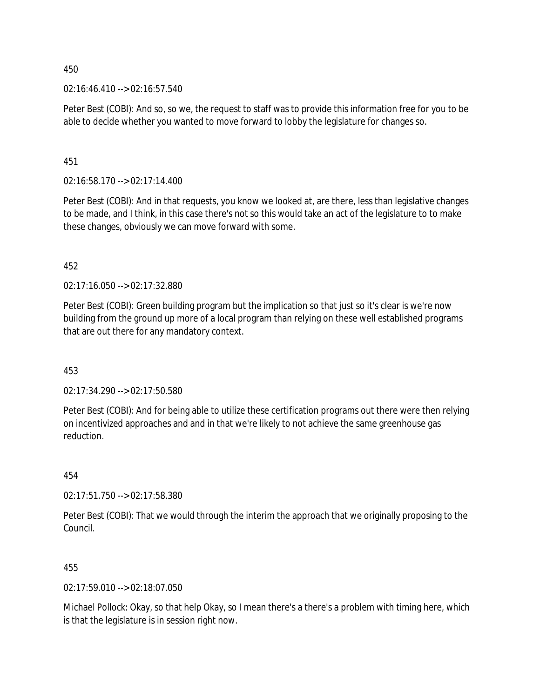02:16:46.410 --> 02:16:57.540

Peter Best (COBI): And so, so we, the request to staff was to provide this information free for you to be able to decide whether you wanted to move forward to lobby the legislature for changes so.

451

02:16:58.170 --> 02:17:14.400

Peter Best (COBI): And in that requests, you know we looked at, are there, less than legislative changes to be made, and I think, in this case there's not so this would take an act of the legislature to to make these changes, obviously we can move forward with some.

452

02:17:16.050 --> 02:17:32.880

Peter Best (COBI): Green building program but the implication so that just so it's clear is we're now building from the ground up more of a local program than relying on these well established programs that are out there for any mandatory context.

453

02:17:34.290 --> 02:17:50.580

Peter Best (COBI): And for being able to utilize these certification programs out there were then relying on incentivized approaches and and in that we're likely to not achieve the same greenhouse gas reduction.

454

02:17:51.750 --> 02:17:58.380

Peter Best (COBI): That we would through the interim the approach that we originally proposing to the Council.

455

02:17:59.010 --> 02:18:07.050

Michael Pollock: Okay, so that help Okay, so I mean there's a there's a problem with timing here, which is that the legislature is in session right now.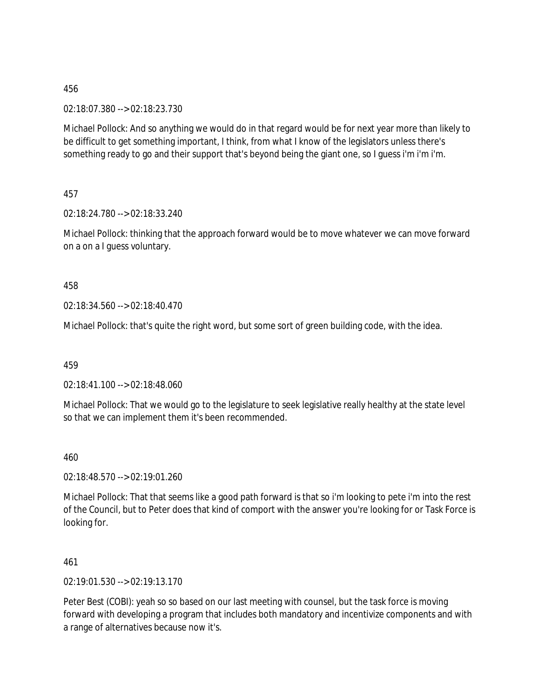02:18:07.380 --> 02:18:23.730

Michael Pollock: And so anything we would do in that regard would be for next year more than likely to be difficult to get something important, I think, from what I know of the legislators unless there's something ready to go and their support that's beyond being the giant one, so I guess i'm i'm i'm.

457

02:18:24.780 --> 02:18:33.240

Michael Pollock: thinking that the approach forward would be to move whatever we can move forward on a on a I guess voluntary.

458

02:18:34.560 --> 02:18:40.470

Michael Pollock: that's quite the right word, but some sort of green building code, with the idea.

459

02:18:41.100 --> 02:18:48.060

Michael Pollock: That we would go to the legislature to seek legislative really healthy at the state level so that we can implement them it's been recommended.

460

02:18:48.570 --> 02:19:01.260

Michael Pollock: That that seems like a good path forward is that so i'm looking to pete i'm into the rest of the Council, but to Peter does that kind of comport with the answer you're looking for or Task Force is looking for.

461

02:19:01.530 --> 02:19:13.170

Peter Best (COBI): yeah so so based on our last meeting with counsel, but the task force is moving forward with developing a program that includes both mandatory and incentivize components and with a range of alternatives because now it's.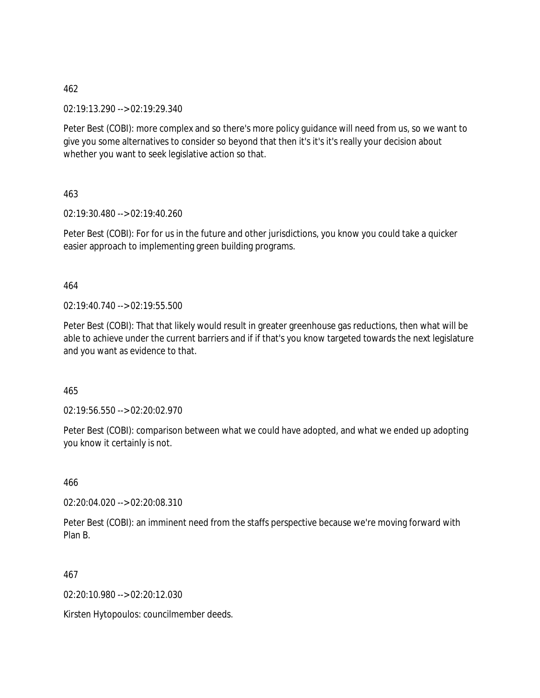02:19:13.290 --> 02:19:29.340

Peter Best (COBI): more complex and so there's more policy guidance will need from us, so we want to give you some alternatives to consider so beyond that then it's it's it's really your decision about whether you want to seek legislative action so that.

463

02:19:30.480 --> 02:19:40.260

Peter Best (COBI): For for us in the future and other jurisdictions, you know you could take a quicker easier approach to implementing green building programs.

464

02:19:40.740 --> 02:19:55.500

Peter Best (COBI): That that likely would result in greater greenhouse gas reductions, then what will be able to achieve under the current barriers and if if that's you know targeted towards the next legislature and you want as evidence to that.

465

02:19:56.550 --> 02:20:02.970

Peter Best (COBI): comparison between what we could have adopted, and what we ended up adopting you know it certainly is not.

466

02:20:04.020 --> 02:20:08.310

Peter Best (COBI): an imminent need from the staffs perspective because we're moving forward with Plan B.

467

02:20:10.980 --> 02:20:12.030

Kirsten Hytopoulos: councilmember deeds.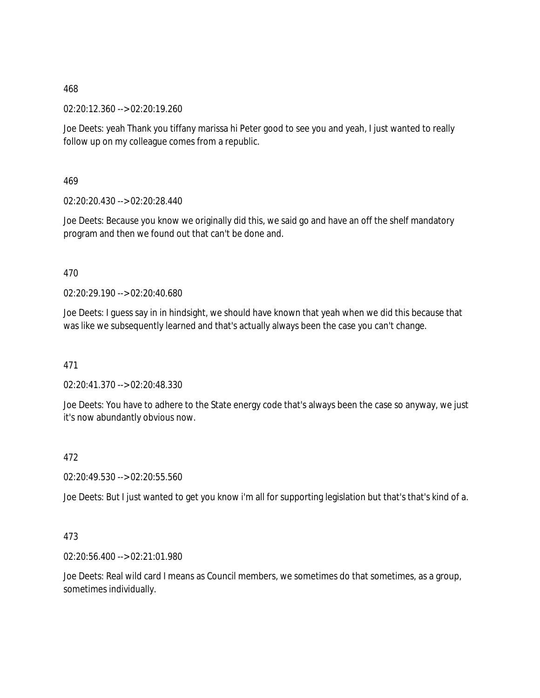02:20:12.360 --> 02:20:19.260

Joe Deets: yeah Thank you tiffany marissa hi Peter good to see you and yeah, I just wanted to really follow up on my colleague comes from a republic.

469

02:20:20.430 --> 02:20:28.440

Joe Deets: Because you know we originally did this, we said go and have an off the shelf mandatory program and then we found out that can't be done and.

470

02:20:29.190 --> 02:20:40.680

Joe Deets: I guess say in in hindsight, we should have known that yeah when we did this because that was like we subsequently learned and that's actually always been the case you can't change.

471

02:20:41.370 --> 02:20:48.330

Joe Deets: You have to adhere to the State energy code that's always been the case so anyway, we just it's now abundantly obvious now.

472

02:20:49.530 --> 02:20:55.560

Joe Deets: But I just wanted to get you know i'm all for supporting legislation but that's that's kind of a.

### 473

02:20:56.400 --> 02:21:01.980

Joe Deets: Real wild card I means as Council members, we sometimes do that sometimes, as a group, sometimes individually.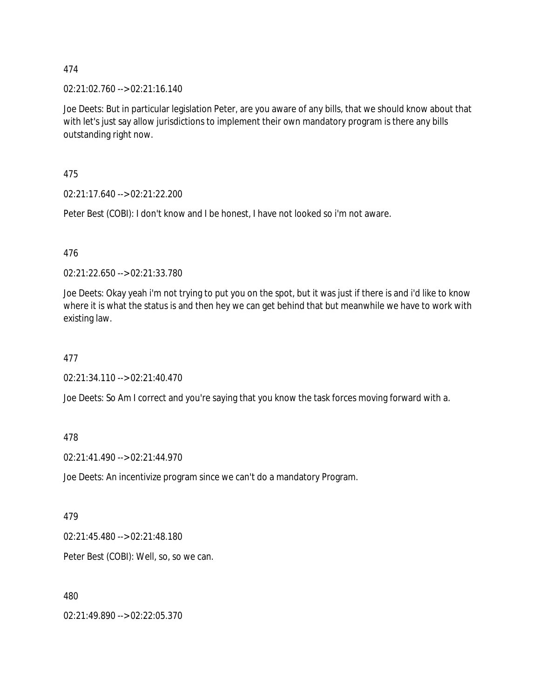02:21:02.760 --> 02:21:16.140

Joe Deets: But in particular legislation Peter, are you aware of any bills, that we should know about that with let's just say allow jurisdictions to implement their own mandatory program is there any bills outstanding right now.

475

02:21:17.640 --> 02:21:22.200

Peter Best (COBI): I don't know and I be honest, I have not looked so i'm not aware.

476

02:21:22.650 --> 02:21:33.780

Joe Deets: Okay yeah i'm not trying to put you on the spot, but it was just if there is and i'd like to know where it is what the status is and then hey we can get behind that but meanwhile we have to work with existing law.

477

02:21:34.110 --> 02:21:40.470

Joe Deets: So Am I correct and you're saying that you know the task forces moving forward with a.

478

02:21:41.490 --> 02:21:44.970

Joe Deets: An incentivize program since we can't do a mandatory Program.

479

02:21:45.480 --> 02:21:48.180

Peter Best (COBI): Well, so, so we can.

480

02:21:49.890 --> 02:22:05.370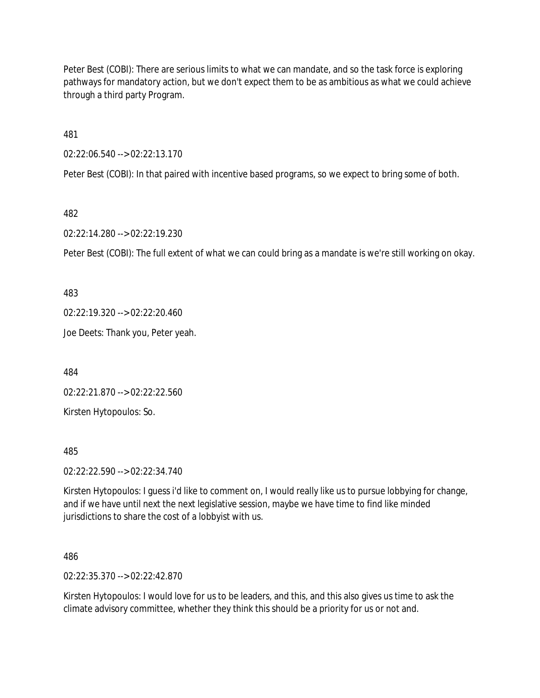Peter Best (COBI): There are serious limits to what we can mandate, and so the task force is exploring pathways for mandatory action, but we don't expect them to be as ambitious as what we could achieve through a third party Program.

481

02:22:06.540 --> 02:22:13.170

Peter Best (COBI): In that paired with incentive based programs, so we expect to bring some of both.

482

02:22:14.280 --> 02:22:19.230

Peter Best (COBI): The full extent of what we can could bring as a mandate is we're still working on okay.

483

02:22:19.320 --> 02:22:20.460

Joe Deets: Thank you, Peter yeah.

484

02:22:21.870 --> 02:22:22.560

Kirsten Hytopoulos: So.

485

02:22:22.590 --> 02:22:34.740

Kirsten Hytopoulos: I guess i'd like to comment on, I would really like us to pursue lobbying for change, and if we have until next the next legislative session, maybe we have time to find like minded jurisdictions to share the cost of a lobbyist with us.

486

02:22:35.370 --> 02:22:42.870

Kirsten Hytopoulos: I would love for us to be leaders, and this, and this also gives us time to ask the climate advisory committee, whether they think this should be a priority for us or not and.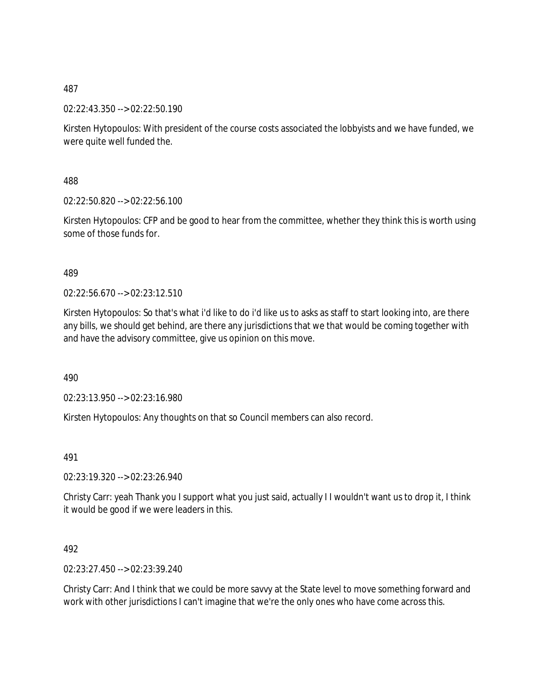02:22:43.350 --> 02:22:50.190

Kirsten Hytopoulos: With president of the course costs associated the lobbyists and we have funded, we were quite well funded the.

488

02:22:50.820 --> 02:22:56.100

Kirsten Hytopoulos: CFP and be good to hear from the committee, whether they think this is worth using some of those funds for.

### 489

 $02:22:56.670 \rightarrow 02:23:12.510$ 

Kirsten Hytopoulos: So that's what i'd like to do i'd like us to asks as staff to start looking into, are there any bills, we should get behind, are there any jurisdictions that we that would be coming together with and have the advisory committee, give us opinion on this move.

490

02:23:13.950 --> 02:23:16.980

Kirsten Hytopoulos: Any thoughts on that so Council members can also record.

491

02:23:19.320 --> 02:23:26.940

Christy Carr: yeah Thank you I support what you just said, actually I I wouldn't want us to drop it, I think it would be good if we were leaders in this.

### 492

02:23:27.450 --> 02:23:39.240

Christy Carr: And I think that we could be more savvy at the State level to move something forward and work with other jurisdictions I can't imagine that we're the only ones who have come across this.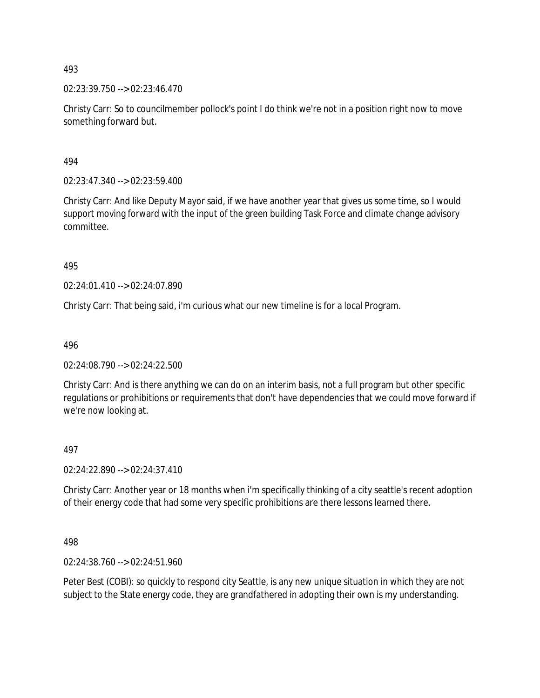02:23:39.750 --> 02:23:46.470

Christy Carr: So to councilmember pollock's point I do think we're not in a position right now to move something forward but.

494

02:23:47.340 --> 02:23:59.400

Christy Carr: And like Deputy Mayor said, if we have another year that gives us some time, so I would support moving forward with the input of the green building Task Force and climate change advisory committee.

495

02:24:01.410 --> 02:24:07.890

Christy Carr: That being said, i'm curious what our new timeline is for a local Program.

496

02:24:08.790 --> 02:24:22.500

Christy Carr: And is there anything we can do on an interim basis, not a full program but other specific regulations or prohibitions or requirements that don't have dependencies that we could move forward if we're now looking at.

497

02:24:22.890 --> 02:24:37.410

Christy Carr: Another year or 18 months when i'm specifically thinking of a city seattle's recent adoption of their energy code that had some very specific prohibitions are there lessons learned there.

498

02:24:38.760 --> 02:24:51.960

Peter Best (COBI): so quickly to respond city Seattle, is any new unique situation in which they are not subject to the State energy code, they are grandfathered in adopting their own is my understanding.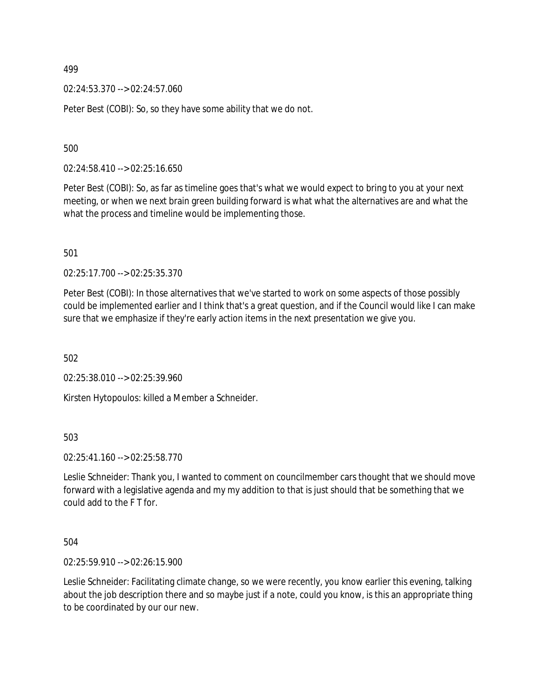02:24:53.370 --> 02:24:57.060

Peter Best (COBI): So, so they have some ability that we do not.

500

02:24:58.410 --> 02:25:16.650

Peter Best (COBI): So, as far as timeline goes that's what we would expect to bring to you at your next meeting, or when we next brain green building forward is what what the alternatives are and what the what the process and timeline would be implementing those.

501

02:25:17.700 --> 02:25:35.370

Peter Best (COBI): In those alternatives that we've started to work on some aspects of those possibly could be implemented earlier and I think that's a great question, and if the Council would like I can make sure that we emphasize if they're early action items in the next presentation we give you.

502

02:25:38.010 --> 02:25:39.960

Kirsten Hytopoulos: killed a Member a Schneider.

503

02:25:41.160 --> 02:25:58.770

Leslie Schneider: Thank you, I wanted to comment on councilmember cars thought that we should move forward with a legislative agenda and my my addition to that is just should that be something that we could add to the F T for.

504

02:25:59.910 --> 02:26:15.900

Leslie Schneider: Facilitating climate change, so we were recently, you know earlier this evening, talking about the job description there and so maybe just if a note, could you know, is this an appropriate thing to be coordinated by our our new.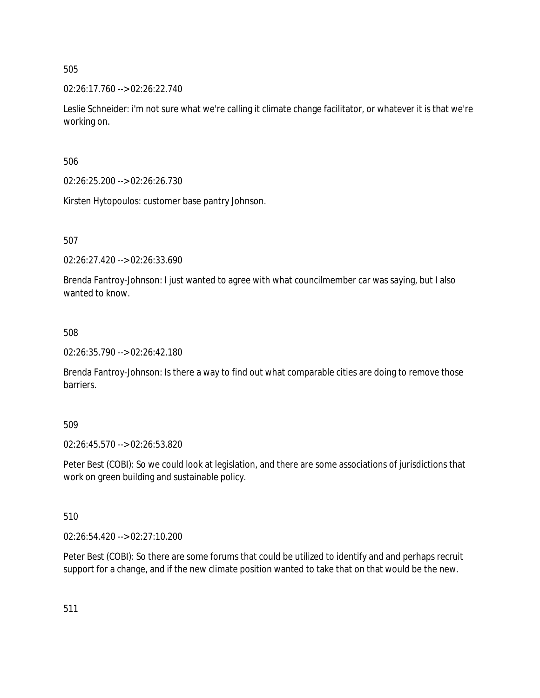02:26:17.760 --> 02:26:22.740

Leslie Schneider: i'm not sure what we're calling it climate change facilitator, or whatever it is that we're working on.

506

02:26:25.200 --> 02:26:26.730

Kirsten Hytopoulos: customer base pantry Johnson.

507

02:26:27.420 --> 02:26:33.690

Brenda Fantroy-Johnson: I just wanted to agree with what councilmember car was saying, but I also wanted to know.

508

02:26:35.790 --> 02:26:42.180

Brenda Fantroy-Johnson: Is there a way to find out what comparable cities are doing to remove those barriers.

509

02:26:45.570 --> 02:26:53.820

Peter Best (COBI): So we could look at legislation, and there are some associations of jurisdictions that work on green building and sustainable policy.

510

02:26:54.420 --> 02:27:10.200

Peter Best (COBI): So there are some forums that could be utilized to identify and and perhaps recruit support for a change, and if the new climate position wanted to take that on that would be the new.

511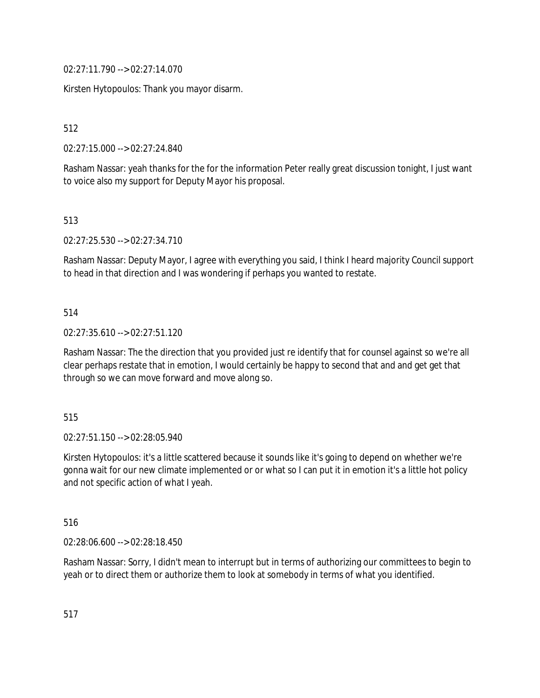02:27:11.790 --> 02:27:14.070

Kirsten Hytopoulos: Thank you mayor disarm.

512

02:27:15.000 --> 02:27:24.840

Rasham Nassar: yeah thanks for the for the information Peter really great discussion tonight, I just want to voice also my support for Deputy Mayor his proposal.

513

02:27:25.530 --> 02:27:34.710

Rasham Nassar: Deputy Mayor, I agree with everything you said, I think I heard majority Council support to head in that direction and I was wondering if perhaps you wanted to restate.

## 514

02:27:35.610 --> 02:27:51.120

Rasham Nassar: The the direction that you provided just re identify that for counsel against so we're all clear perhaps restate that in emotion, I would certainly be happy to second that and and get get that through so we can move forward and move along so.

515

02:27:51.150 --> 02:28:05.940

Kirsten Hytopoulos: it's a little scattered because it sounds like it's going to depend on whether we're gonna wait for our new climate implemented or or what so I can put it in emotion it's a little hot policy and not specific action of what I yeah.

516

02:28:06.600 --> 02:28:18.450

Rasham Nassar: Sorry, I didn't mean to interrupt but in terms of authorizing our committees to begin to yeah or to direct them or authorize them to look at somebody in terms of what you identified.

517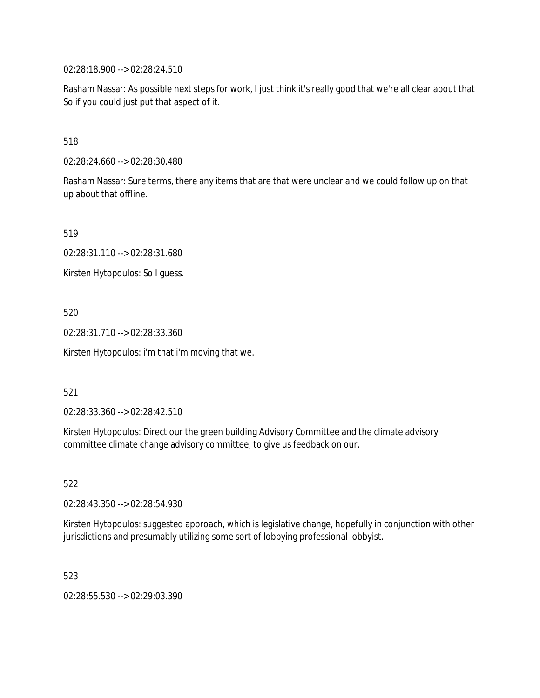02:28:18.900 --> 02:28:24.510

Rasham Nassar: As possible next steps for work, I just think it's really good that we're all clear about that So if you could just put that aspect of it.

518

02:28:24.660 --> 02:28:30.480

Rasham Nassar: Sure terms, there any items that are that were unclear and we could follow up on that up about that offline.

519

02:28:31.110 --> 02:28:31.680

Kirsten Hytopoulos: So I guess.

520

02:28:31.710 --> 02:28:33.360

Kirsten Hytopoulos: i'm that i'm moving that we.

521

02:28:33.360 --> 02:28:42.510

Kirsten Hytopoulos: Direct our the green building Advisory Committee and the climate advisory committee climate change advisory committee, to give us feedback on our.

522

02:28:43.350 --> 02:28:54.930

Kirsten Hytopoulos: suggested approach, which is legislative change, hopefully in conjunction with other jurisdictions and presumably utilizing some sort of lobbying professional lobbyist.

523

02:28:55.530 --> 02:29:03.390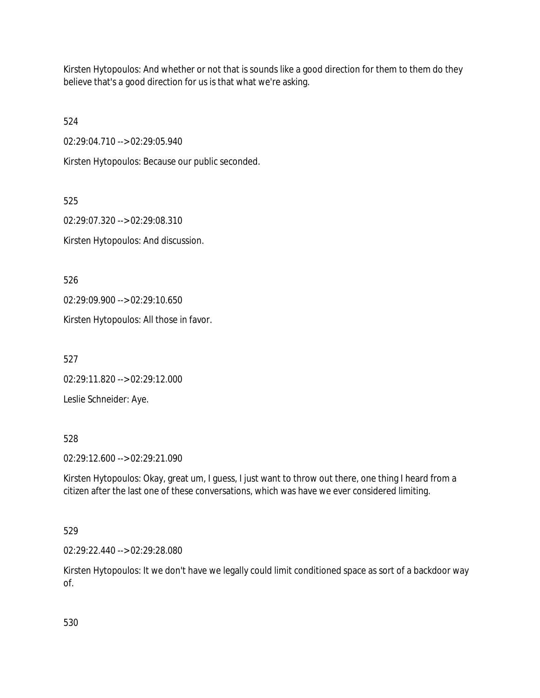Kirsten Hytopoulos: And whether or not that is sounds like a good direction for them to them do they believe that's a good direction for us is that what we're asking.

524

02:29:04.710 --> 02:29:05.940

Kirsten Hytopoulos: Because our public seconded.

525

02:29:07.320 --> 02:29:08.310 Kirsten Hytopoulos: And discussion.

526

02:29:09.900 --> 02:29:10.650

Kirsten Hytopoulos: All those in favor.

527

02:29:11.820 --> 02:29:12.000

Leslie Schneider: Aye.

528

02:29:12.600 --> 02:29:21.090

Kirsten Hytopoulos: Okay, great um, I guess, I just want to throw out there, one thing I heard from a citizen after the last one of these conversations, which was have we ever considered limiting.

# 529

02:29:22.440 --> 02:29:28.080

Kirsten Hytopoulos: It we don't have we legally could limit conditioned space as sort of a backdoor way of.

530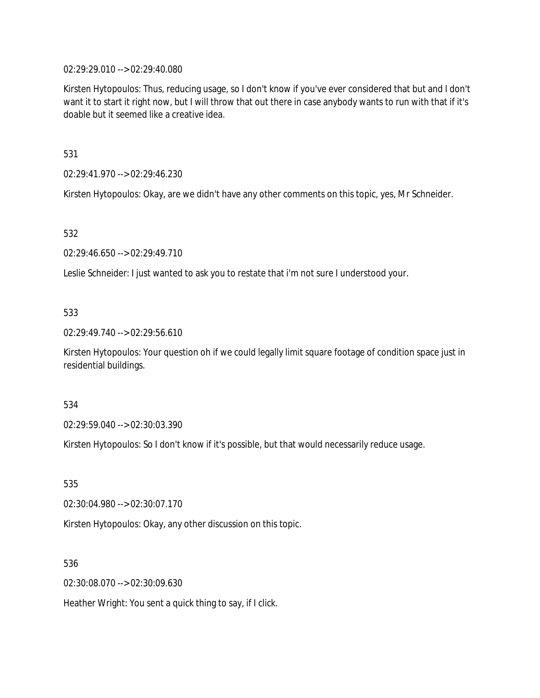02:29:29.010 --> 02:29:40.080

Kirsten Hytopoulos: Thus, reducing usage, so I don't know if you've ever considered that but and I don't want it to start it right now, but I will throw that out there in case anybody wants to run with that if it's doable but it seemed like a creative idea.

531

02:29:41.970 --> 02:29:46.230

Kirsten Hytopoulos: Okay, are we didn't have any other comments on this topic, yes, Mr Schneider.

532

02:29:46.650 --> 02:29:49.710

Leslie Schneider: I just wanted to ask you to restate that i'm not sure I understood your.

### 533

02:29:49.740 --> 02:29:56.610

Kirsten Hytopoulos: Your question oh if we could legally limit square footage of condition space just in residential buildings.

534

02:29:59.040 --> 02:30:03.390

Kirsten Hytopoulos: So I don't know if it's possible, but that would necessarily reduce usage.

535

02:30:04.980 --> 02:30:07.170

Kirsten Hytopoulos: Okay, any other discussion on this topic.

536

02:30:08.070 --> 02:30:09.630

Heather Wright: You sent a quick thing to say, if I click.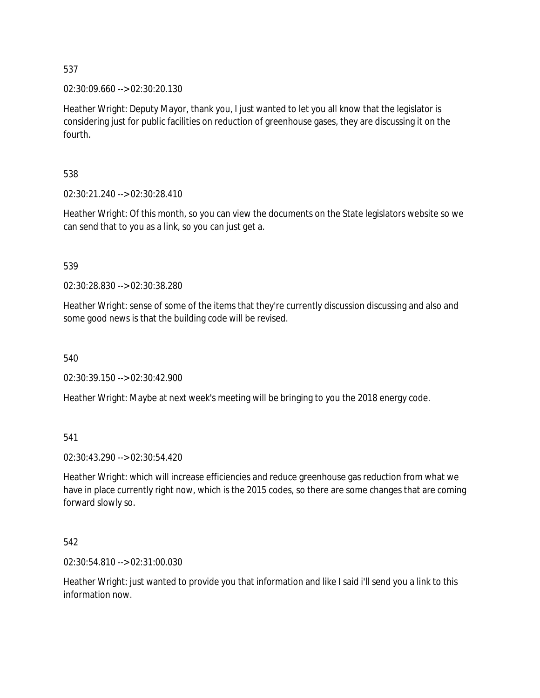02:30:09.660 --> 02:30:20.130

Heather Wright: Deputy Mayor, thank you, I just wanted to let you all know that the legislator is considering just for public facilities on reduction of greenhouse gases, they are discussing it on the fourth.

538

02:30:21.240 --> 02:30:28.410

Heather Wright: Of this month, so you can view the documents on the State legislators website so we can send that to you as a link, so you can just get a.

539

02:30:28.830 --> 02:30:38.280

Heather Wright: sense of some of the items that they're currently discussion discussing and also and some good news is that the building code will be revised.

540

02:30:39.150 --> 02:30:42.900

Heather Wright: Maybe at next week's meeting will be bringing to you the 2018 energy code.

541

02:30:43.290 --> 02:30:54.420

Heather Wright: which will increase efficiencies and reduce greenhouse gas reduction from what we have in place currently right now, which is the 2015 codes, so there are some changes that are coming forward slowly so.

542

02:30:54.810 --> 02:31:00.030

Heather Wright: just wanted to provide you that information and like I said i'll send you a link to this information now.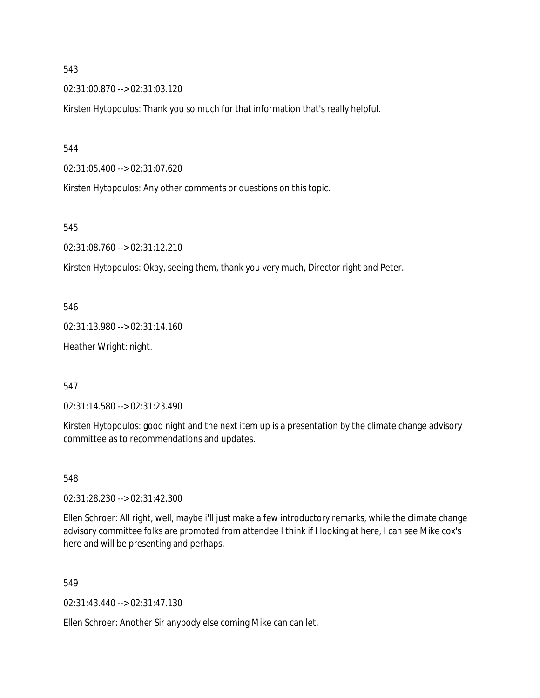02:31:00.870 --> 02:31:03.120

Kirsten Hytopoulos: Thank you so much for that information that's really helpful.

544

02:31:05.400 --> 02:31:07.620

Kirsten Hytopoulos: Any other comments or questions on this topic.

545

02:31:08.760 --> 02:31:12.210

Kirsten Hytopoulos: Okay, seeing them, thank you very much, Director right and Peter.

546

02:31:13.980 --> 02:31:14.160

Heather Wright: night.

547

02:31:14.580 --> 02:31:23.490

Kirsten Hytopoulos: good night and the next item up is a presentation by the climate change advisory committee as to recommendations and updates.

548

02:31:28.230 --> 02:31:42.300

Ellen Schroer: All right, well, maybe i'll just make a few introductory remarks, while the climate change advisory committee folks are promoted from attendee I think if I looking at here, I can see Mike cox's here and will be presenting and perhaps.

549

02:31:43.440 --> 02:31:47.130

Ellen Schroer: Another Sir anybody else coming Mike can can let.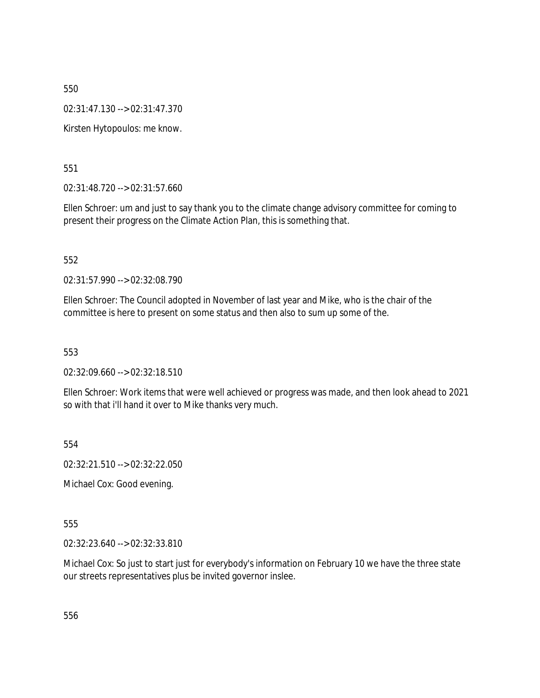02:31:47.130 --> 02:31:47.370

Kirsten Hytopoulos: me know.

551

02:31:48.720 --> 02:31:57.660

Ellen Schroer: um and just to say thank you to the climate change advisory committee for coming to present their progress on the Climate Action Plan, this is something that.

552

02:31:57.990 --> 02:32:08.790

Ellen Schroer: The Council adopted in November of last year and Mike, who is the chair of the committee is here to present on some status and then also to sum up some of the.

553

02:32:09.660 --> 02:32:18.510

Ellen Schroer: Work items that were well achieved or progress was made, and then look ahead to 2021 so with that i'll hand it over to Mike thanks very much.

554

02:32:21.510 --> 02:32:22.050

Michael Cox: Good evening.

555

02:32:23.640 --> 02:32:33.810

Michael Cox: So just to start just for everybody's information on February 10 we have the three state our streets representatives plus be invited governor inslee.

556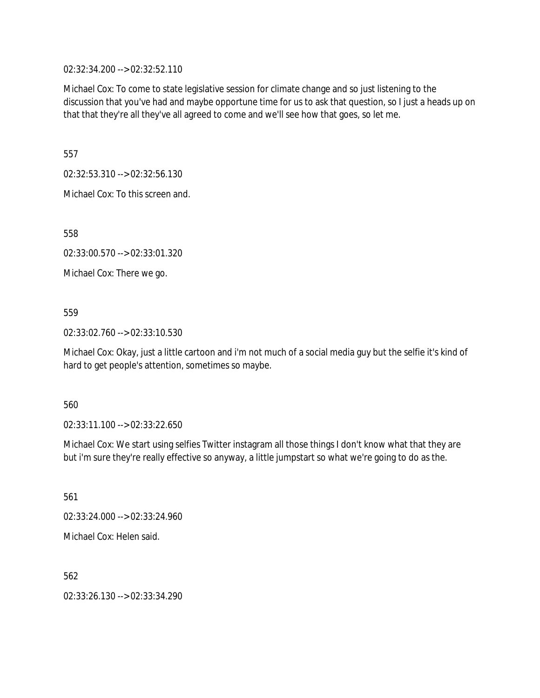02:32:34.200 --> 02:32:52.110

Michael Cox: To come to state legislative session for climate change and so just listening to the discussion that you've had and maybe opportune time for us to ask that question, so I just a heads up on that that they're all they've all agreed to come and we'll see how that goes, so let me.

557

02:32:53.310 --> 02:32:56.130

Michael Cox: To this screen and.

558

02:33:00.570 --> 02:33:01.320

Michael Cox: There we go.

### 559

02:33:02.760 --> 02:33:10.530

Michael Cox: Okay, just a little cartoon and i'm not much of a social media guy but the selfie it's kind of hard to get people's attention, sometimes so maybe.

### 560

02:33:11.100 --> 02:33:22.650

Michael Cox: We start using selfies Twitter instagram all those things I don't know what that they are but i'm sure they're really effective so anyway, a little jumpstart so what we're going to do as the.

561

02:33:24.000 --> 02:33:24.960

Michael Cox: Helen said.

562

02:33:26.130 --> 02:33:34.290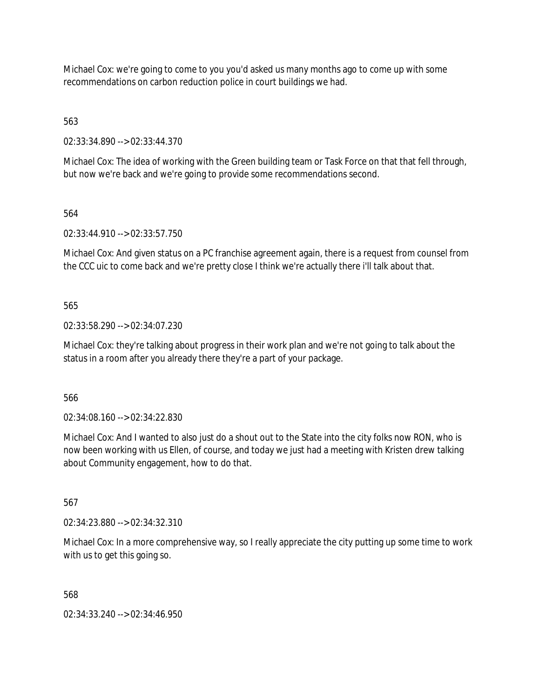Michael Cox: we're going to come to you you'd asked us many months ago to come up with some recommendations on carbon reduction police in court buildings we had.

563

02:33:34.890 --> 02:33:44.370

Michael Cox: The idea of working with the Green building team or Task Force on that that fell through, but now we're back and we're going to provide some recommendations second.

564

02:33:44.910 --> 02:33:57.750

Michael Cox: And given status on a PC franchise agreement again, there is a request from counsel from the CCC uic to come back and we're pretty close I think we're actually there i'll talk about that.

565

02:33:58.290 --> 02:34:07.230

Michael Cox: they're talking about progress in their work plan and we're not going to talk about the status in a room after you already there they're a part of your package.

566

02:34:08.160 --> 02:34:22.830

Michael Cox: And I wanted to also just do a shout out to the State into the city folks now RON, who is now been working with us Ellen, of course, and today we just had a meeting with Kristen drew talking about Community engagement, how to do that.

567

02:34:23.880 --> 02:34:32.310

Michael Cox: In a more comprehensive way, so I really appreciate the city putting up some time to work with us to get this going so.

568

02:34:33.240 --> 02:34:46.950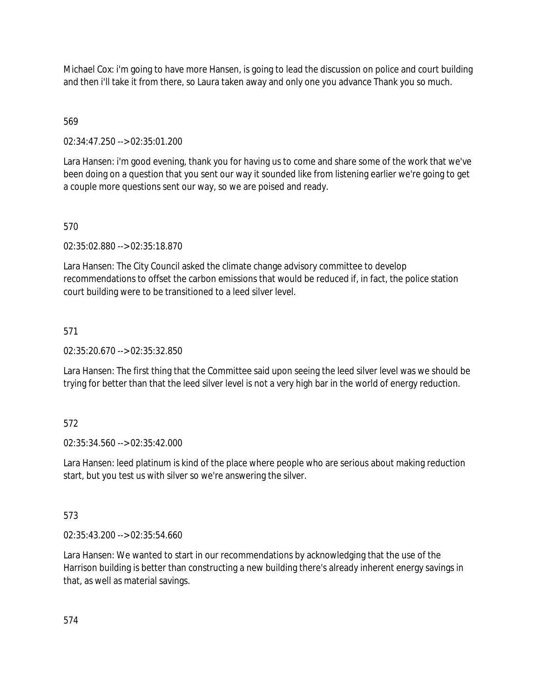Michael Cox: i'm going to have more Hansen, is going to lead the discussion on police and court building and then i'll take it from there, so Laura taken away and only one you advance Thank you so much.

# 569

02:34:47.250 --> 02:35:01.200

Lara Hansen: i'm good evening, thank you for having us to come and share some of the work that we've been doing on a question that you sent our way it sounded like from listening earlier we're going to get a couple more questions sent our way, so we are poised and ready.

# 570

02:35:02.880 --> 02:35:18.870

Lara Hansen: The City Council asked the climate change advisory committee to develop recommendations to offset the carbon emissions that would be reduced if, in fact, the police station court building were to be transitioned to a leed silver level.

## 571

02:35:20.670 --> 02:35:32.850

Lara Hansen: The first thing that the Committee said upon seeing the leed silver level was we should be trying for better than that the leed silver level is not a very high bar in the world of energy reduction.

# 572

02:35:34.560 --> 02:35:42.000

Lara Hansen: leed platinum is kind of the place where people who are serious about making reduction start, but you test us with silver so we're answering the silver.

### 573

02:35:43.200 --> 02:35:54.660

Lara Hansen: We wanted to start in our recommendations by acknowledging that the use of the Harrison building is better than constructing a new building there's already inherent energy savings in that, as well as material savings.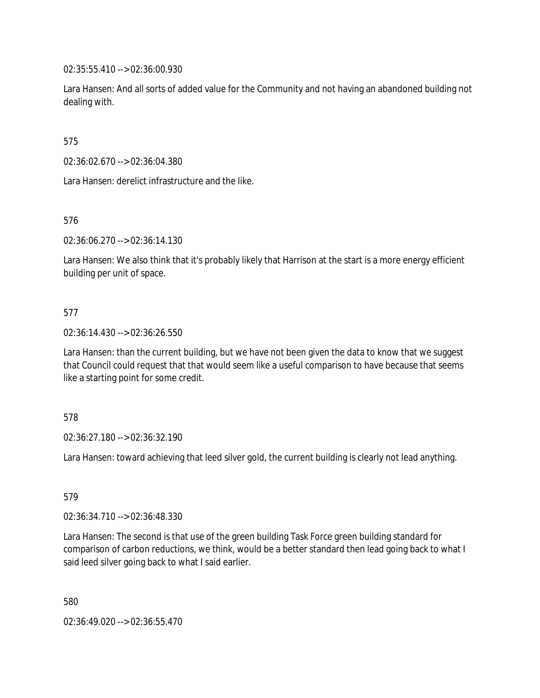02:35:55.410 --> 02:36:00.930

Lara Hansen: And all sorts of added value for the Community and not having an abandoned building not dealing with.

575

02:36:02.670 --> 02:36:04.380

Lara Hansen: derelict infrastructure and the like.

576

02:36:06.270 --> 02:36:14.130

Lara Hansen: We also think that it's probably likely that Harrison at the start is a more energy efficient building per unit of space.

## 577

02:36:14.430 --> 02:36:26.550

Lara Hansen: than the current building, but we have not been given the data to know that we suggest that Council could request that that would seem like a useful comparison to have because that seems like a starting point for some credit.

578

02:36:27.180 --> 02:36:32.190

Lara Hansen: toward achieving that leed silver gold, the current building is clearly not lead anything.

579

02:36:34.710 --> 02:36:48.330

Lara Hansen: The second is that use of the green building Task Force green building standard for comparison of carbon reductions, we think, would be a better standard then lead going back to what I said leed silver going back to what I said earlier.

580

02:36:49.020 --> 02:36:55.470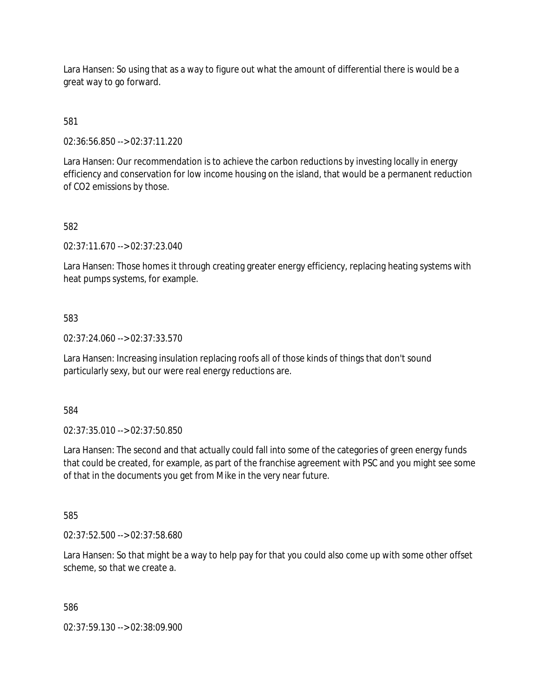Lara Hansen: So using that as a way to figure out what the amount of differential there is would be a great way to go forward.

581

02:36:56.850 --> 02:37:11.220

Lara Hansen: Our recommendation is to achieve the carbon reductions by investing locally in energy efficiency and conservation for low income housing on the island, that would be a permanent reduction of CO2 emissions by those.

## 582

02:37:11.670 --> 02:37:23.040

Lara Hansen: Those homes it through creating greater energy efficiency, replacing heating systems with heat pumps systems, for example.

### 583

02:37:24.060 --> 02:37:33.570

Lara Hansen: Increasing insulation replacing roofs all of those kinds of things that don't sound particularly sexy, but our were real energy reductions are.

584

02:37:35.010 --> 02:37:50.850

Lara Hansen: The second and that actually could fall into some of the categories of green energy funds that could be created, for example, as part of the franchise agreement with PSC and you might see some of that in the documents you get from Mike in the very near future.

585

02:37:52.500 --> 02:37:58.680

Lara Hansen: So that might be a way to help pay for that you could also come up with some other offset scheme, so that we create a.

#### 586

02:37:59.130 --> 02:38:09.900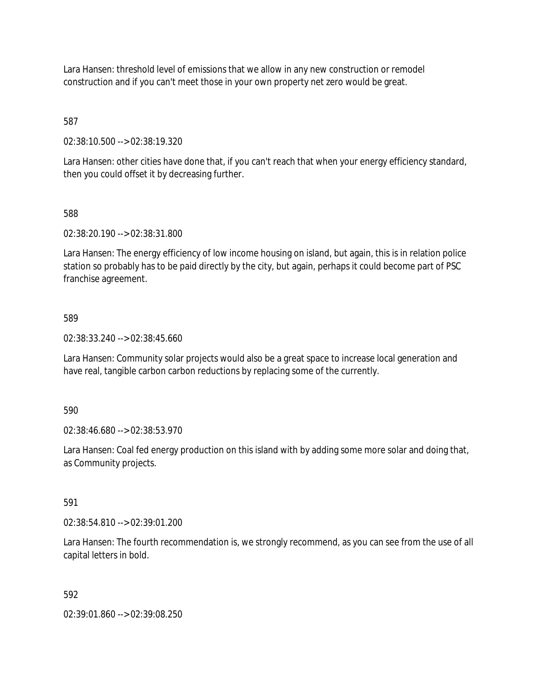Lara Hansen: threshold level of emissions that we allow in any new construction or remodel construction and if you can't meet those in your own property net zero would be great.

587

02:38:10.500 --> 02:38:19.320

Lara Hansen: other cities have done that, if you can't reach that when your energy efficiency standard, then you could offset it by decreasing further.

### 588

02:38:20.190 --> 02:38:31.800

Lara Hansen: The energy efficiency of low income housing on island, but again, this is in relation police station so probably has to be paid directly by the city, but again, perhaps it could become part of PSC franchise agreement.

## 589

02:38:33.240 --> 02:38:45.660

Lara Hansen: Community solar projects would also be a great space to increase local generation and have real, tangible carbon carbon reductions by replacing some of the currently.

590

02:38:46.680 --> 02:38:53.970

Lara Hansen: Coal fed energy production on this island with by adding some more solar and doing that, as Community projects.

# 591

02:38:54.810 --> 02:39:01.200

Lara Hansen: The fourth recommendation is, we strongly recommend, as you can see from the use of all capital letters in bold.

### 592

02:39:01.860 --> 02:39:08.250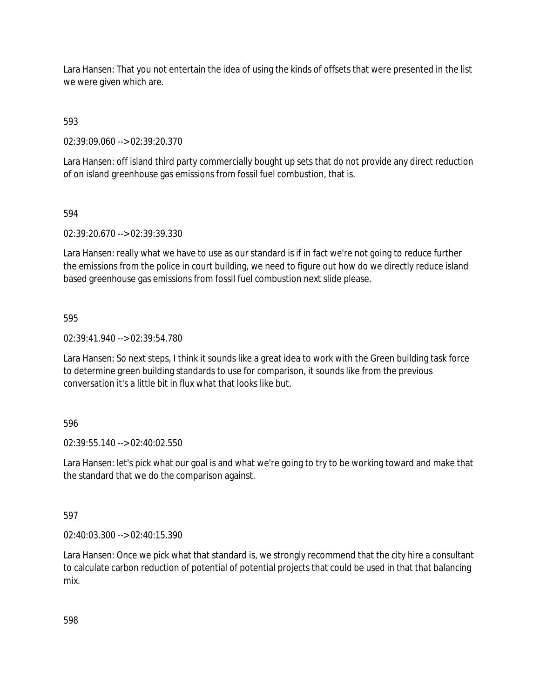Lara Hansen: That you not entertain the idea of using the kinds of offsets that were presented in the list we were given which are.

593

02:39:09.060 --> 02:39:20.370

Lara Hansen: off island third party commercially bought up sets that do not provide any direct reduction of on island greenhouse gas emissions from fossil fuel combustion, that is.

594

02:39:20.670 --> 02:39:39.330

Lara Hansen: really what we have to use as our standard is if in fact we're not going to reduce further the emissions from the police in court building, we need to figure out how do we directly reduce island based greenhouse gas emissions from fossil fuel combustion next slide please.

595

02:39:41.940 --> 02:39:54.780

Lara Hansen: So next steps, I think it sounds like a great idea to work with the Green building task force to determine green building standards to use for comparison, it sounds like from the previous conversation it's a little bit in flux what that looks like but.

### 596

02:39:55.140 --> 02:40:02.550

Lara Hansen: let's pick what our goal is and what we're going to try to be working toward and make that the standard that we do the comparison against.

597

02:40:03.300 --> 02:40:15.390

Lara Hansen: Once we pick what that standard is, we strongly recommend that the city hire a consultant to calculate carbon reduction of potential of potential projects that could be used in that that balancing mix.

598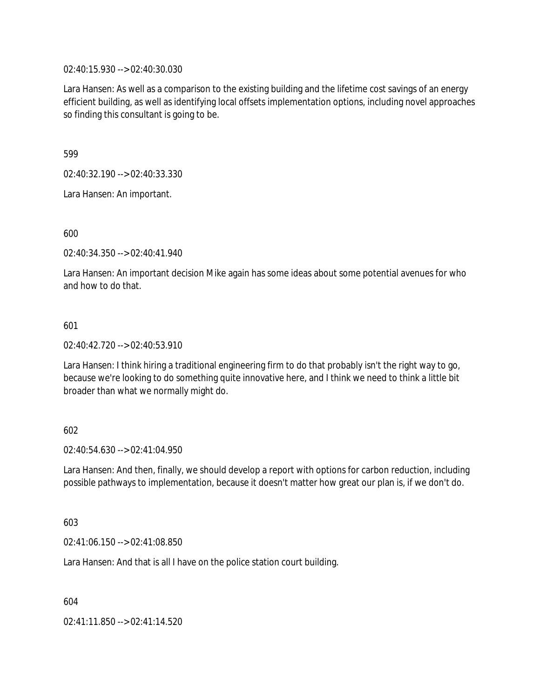02:40:15.930 --> 02:40:30.030

Lara Hansen: As well as a comparison to the existing building and the lifetime cost savings of an energy efficient building, as well as identifying local offsets implementation options, including novel approaches so finding this consultant is going to be.

599

02:40:32.190 --> 02:40:33.330

Lara Hansen: An important.

600

02:40:34.350 --> 02:40:41.940

Lara Hansen: An important decision Mike again has some ideas about some potential avenues for who and how to do that.

#### 601

02:40:42.720 --> 02:40:53.910

Lara Hansen: I think hiring a traditional engineering firm to do that probably isn't the right way to go, because we're looking to do something quite innovative here, and I think we need to think a little bit broader than what we normally might do.

#### 602

02:40:54.630 --> 02:41:04.950

Lara Hansen: And then, finally, we should develop a report with options for carbon reduction, including possible pathways to implementation, because it doesn't matter how great our plan is, if we don't do.

603

02:41:06.150 --> 02:41:08.850

Lara Hansen: And that is all I have on the police station court building.

604

02:41:11.850 --> 02:41:14.520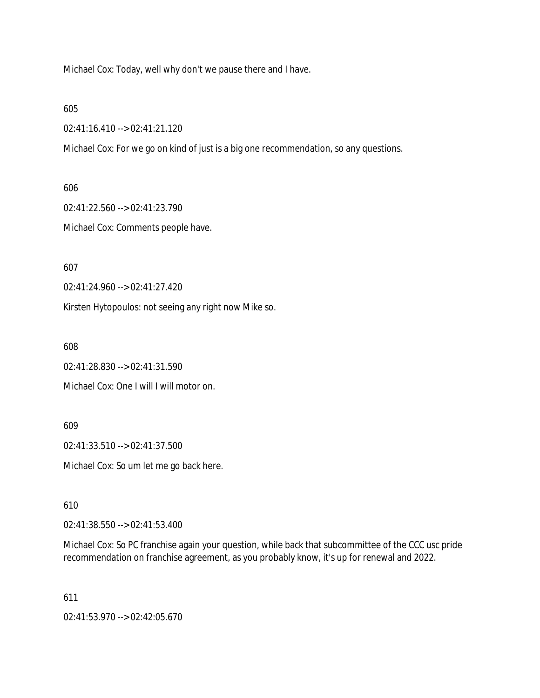Michael Cox: Today, well why don't we pause there and I have.

605

02:41:16.410 --> 02:41:21.120

Michael Cox: For we go on kind of just is a big one recommendation, so any questions.

606

02:41:22.560 --> 02:41:23.790

Michael Cox: Comments people have.

607

02:41:24.960 --> 02:41:27.420

Kirsten Hytopoulos: not seeing any right now Mike so.

608

02:41:28.830 --> 02:41:31.590

Michael Cox: One I will I will motor on.

609

02:41:33.510 --> 02:41:37.500

Michael Cox: So um let me go back here.

610

02:41:38.550 --> 02:41:53.400

Michael Cox: So PC franchise again your question, while back that subcommittee of the CCC usc pride recommendation on franchise agreement, as you probably know, it's up for renewal and 2022.

611

02:41:53.970 --> 02:42:05.670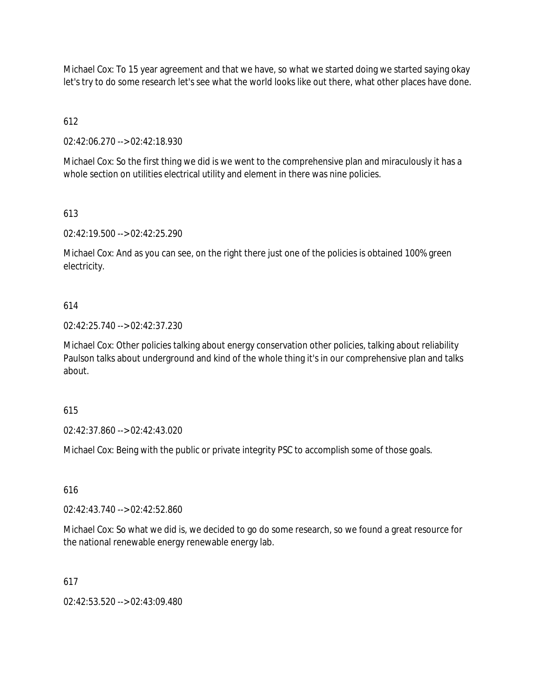Michael Cox: To 15 year agreement and that we have, so what we started doing we started saying okay let's try to do some research let's see what the world looks like out there, what other places have done.

612

02:42:06.270 --> 02:42:18.930

Michael Cox: So the first thing we did is we went to the comprehensive plan and miraculously it has a whole section on utilities electrical utility and element in there was nine policies.

# 613

02:42:19.500 --> 02:42:25.290

Michael Cox: And as you can see, on the right there just one of the policies is obtained 100% green electricity.

## 614

02:42:25.740 --> 02:42:37.230

Michael Cox: Other policies talking about energy conservation other policies, talking about reliability Paulson talks about underground and kind of the whole thing it's in our comprehensive plan and talks about.

### 615

02:42:37.860 --> 02:42:43.020

Michael Cox: Being with the public or private integrity PSC to accomplish some of those goals.

### 616

02:42:43.740 --> 02:42:52.860

Michael Cox: So what we did is, we decided to go do some research, so we found a great resource for the national renewable energy renewable energy lab.

### 617

02:42:53.520 --> 02:43:09.480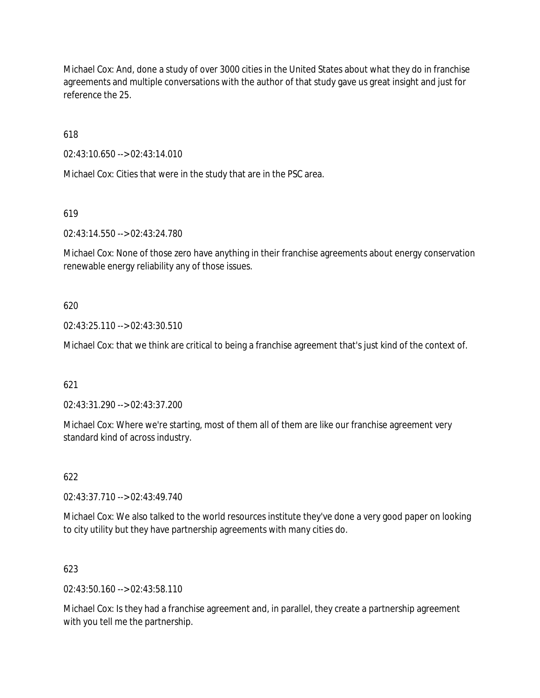Michael Cox: And, done a study of over 3000 cities in the United States about what they do in franchise agreements and multiple conversations with the author of that study gave us great insight and just for reference the 25.

618

02:43:10.650 --> 02:43:14.010

Michael Cox: Cities that were in the study that are in the PSC area.

619

02:43:14.550 --> 02:43:24.780

Michael Cox: None of those zero have anything in their franchise agreements about energy conservation renewable energy reliability any of those issues.

### 620

02:43:25.110 --> 02:43:30.510

Michael Cox: that we think are critical to being a franchise agreement that's just kind of the context of.

### 621

02:43:31.290 --> 02:43:37.200

Michael Cox: Where we're starting, most of them all of them are like our franchise agreement very standard kind of across industry.

622

02:43:37.710 --> 02:43:49.740

Michael Cox: We also talked to the world resources institute they've done a very good paper on looking to city utility but they have partnership agreements with many cities do.

### 623

 $02.43:50.160 \rightarrow 02.43:58.110$ 

Michael Cox: Is they had a franchise agreement and, in parallel, they create a partnership agreement with you tell me the partnership.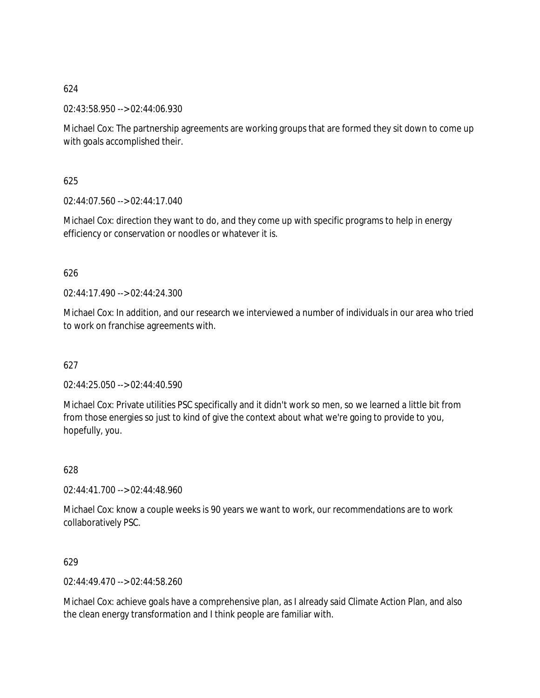02:43:58.950 --> 02:44:06.930

Michael Cox: The partnership agreements are working groups that are formed they sit down to come up with goals accomplished their.

625

 $02:44:07.560 \rightarrow 02:44:17.040$ 

Michael Cox: direction they want to do, and they come up with specific programs to help in energy efficiency or conservation or noodles or whatever it is.

### 626

02:44:17.490 --> 02:44:24.300

Michael Cox: In addition, and our research we interviewed a number of individuals in our area who tried to work on franchise agreements with.

# 627

02:44:25.050 --> 02:44:40.590

Michael Cox: Private utilities PSC specifically and it didn't work so men, so we learned a little bit from from those energies so just to kind of give the context about what we're going to provide to you, hopefully, you.

628

02:44:41.700 --> 02:44:48.960

Michael Cox: know a couple weeks is 90 years we want to work, our recommendations are to work collaboratively PSC.

629

02:44:49.470 --> 02:44:58.260

Michael Cox: achieve goals have a comprehensive plan, as I already said Climate Action Plan, and also the clean energy transformation and I think people are familiar with.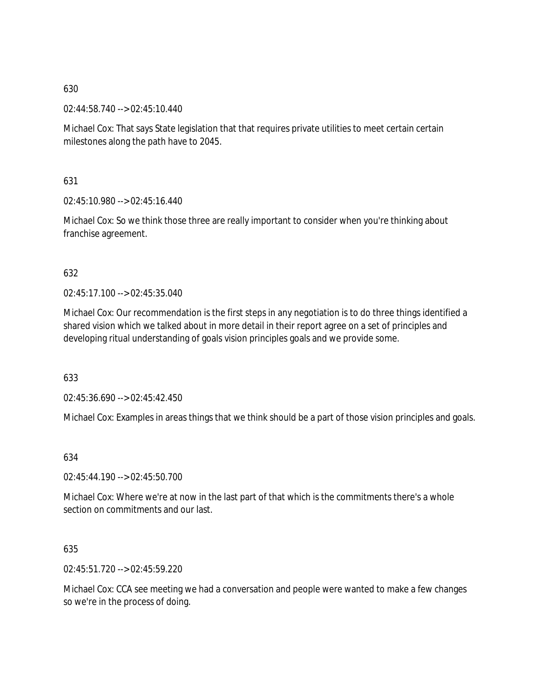02:44:58.740 --> 02:45:10.440

Michael Cox: That says State legislation that that requires private utilities to meet certain certain milestones along the path have to 2045.

631

02:45:10.980 --> 02:45:16.440

Michael Cox: So we think those three are really important to consider when you're thinking about franchise agreement.

## 632

 $02.45.17.100 -> 02.45.35.040$ 

Michael Cox: Our recommendation is the first steps in any negotiation is to do three things identified a shared vision which we talked about in more detail in their report agree on a set of principles and developing ritual understanding of goals vision principles goals and we provide some.

633

02:45:36.690 --> 02:45:42.450

Michael Cox: Examples in areas things that we think should be a part of those vision principles and goals.

### 634

02:45:44.190 --> 02:45:50.700

Michael Cox: Where we're at now in the last part of that which is the commitments there's a whole section on commitments and our last.

# 635

02:45:51.720 --> 02:45:59.220

Michael Cox: CCA see meeting we had a conversation and people were wanted to make a few changes so we're in the process of doing.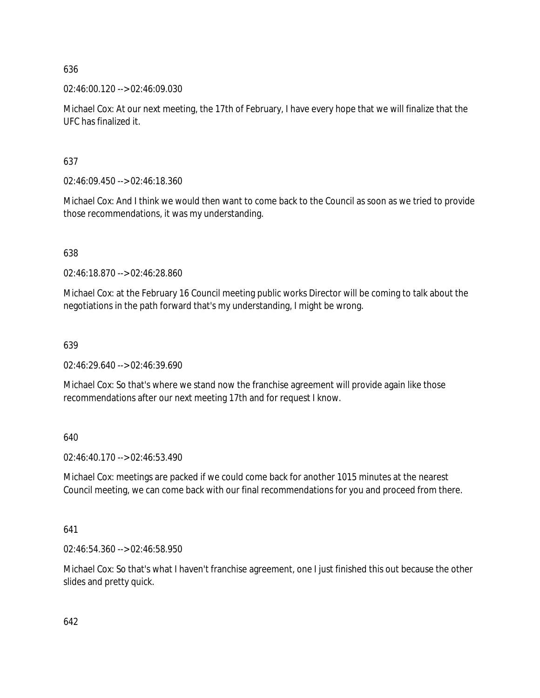02:46:00.120 --> 02:46:09.030

Michael Cox: At our next meeting, the 17th of February, I have every hope that we will finalize that the UFC has finalized it.

637

02:46:09.450 --> 02:46:18.360

Michael Cox: And I think we would then want to come back to the Council as soon as we tried to provide those recommendations, it was my understanding.

638

02:46:18.870 --> 02:46:28.860

Michael Cox: at the February 16 Council meeting public works Director will be coming to talk about the negotiations in the path forward that's my understanding, I might be wrong.

639

02:46:29.640 --> 02:46:39.690

Michael Cox: So that's where we stand now the franchise agreement will provide again like those recommendations after our next meeting 17th and for request I know.

640

02:46:40.170 --> 02:46:53.490

Michael Cox: meetings are packed if we could come back for another 1015 minutes at the nearest Council meeting, we can come back with our final recommendations for you and proceed from there.

641

02:46:54.360 --> 02:46:58.950

Michael Cox: So that's what I haven't franchise agreement, one I just finished this out because the other slides and pretty quick.

642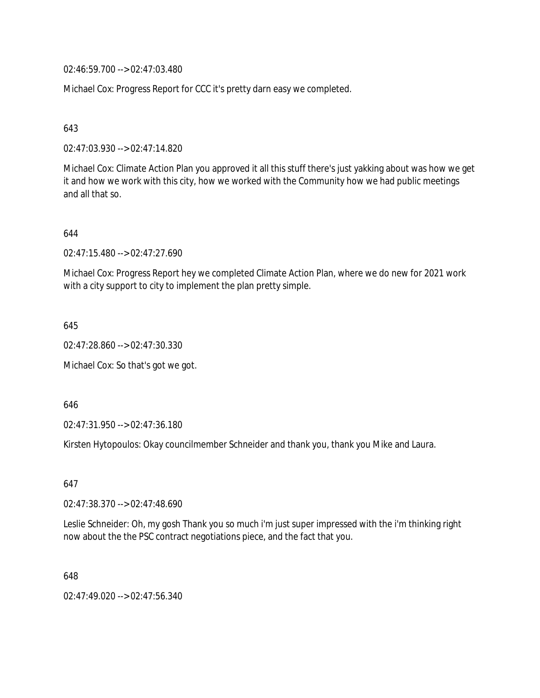02:46:59.700 --> 02:47:03.480

Michael Cox: Progress Report for CCC it's pretty darn easy we completed.

643

02:47:03.930 --> 02:47:14.820

Michael Cox: Climate Action Plan you approved it all this stuff there's just yakking about was how we get it and how we work with this city, how we worked with the Community how we had public meetings and all that so.

644

02:47:15.480 --> 02:47:27.690

Michael Cox: Progress Report hey we completed Climate Action Plan, where we do new for 2021 work with a city support to city to implement the plan pretty simple.

645

02:47:28.860 --> 02:47:30.330

Michael Cox: So that's got we got.

646

02:47:31.950 --> 02:47:36.180

Kirsten Hytopoulos: Okay councilmember Schneider and thank you, thank you Mike and Laura.

647

02:47:38.370 --> 02:47:48.690

Leslie Schneider: Oh, my gosh Thank you so much i'm just super impressed with the i'm thinking right now about the the PSC contract negotiations piece, and the fact that you.

648

02:47:49.020 --> 02:47:56.340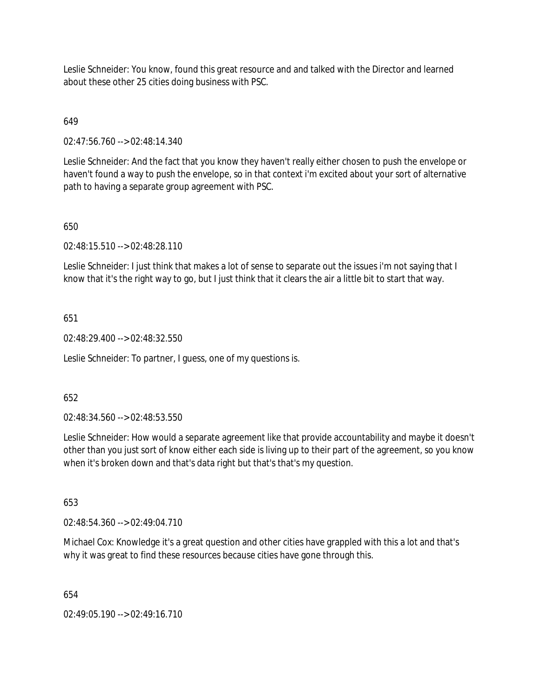Leslie Schneider: You know, found this great resource and and talked with the Director and learned about these other 25 cities doing business with PSC.

# 649

02:47:56.760 --> 02:48:14.340

Leslie Schneider: And the fact that you know they haven't really either chosen to push the envelope or haven't found a way to push the envelope, so in that context i'm excited about your sort of alternative path to having a separate group agreement with PSC.

# 650

02:48:15.510 --> 02:48:28.110

Leslie Schneider: I just think that makes a lot of sense to separate out the issues i'm not saying that I know that it's the right way to go, but I just think that it clears the air a little bit to start that way.

## 651

02:48:29.400 --> 02:48:32.550

Leslie Schneider: To partner, I guess, one of my questions is.

### 652

02:48:34.560 --> 02:48:53.550

Leslie Schneider: How would a separate agreement like that provide accountability and maybe it doesn't other than you just sort of know either each side is living up to their part of the agreement, so you know when it's broken down and that's data right but that's that's my question.

### 653

02:48:54.360 --> 02:49:04.710

Michael Cox: Knowledge it's a great question and other cities have grappled with this a lot and that's why it was great to find these resources because cities have gone through this.

### 654

02:49:05.190 --> 02:49:16.710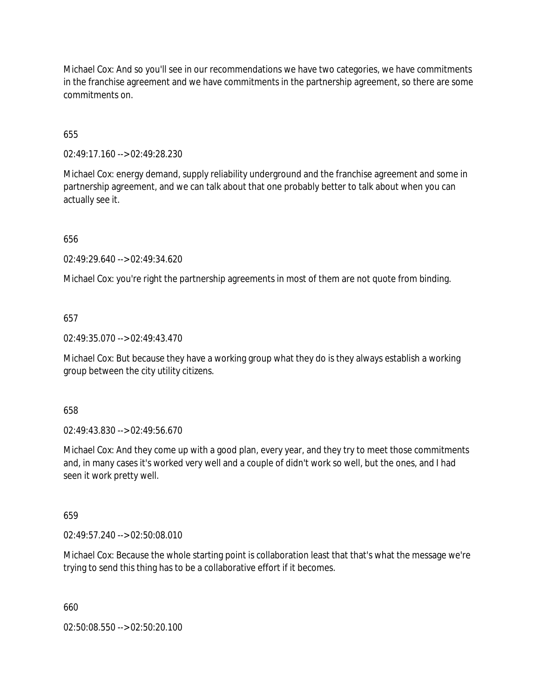Michael Cox: And so you'll see in our recommendations we have two categories, we have commitments in the franchise agreement and we have commitments in the partnership agreement, so there are some commitments on.

655

02:49:17.160 --> 02:49:28.230

Michael Cox: energy demand, supply reliability underground and the franchise agreement and some in partnership agreement, and we can talk about that one probably better to talk about when you can actually see it.

656

02:49:29.640 --> 02:49:34.620

Michael Cox: you're right the partnership agreements in most of them are not quote from binding.

657

02:49:35.070 --> 02:49:43.470

Michael Cox: But because they have a working group what they do is they always establish a working group between the city utility citizens.

658

02:49:43.830 --> 02:49:56.670

Michael Cox: And they come up with a good plan, every year, and they try to meet those commitments and, in many cases it's worked very well and a couple of didn't work so well, but the ones, and I had seen it work pretty well.

659

02:49:57.240 --> 02:50:08.010

Michael Cox: Because the whole starting point is collaboration least that that's what the message we're trying to send this thing has to be a collaborative effort if it becomes.

660

02:50:08.550 --> 02:50:20.100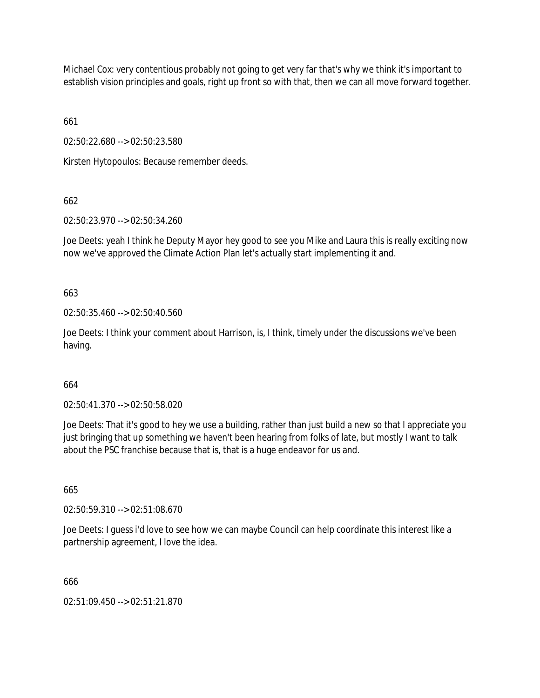Michael Cox: very contentious probably not going to get very far that's why we think it's important to establish vision principles and goals, right up front so with that, then we can all move forward together.

661

02:50:22.680 --> 02:50:23.580

Kirsten Hytopoulos: Because remember deeds.

662

02:50:23.970 --> 02:50:34.260

Joe Deets: yeah I think he Deputy Mayor hey good to see you Mike and Laura this is really exciting now now we've approved the Climate Action Plan let's actually start implementing it and.

663

02:50:35.460 --> 02:50:40.560

Joe Deets: I think your comment about Harrison, is, I think, timely under the discussions we've been having.

### 664

02:50:41.370 --> 02:50:58.020

Joe Deets: That it's good to hey we use a building, rather than just build a new so that I appreciate you just bringing that up something we haven't been hearing from folks of late, but mostly I want to talk about the PSC franchise because that is, that is a huge endeavor for us and.

665

02:50:59.310 --> 02:51:08.670

Joe Deets: I guess i'd love to see how we can maybe Council can help coordinate this interest like a partnership agreement, I love the idea.

666

02:51:09.450 --> 02:51:21.870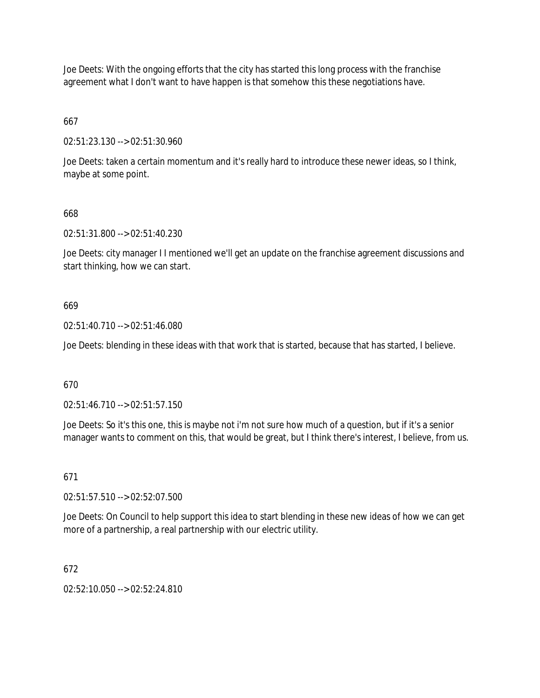Joe Deets: With the ongoing efforts that the city has started this long process with the franchise agreement what I don't want to have happen is that somehow this these negotiations have.

# 667

02:51:23.130 --> 02:51:30.960

Joe Deets: taken a certain momentum and it's really hard to introduce these newer ideas, so I think, maybe at some point.

## 668

02:51:31.800 --> 02:51:40.230

Joe Deets: city manager I I mentioned we'll get an update on the franchise agreement discussions and start thinking, how we can start.

### 669

02:51:40.710 --> 02:51:46.080

Joe Deets: blending in these ideas with that work that is started, because that has started, I believe.

### 670

02:51:46.710 --> 02:51:57.150

Joe Deets: So it's this one, this is maybe not i'm not sure how much of a question, but if it's a senior manager wants to comment on this, that would be great, but I think there's interest, I believe, from us.

### 671

02:51:57.510 --> 02:52:07.500

Joe Deets: On Council to help support this idea to start blending in these new ideas of how we can get more of a partnership, a real partnership with our electric utility.

### 672

02:52:10.050 --> 02:52:24.810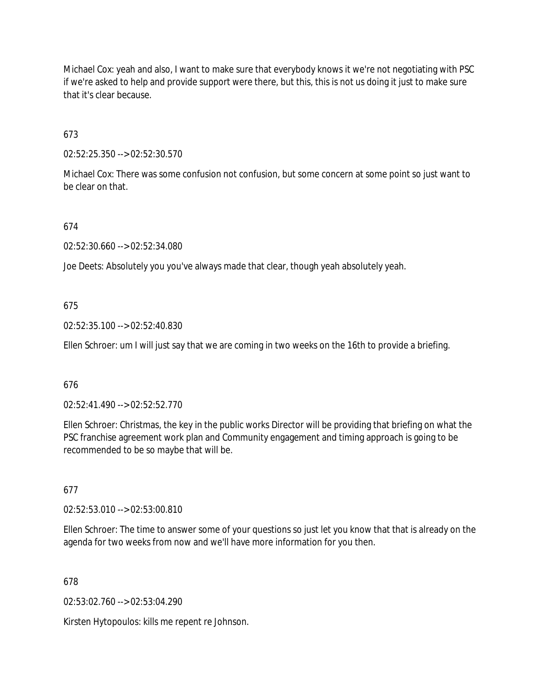Michael Cox: yeah and also, I want to make sure that everybody knows it we're not negotiating with PSC if we're asked to help and provide support were there, but this, this is not us doing it just to make sure that it's clear because.

673

02:52:25.350 --> 02:52:30.570

Michael Cox: There was some confusion not confusion, but some concern at some point so just want to be clear on that.

674

02:52:30.660 --> 02:52:34.080

Joe Deets: Absolutely you you've always made that clear, though yeah absolutely yeah.

675

02:52:35.100 --> 02:52:40.830

Ellen Schroer: um I will just say that we are coming in two weeks on the 16th to provide a briefing.

### 676

02:52:41.490 --> 02:52:52.770

Ellen Schroer: Christmas, the key in the public works Director will be providing that briefing on what the PSC franchise agreement work plan and Community engagement and timing approach is going to be recommended to be so maybe that will be.

677

02:52:53.010 --> 02:53:00.810

Ellen Schroer: The time to answer some of your questions so just let you know that that is already on the agenda for two weeks from now and we'll have more information for you then.

678

02:53:02.760 --> 02:53:04.290

Kirsten Hytopoulos: kills me repent re Johnson.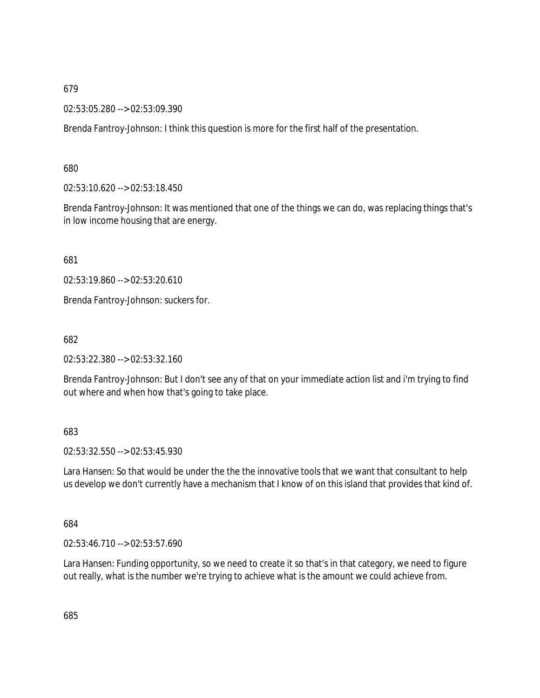02:53:05.280 --> 02:53:09.390

Brenda Fantroy-Johnson: I think this question is more for the first half of the presentation.

680

02:53:10.620 --> 02:53:18.450

Brenda Fantroy-Johnson: It was mentioned that one of the things we can do, was replacing things that's in low income housing that are energy.

681

02:53:19.860 --> 02:53:20.610

Brenda Fantroy-Johnson: suckers for.

682

02:53:22.380 --> 02:53:32.160

Brenda Fantroy-Johnson: But I don't see any of that on your immediate action list and i'm trying to find out where and when how that's going to take place.

## 683

02:53:32.550 --> 02:53:45.930

Lara Hansen: So that would be under the the the innovative tools that we want that consultant to help us develop we don't currently have a mechanism that I know of on this island that provides that kind of.

684

02:53:46.710 --> 02:53:57.690

Lara Hansen: Funding opportunity, so we need to create it so that's in that category, we need to figure out really, what is the number we're trying to achieve what is the amount we could achieve from.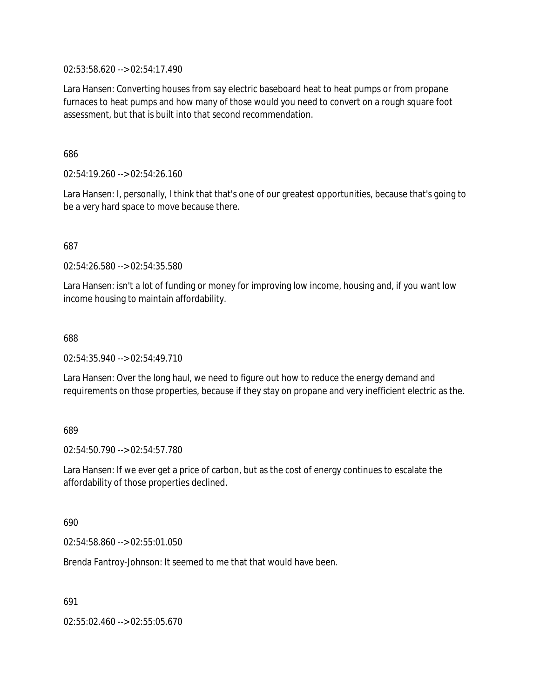02:53:58.620 --> 02:54:17.490

Lara Hansen: Converting houses from say electric baseboard heat to heat pumps or from propane furnaces to heat pumps and how many of those would you need to convert on a rough square foot assessment, but that is built into that second recommendation.

686

02:54:19.260 --> 02:54:26.160

Lara Hansen: I, personally, I think that that's one of our greatest opportunities, because that's going to be a very hard space to move because there.

687

02:54:26.580 --> 02:54:35.580

Lara Hansen: isn't a lot of funding or money for improving low income, housing and, if you want low income housing to maintain affordability.

688

02:54:35.940 --> 02:54:49.710

Lara Hansen: Over the long haul, we need to figure out how to reduce the energy demand and requirements on those properties, because if they stay on propane and very inefficient electric as the.

689

02:54:50.790 --> 02:54:57.780

Lara Hansen: If we ever get a price of carbon, but as the cost of energy continues to escalate the affordability of those properties declined.

690

02:54:58.860 --> 02:55:01.050

Brenda Fantroy-Johnson: It seemed to me that that would have been.

691

02:55:02.460 --> 02:55:05.670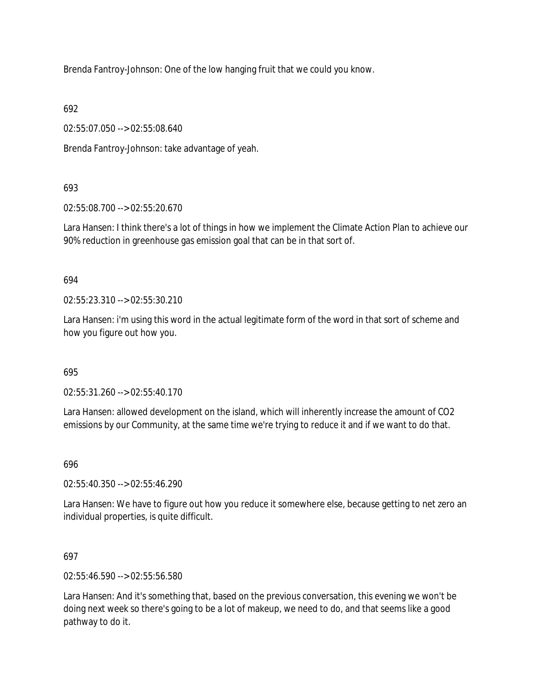Brenda Fantroy-Johnson: One of the low hanging fruit that we could you know.

692

02:55:07.050 --> 02:55:08.640

Brenda Fantroy-Johnson: take advantage of yeah.

# 693

02:55:08.700 --> 02:55:20.670

Lara Hansen: I think there's a lot of things in how we implement the Climate Action Plan to achieve our 90% reduction in greenhouse gas emission goal that can be in that sort of.

# 694

02:55:23.310 --> 02:55:30.210

Lara Hansen: i'm using this word in the actual legitimate form of the word in that sort of scheme and how you figure out how you.

# 695

02:55:31.260 --> 02:55:40.170

Lara Hansen: allowed development on the island, which will inherently increase the amount of CO2 emissions by our Community, at the same time we're trying to reduce it and if we want to do that.

# 696

02:55:40.350 --> 02:55:46.290

Lara Hansen: We have to figure out how you reduce it somewhere else, because getting to net zero an individual properties, is quite difficult.

# 697

02:55:46.590 --> 02:55:56.580

Lara Hansen: And it's something that, based on the previous conversation, this evening we won't be doing next week so there's going to be a lot of makeup, we need to do, and that seems like a good pathway to do it.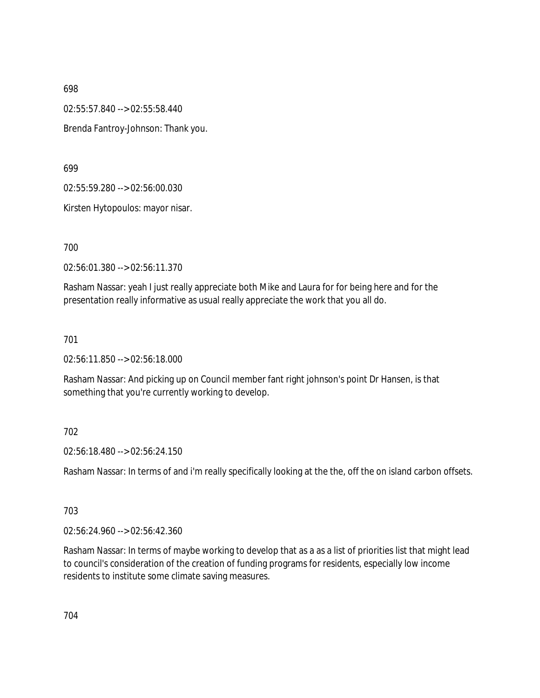02:55:57.840 --> 02:55:58.440 Brenda Fantroy-Johnson: Thank you.

699

02:55:59.280 --> 02:56:00.030

Kirsten Hytopoulos: mayor nisar.

700

02:56:01.380 --> 02:56:11.370

Rasham Nassar: yeah I just really appreciate both Mike and Laura for for being here and for the presentation really informative as usual really appreciate the work that you all do.

701

02:56:11.850 --> 02:56:18.000

Rasham Nassar: And picking up on Council member fant right johnson's point Dr Hansen, is that something that you're currently working to develop.

### 702

02:56:18.480 --> 02:56:24.150

Rasham Nassar: In terms of and i'm really specifically looking at the the, off the on island carbon offsets.

#### 703

02:56:24.960 --> 02:56:42.360

Rasham Nassar: In terms of maybe working to develop that as a as a list of priorities list that might lead to council's consideration of the creation of funding programs for residents, especially low income residents to institute some climate saving measures.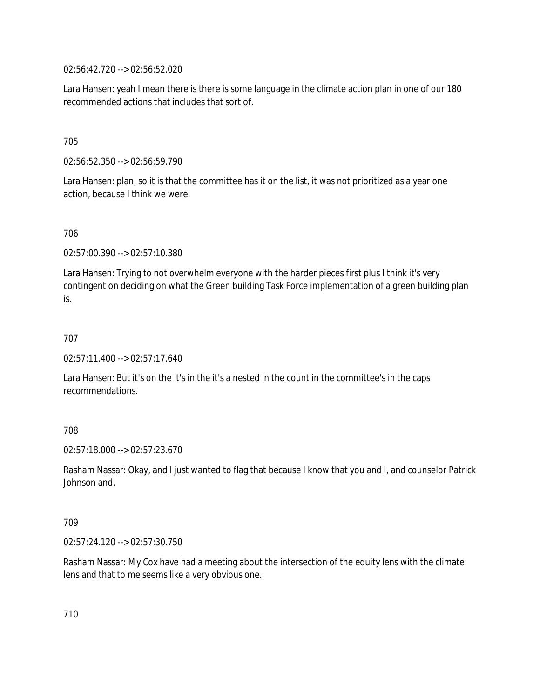02:56:42.720 --> 02:56:52.020

Lara Hansen: yeah I mean there is there is some language in the climate action plan in one of our 180 recommended actions that includes that sort of.

705

02:56:52.350 --> 02:56:59.790

Lara Hansen: plan, so it is that the committee has it on the list, it was not prioritized as a year one action, because I think we were.

706

02:57:00.390 --> 02:57:10.380

Lara Hansen: Trying to not overwhelm everyone with the harder pieces first plus I think it's very contingent on deciding on what the Green building Task Force implementation of a green building plan is.

707

02:57:11.400 --> 02:57:17.640

Lara Hansen: But it's on the it's in the it's a nested in the count in the committee's in the caps recommendations.

708

02:57:18.000 --> 02:57:23.670

Rasham Nassar: Okay, and I just wanted to flag that because I know that you and I, and counselor Patrick Johnson and.

709

02:57:24.120 --> 02:57:30.750

Rasham Nassar: My Cox have had a meeting about the intersection of the equity lens with the climate lens and that to me seems like a very obvious one.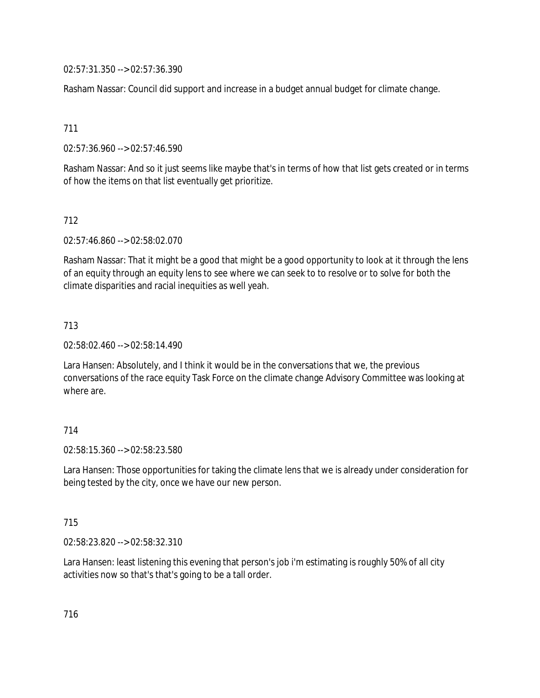02:57:31.350 --> 02:57:36.390

Rasham Nassar: Council did support and increase in a budget annual budget for climate change.

711

02:57:36.960 --> 02:57:46.590

Rasham Nassar: And so it just seems like maybe that's in terms of how that list gets created or in terms of how the items on that list eventually get prioritize.

## 712

02:57:46.860 --> 02:58:02.070

Rasham Nassar: That it might be a good that might be a good opportunity to look at it through the lens of an equity through an equity lens to see where we can seek to to resolve or to solve for both the climate disparities and racial inequities as well yeah.

## 713

02:58:02.460 --> 02:58:14.490

Lara Hansen: Absolutely, and I think it would be in the conversations that we, the previous conversations of the race equity Task Force on the climate change Advisory Committee was looking at where are

# 714

02:58:15.360 --> 02:58:23.580

Lara Hansen: Those opportunities for taking the climate lens that we is already under consideration for being tested by the city, once we have our new person.

### 715

02:58:23.820 --> 02:58:32.310

Lara Hansen: least listening this evening that person's job i'm estimating is roughly 50% of all city activities now so that's that's going to be a tall order.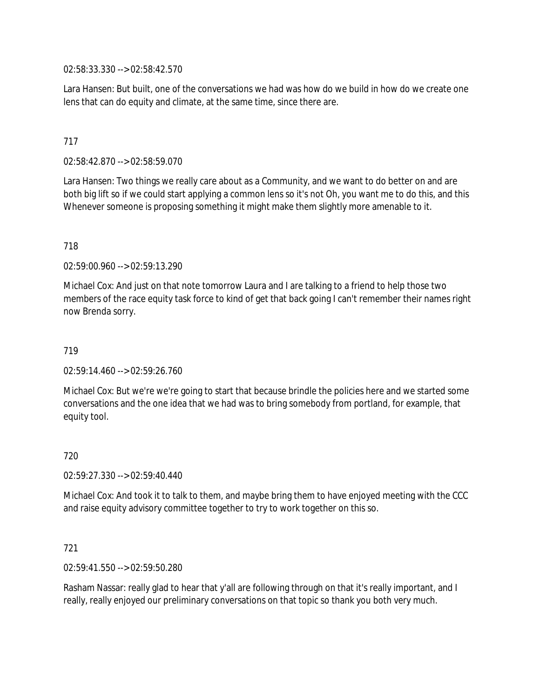02:58:33.330 --> 02:58:42.570

Lara Hansen: But built, one of the conversations we had was how do we build in how do we create one lens that can do equity and climate, at the same time, since there are.

# 717

02:58:42.870 --> 02:58:59.070

Lara Hansen: Two things we really care about as a Community, and we want to do better on and are both big lift so if we could start applying a common lens so it's not Oh, you want me to do this, and this Whenever someone is proposing something it might make them slightly more amenable to it.

#### 718

02:59:00.960 --> 02:59:13.290

Michael Cox: And just on that note tomorrow Laura and I are talking to a friend to help those two members of the race equity task force to kind of get that back going I can't remember their names right now Brenda sorry.

#### 719

 $02:59:14.460 \rightarrow 02:59:26.760$ 

Michael Cox: But we're we're going to start that because brindle the policies here and we started some conversations and the one idea that we had was to bring somebody from portland, for example, that equity tool.

#### 720

02:59:27.330 --> 02:59:40.440

Michael Cox: And took it to talk to them, and maybe bring them to have enjoyed meeting with the CCC and raise equity advisory committee together to try to work together on this so.

### 721

02:59:41.550 --> 02:59:50.280

Rasham Nassar: really glad to hear that y'all are following through on that it's really important, and I really, really enjoyed our preliminary conversations on that topic so thank you both very much.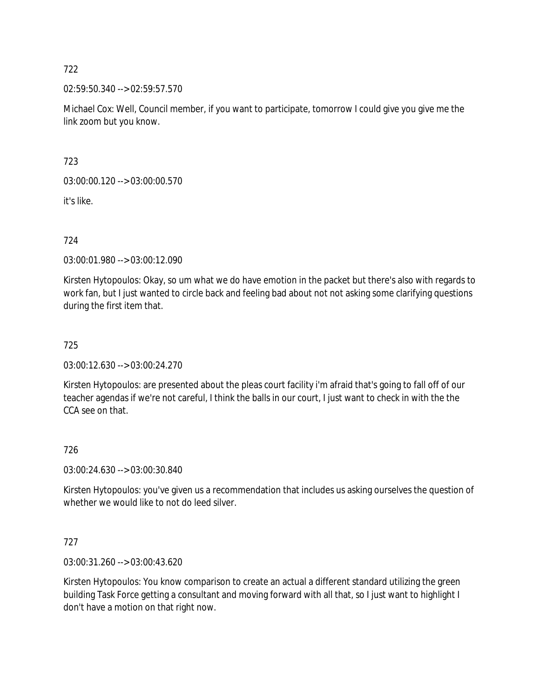02:59:50.340 --> 02:59:57.570

Michael Cox: Well, Council member, if you want to participate, tomorrow I could give you give me the link zoom but you know.

723

03:00:00.120 --> 03:00:00.570

it's like.

724

03:00:01.980 --> 03:00:12.090

Kirsten Hytopoulos: Okay, so um what we do have emotion in the packet but there's also with regards to work fan, but I just wanted to circle back and feeling bad about not not asking some clarifying questions during the first item that.

725

03:00:12.630 --> 03:00:24.270

Kirsten Hytopoulos: are presented about the pleas court facility i'm afraid that's going to fall off of our teacher agendas if we're not careful, I think the balls in our court, I just want to check in with the the CCA see on that.

# 726

03:00:24.630 --> 03:00:30.840

Kirsten Hytopoulos: you've given us a recommendation that includes us asking ourselves the question of whether we would like to not do leed silver.

# 727

03:00:31.260 --> 03:00:43.620

Kirsten Hytopoulos: You know comparison to create an actual a different standard utilizing the green building Task Force getting a consultant and moving forward with all that, so I just want to highlight I don't have a motion on that right now.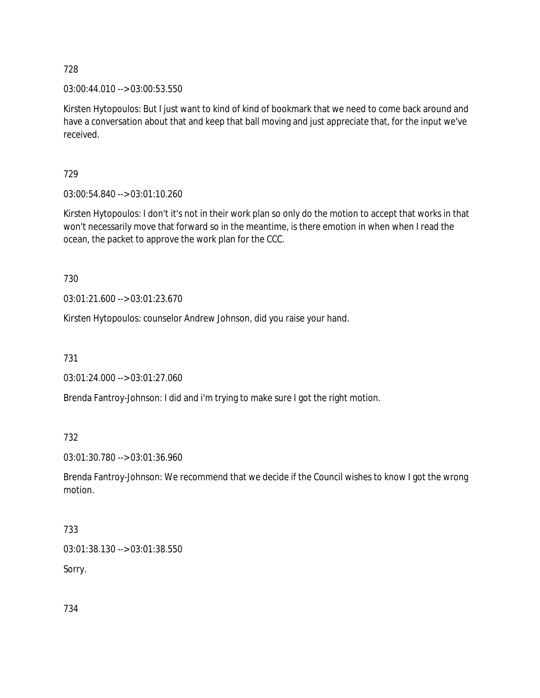03:00:44.010 --> 03:00:53.550

Kirsten Hytopoulos: But I just want to kind of kind of bookmark that we need to come back around and have a conversation about that and keep that ball moving and just appreciate that, for the input we've received.

729

03:00:54.840 --> 03:01:10.260

Kirsten Hytopoulos: I don't it's not in their work plan so only do the motion to accept that works in that won't necessarily move that forward so in the meantime, is there emotion in when when I read the ocean, the packet to approve the work plan for the CCC.

730

03:01:21.600 --> 03:01:23.670

Kirsten Hytopoulos: counselor Andrew Johnson, did you raise your hand.

731

03:01:24.000 --> 03:01:27.060

Brenda Fantroy-Johnson: I did and i'm trying to make sure I got the right motion.

732

03:01:30.780 --> 03:01:36.960

Brenda Fantroy-Johnson: We recommend that we decide if the Council wishes to know I got the wrong motion.

733

03:01:38.130 --> 03:01:38.550

Sorry.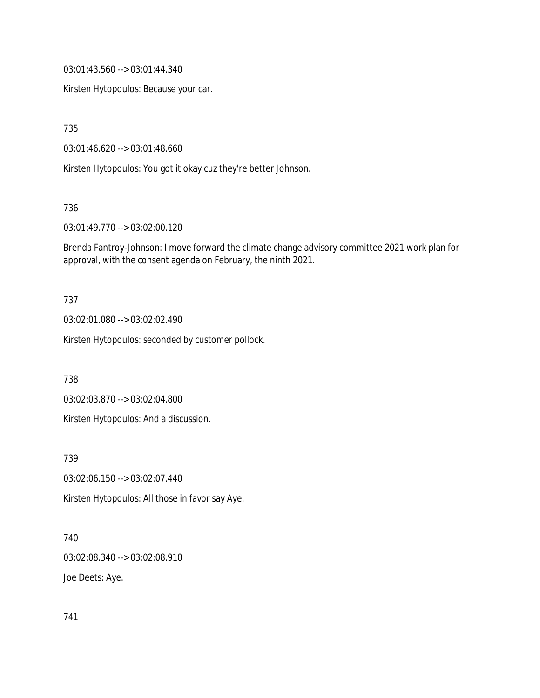03:01:43.560 --> 03:01:44.340

Kirsten Hytopoulos: Because your car.

735

03:01:46.620 --> 03:01:48.660

Kirsten Hytopoulos: You got it okay cuz they're better Johnson.

736

03:01:49.770 --> 03:02:00.120

Brenda Fantroy-Johnson: I move forward the climate change advisory committee 2021 work plan for approval, with the consent agenda on February, the ninth 2021.

#### 737

03:02:01.080 --> 03:02:02.490

Kirsten Hytopoulos: seconded by customer pollock.

738

03:02:03.870 --> 03:02:04.800

Kirsten Hytopoulos: And a discussion.

739

03:02:06.150 --> 03:02:07.440

Kirsten Hytopoulos: All those in favor say Aye.

740

03:02:08.340 --> 03:02:08.910

Joe Deets: Aye.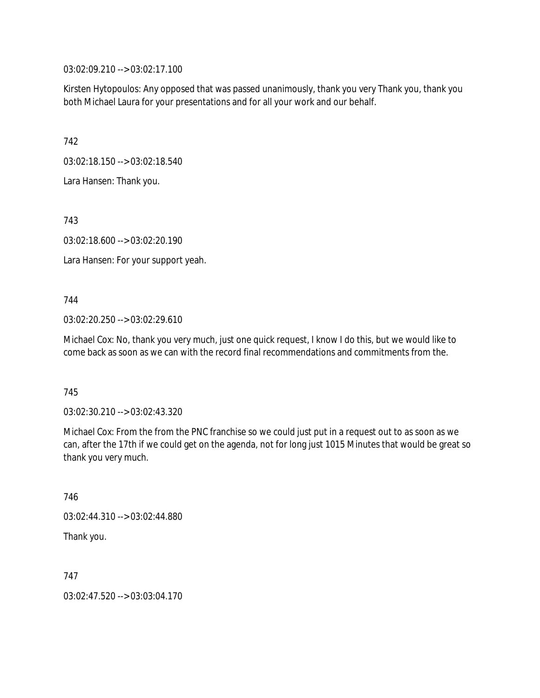03:02:09.210 --> 03:02:17.100

Kirsten Hytopoulos: Any opposed that was passed unanimously, thank you very Thank you, thank you both Michael Laura for your presentations and for all your work and our behalf.

742

03:02:18.150 --> 03:02:18.540

Lara Hansen: Thank you.

743

03:02:18.600 --> 03:02:20.190

Lara Hansen: For your support yeah.

744

03:02:20.250 --> 03:02:29.610

Michael Cox: No, thank you very much, just one quick request, I know I do this, but we would like to come back as soon as we can with the record final recommendations and commitments from the.

745

03:02:30.210 --> 03:02:43.320

Michael Cox: From the from the PNC franchise so we could just put in a request out to as soon as we can, after the 17th if we could get on the agenda, not for long just 1015 Minutes that would be great so thank you very much.

746 03:02:44.310 --> 03:02:44.880 Thank you.

747

03:02:47.520 --> 03:03:04.170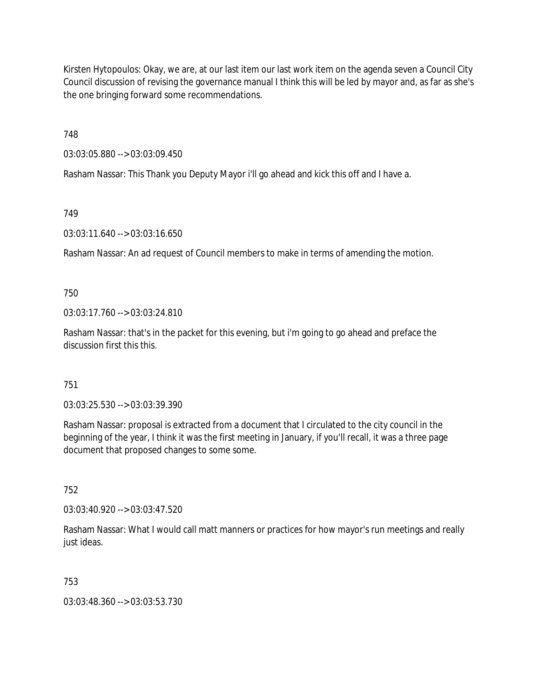Kirsten Hytopoulos: Okay, we are, at our last item our last work item on the agenda seven a Council City Council discussion of revising the governance manual I think this will be led by mayor and, as far as she's the one bringing forward some recommendations.

748

03:03:05.880 --> 03:03:09.450

Rasham Nassar: This Thank you Deputy Mayor i'll go ahead and kick this off and I have a.

749

03:03:11.640 --> 03:03:16.650

Rasham Nassar: An ad request of Council members to make in terms of amending the motion.

750

03:03:17.760 --> 03:03:24.810

Rasham Nassar: that's in the packet for this evening, but i'm going to go ahead and preface the discussion first this this.

751

03:03:25.530 --> 03:03:39.390

Rasham Nassar: proposal is extracted from a document that I circulated to the city council in the beginning of the year, I think it was the first meeting in January, if you'll recall, it was a three page document that proposed changes to some some.

752

03:03:40.920 --> 03:03:47.520

Rasham Nassar: What I would call matt manners or practices for how mayor's run meetings and really just ideas.

753

03:03:48.360 --> 03:03:53.730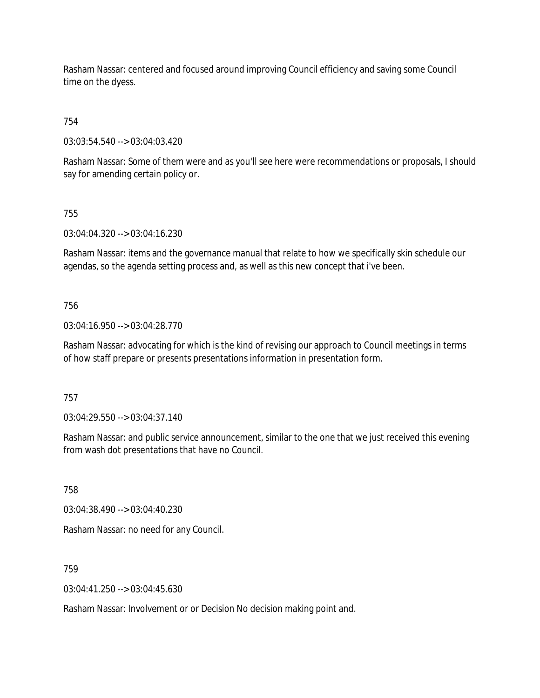Rasham Nassar: centered and focused around improving Council efficiency and saving some Council time on the dyess.

# 754

03:03:54.540 --> 03:04:03.420

Rasham Nassar: Some of them were and as you'll see here were recommendations or proposals, I should say for amending certain policy or.

### 755

03:04:04.320 --> 03:04:16.230

Rasham Nassar: items and the governance manual that relate to how we specifically skin schedule our agendas, so the agenda setting process and, as well as this new concept that i've been.

### 756

03:04:16.950 --> 03:04:28.770

Rasham Nassar: advocating for which is the kind of revising our approach to Council meetings in terms of how staff prepare or presents presentations information in presentation form.

#### 757

03:04:29.550 --> 03:04:37.140

Rasham Nassar: and public service announcement, similar to the one that we just received this evening from wash dot presentations that have no Council.

758

03:04:38.490 --> 03:04:40.230

Rasham Nassar: no need for any Council.

759

 $03:04:41.250 \rightarrow 03:04:45.630$ 

Rasham Nassar: Involvement or or Decision No decision making point and.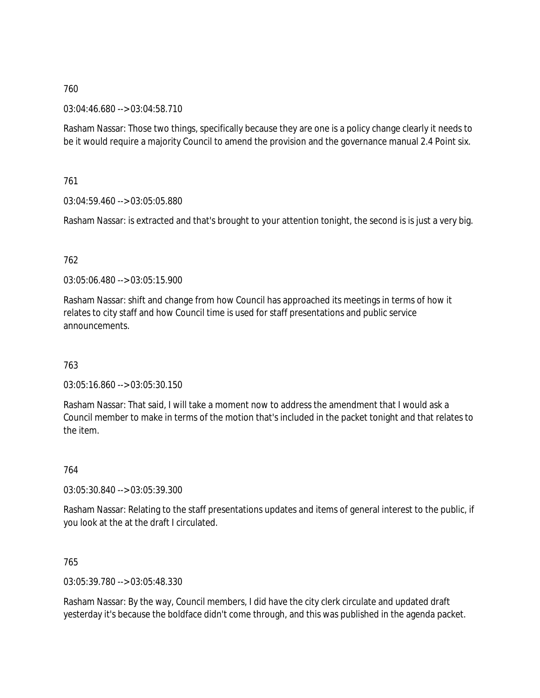03:04:46.680 --> 03:04:58.710

Rasham Nassar: Those two things, specifically because they are one is a policy change clearly it needs to be it would require a majority Council to amend the provision and the governance manual 2.4 Point six.

761

03:04:59.460 --> 03:05:05.880

Rasham Nassar: is extracted and that's brought to your attention tonight, the second is is just a very big.

## 762

03:05:06.480 --> 03:05:15.900

Rasham Nassar: shift and change from how Council has approached its meetings in terms of how it relates to city staff and how Council time is used for staff presentations and public service announcements.

### 763

03:05:16.860 --> 03:05:30.150

Rasham Nassar: That said, I will take a moment now to address the amendment that I would ask a Council member to make in terms of the motion that's included in the packet tonight and that relates to the item.

764

03:05:30.840 --> 03:05:39.300

Rasham Nassar: Relating to the staff presentations updates and items of general interest to the public, if you look at the at the draft I circulated.

### 765

03:05:39.780 --> 03:05:48.330

Rasham Nassar: By the way, Council members, I did have the city clerk circulate and updated draft yesterday it's because the boldface didn't come through, and this was published in the agenda packet.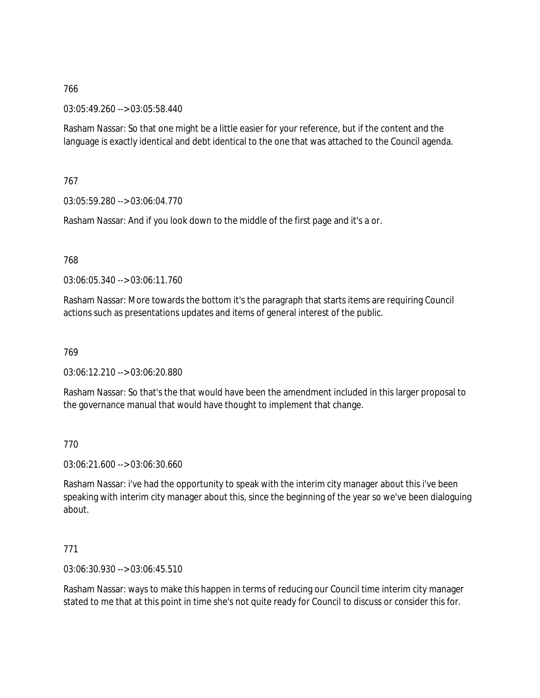03:05:49.260 --> 03:05:58.440

Rasham Nassar: So that one might be a little easier for your reference, but if the content and the language is exactly identical and debt identical to the one that was attached to the Council agenda.

767

03:05:59.280 --> 03:06:04.770

Rasham Nassar: And if you look down to the middle of the first page and it's a or.

768

03:06:05.340 --> 03:06:11.760

Rasham Nassar: More towards the bottom it's the paragraph that starts items are requiring Council actions such as presentations updates and items of general interest of the public.

769

03:06:12.210 --> 03:06:20.880

Rasham Nassar: So that's the that would have been the amendment included in this larger proposal to the governance manual that would have thought to implement that change.

770

03:06:21.600 --> 03:06:30.660

Rasham Nassar: i've had the opportunity to speak with the interim city manager about this i've been speaking with interim city manager about this, since the beginning of the year so we've been dialoguing about.

771

03:06:30.930 --> 03:06:45.510

Rasham Nassar: ways to make this happen in terms of reducing our Council time interim city manager stated to me that at this point in time she's not quite ready for Council to discuss or consider this for.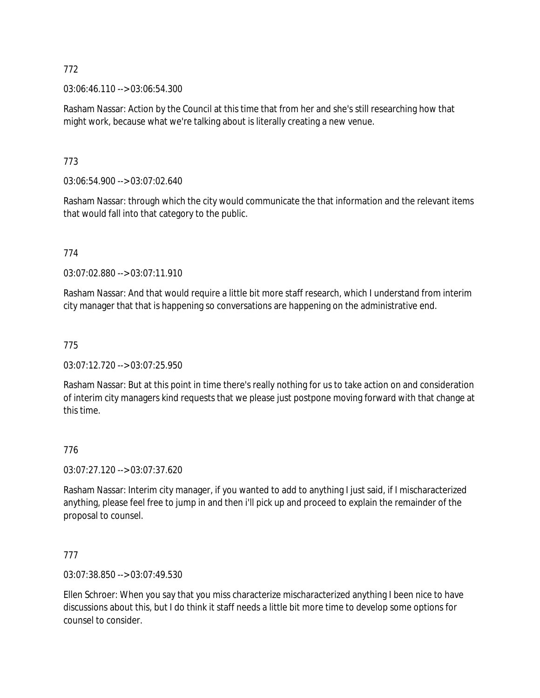03:06:46.110 --> 03:06:54.300

Rasham Nassar: Action by the Council at this time that from her and she's still researching how that might work, because what we're talking about is literally creating a new venue.

773

03:06:54.900 --> 03:07:02.640

Rasham Nassar: through which the city would communicate the that information and the relevant items that would fall into that category to the public.

774

03:07:02.880 --> 03:07:11.910

Rasham Nassar: And that would require a little bit more staff research, which I understand from interim city manager that that is happening so conversations are happening on the administrative end.

775

03:07:12.720 --> 03:07:25.950

Rasham Nassar: But at this point in time there's really nothing for us to take action on and consideration of interim city managers kind requests that we please just postpone moving forward with that change at this time.

### 776

03:07:27.120 --> 03:07:37.620

Rasham Nassar: Interim city manager, if you wanted to add to anything I just said, if I mischaracterized anything, please feel free to jump in and then i'll pick up and proceed to explain the remainder of the proposal to counsel.

777

03:07:38.850 --> 03:07:49.530

Ellen Schroer: When you say that you miss characterize mischaracterized anything I been nice to have discussions about this, but I do think it staff needs a little bit more time to develop some options for counsel to consider.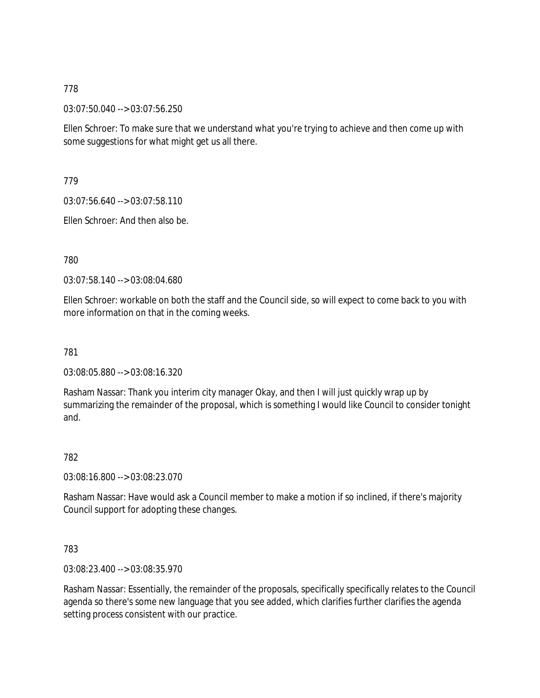03:07:50.040 --> 03:07:56.250

Ellen Schroer: To make sure that we understand what you're trying to achieve and then come up with some suggestions for what might get us all there.

779

03:07:56.640 --> 03:07:58.110

Ellen Schroer: And then also be.

780

03:07:58.140 --> 03:08:04.680

Ellen Schroer: workable on both the staff and the Council side, so will expect to come back to you with more information on that in the coming weeks.

781

03:08:05.880 --> 03:08:16.320

Rasham Nassar: Thank you interim city manager Okay, and then I will just quickly wrap up by summarizing the remainder of the proposal, which is something I would like Council to consider tonight and.

782

03:08:16.800 --> 03:08:23.070

Rasham Nassar: Have would ask a Council member to make a motion if so inclined, if there's majority Council support for adopting these changes.

783

03:08:23.400 --> 03:08:35.970

Rasham Nassar: Essentially, the remainder of the proposals, specifically specifically relates to the Council agenda so there's some new language that you see added, which clarifies further clarifies the agenda setting process consistent with our practice.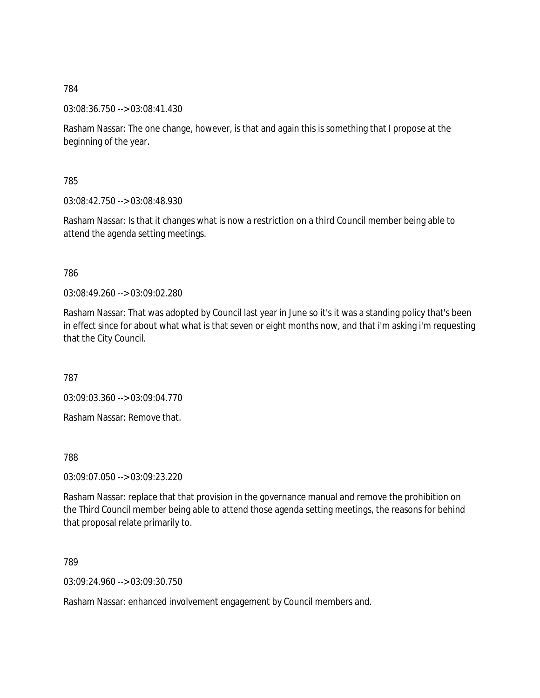03:08:36.750 --> 03:08:41.430

Rasham Nassar: The one change, however, is that and again this is something that I propose at the beginning of the year.

785

03:08:42.750 --> 03:08:48.930

Rasham Nassar: Is that it changes what is now a restriction on a third Council member being able to attend the agenda setting meetings.

786

03:08:49.260 --> 03:09:02.280

Rasham Nassar: That was adopted by Council last year in June so it's it was a standing policy that's been in effect since for about what what is that seven or eight months now, and that i'm asking i'm requesting that the City Council.

787

03:09:03.360 --> 03:09:04.770

Rasham Nassar: Remove that.

788

03:09:07.050 --> 03:09:23.220

Rasham Nassar: replace that that provision in the governance manual and remove the prohibition on the Third Council member being able to attend those agenda setting meetings, the reasons for behind that proposal relate primarily to.

789

03:09:24.960 --> 03:09:30.750

Rasham Nassar: enhanced involvement engagement by Council members and.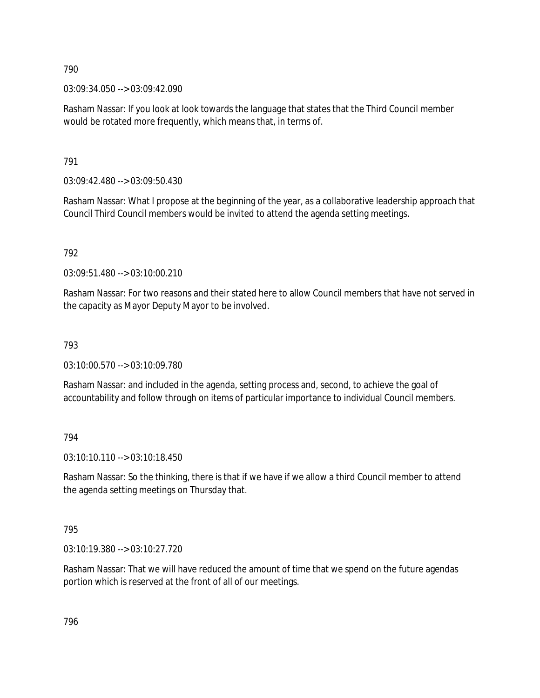03:09:34.050 --> 03:09:42.090

Rasham Nassar: If you look at look towards the language that states that the Third Council member would be rotated more frequently, which means that, in terms of.

791

03:09:42.480 --> 03:09:50.430

Rasham Nassar: What I propose at the beginning of the year, as a collaborative leadership approach that Council Third Council members would be invited to attend the agenda setting meetings.

792

 $03:09:51.480 \rightarrow 03:10:00.210$ 

Rasham Nassar: For two reasons and their stated here to allow Council members that have not served in the capacity as Mayor Deputy Mayor to be involved.

793

03:10:00.570 --> 03:10:09.780

Rasham Nassar: and included in the agenda, setting process and, second, to achieve the goal of accountability and follow through on items of particular importance to individual Council members.

794

03:10:10.110 --> 03:10:18.450

Rasham Nassar: So the thinking, there is that if we have if we allow a third Council member to attend the agenda setting meetings on Thursday that.

795

03:10:19.380 --> 03:10:27.720

Rasham Nassar: That we will have reduced the amount of time that we spend on the future agendas portion which is reserved at the front of all of our meetings.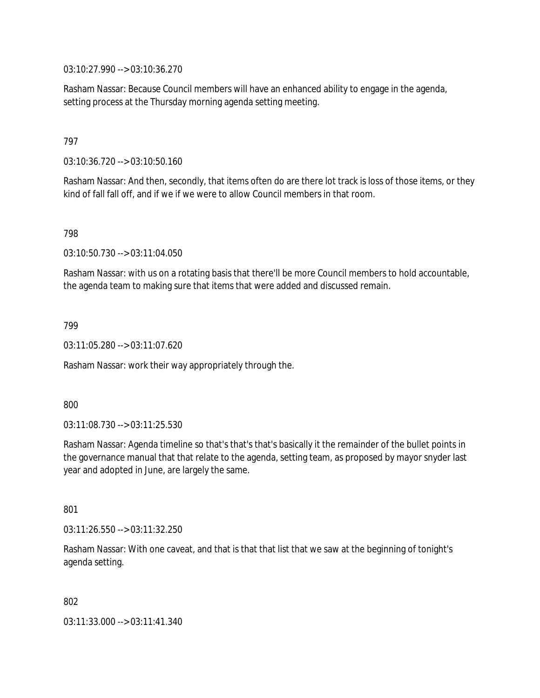03:10:27.990 --> 03:10:36.270

Rasham Nassar: Because Council members will have an enhanced ability to engage in the agenda, setting process at the Thursday morning agenda setting meeting.

### 797

03:10:36.720 --> 03:10:50.160

Rasham Nassar: And then, secondly, that items often do are there lot track is loss of those items, or they kind of fall fall off, and if we if we were to allow Council members in that room.

798

03:10:50.730 --> 03:11:04.050

Rasham Nassar: with us on a rotating basis that there'll be more Council members to hold accountable, the agenda team to making sure that items that were added and discussed remain.

799

03:11:05.280 --> 03:11:07.620

Rasham Nassar: work their way appropriately through the.

800

03:11:08.730 --> 03:11:25.530

Rasham Nassar: Agenda timeline so that's that's that's basically it the remainder of the bullet points in the governance manual that that relate to the agenda, setting team, as proposed by mayor snyder last year and adopted in June, are largely the same.

801

03:11:26.550 --> 03:11:32.250

Rasham Nassar: With one caveat, and that is that that list that we saw at the beginning of tonight's agenda setting.

802

03:11:33.000 --> 03:11:41.340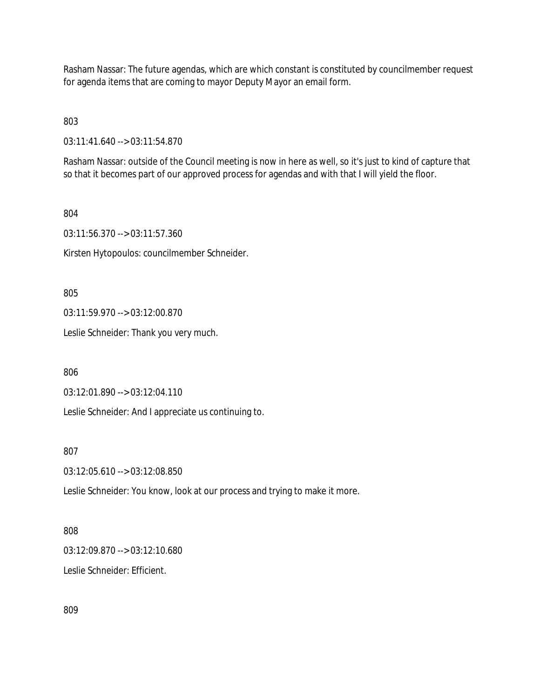Rasham Nassar: The future agendas, which are which constant is constituted by councilmember request for agenda items that are coming to mayor Deputy Mayor an email form.

803

03:11:41.640 --> 03:11:54.870

Rasham Nassar: outside of the Council meeting is now in here as well, so it's just to kind of capture that so that it becomes part of our approved process for agendas and with that I will yield the floor.

804

03:11:56.370 --> 03:11:57.360

Kirsten Hytopoulos: councilmember Schneider.

805

03:11:59.970 --> 03:12:00.870

Leslie Schneider: Thank you very much.

806

03:12:01.890 --> 03:12:04.110

Leslie Schneider: And I appreciate us continuing to.

807

03:12:05.610 --> 03:12:08.850

Leslie Schneider: You know, look at our process and trying to make it more.

### 808

03:12:09.870 --> 03:12:10.680

Leslie Schneider: Efficient.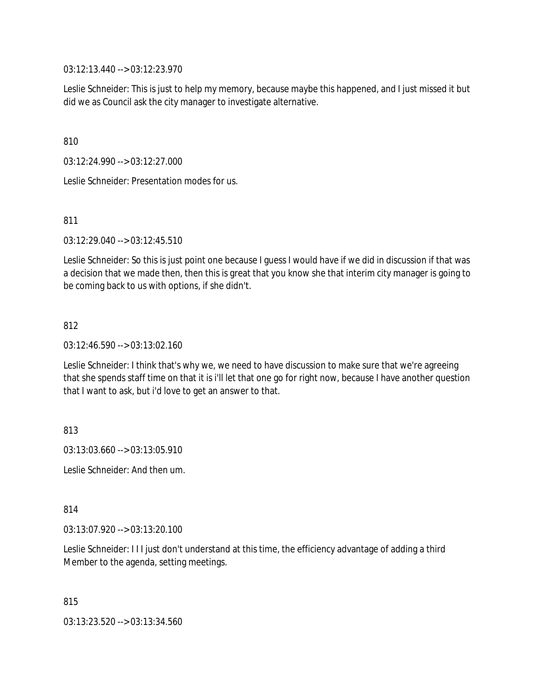03:12:13.440 --> 03:12:23.970

Leslie Schneider: This is just to help my memory, because maybe this happened, and I just missed it but did we as Council ask the city manager to investigate alternative.

810

03:12:24.990 --> 03:12:27.000

Leslie Schneider: Presentation modes for us.

811

03:12:29.040 --> 03:12:45.510

Leslie Schneider: So this is just point one because I guess I would have if we did in discussion if that was a decision that we made then, then this is great that you know she that interim city manager is going to be coming back to us with options, if she didn't.

812

03:12:46.590 --> 03:13:02.160

Leslie Schneider: I think that's why we, we need to have discussion to make sure that we're agreeing that she spends staff time on that it is i'll let that one go for right now, because I have another question that I want to ask, but i'd love to get an answer to that.

813

03:13:03.660 --> 03:13:05.910

Leslie Schneider: And then um.

814

03:13:07.920 --> 03:13:20.100

Leslie Schneider: I I I just don't understand at this time, the efficiency advantage of adding a third Member to the agenda, setting meetings.

815 03:13:23.520 --> 03:13:34.560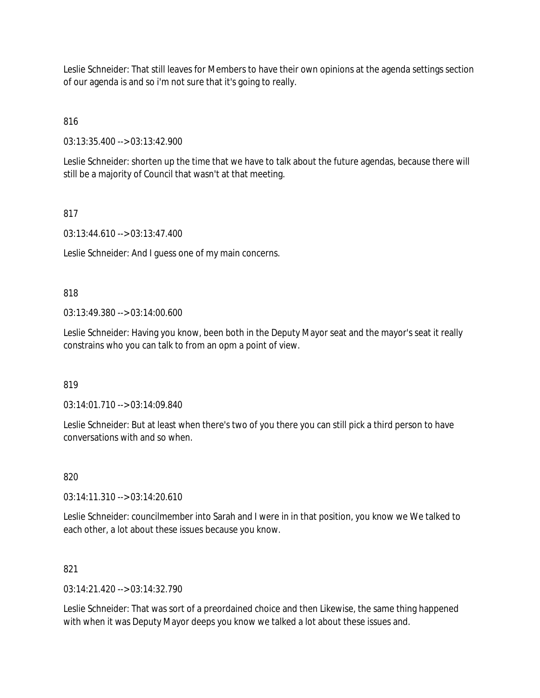Leslie Schneider: That still leaves for Members to have their own opinions at the agenda settings section of our agenda is and so i'm not sure that it's going to really.

816

03:13:35.400 --> 03:13:42.900

Leslie Schneider: shorten up the time that we have to talk about the future agendas, because there will still be a majority of Council that wasn't at that meeting.

## 817

03:13:44.610 --> 03:13:47.400

Leslie Schneider: And I guess one of my main concerns.

### 818

03:13:49.380 --> 03:14:00.600

Leslie Schneider: Having you know, been both in the Deputy Mayor seat and the mayor's seat it really constrains who you can talk to from an opm a point of view.

### 819

03:14:01.710 --> 03:14:09.840

Leslie Schneider: But at least when there's two of you there you can still pick a third person to have conversations with and so when.

### 820

03:14:11.310 --> 03:14:20.610

Leslie Schneider: councilmember into Sarah and I were in in that position, you know we We talked to each other, a lot about these issues because you know.

### 821

 $03:14:21.420 \rightarrow 03:14:32.790$ 

Leslie Schneider: That was sort of a preordained choice and then Likewise, the same thing happened with when it was Deputy Mayor deeps you know we talked a lot about these issues and.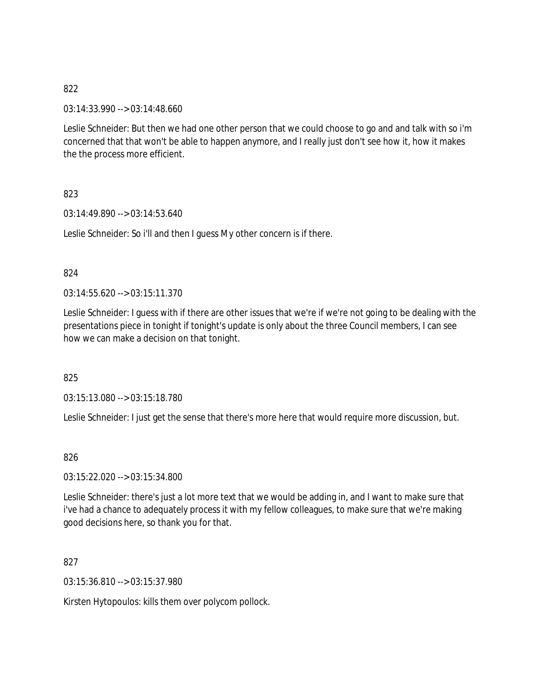03:14:33.990 --> 03:14:48.660

Leslie Schneider: But then we had one other person that we could choose to go and and talk with so i'm concerned that that won't be able to happen anymore, and I really just don't see how it, how it makes the the process more efficient.

823

03:14:49.890 --> 03:14:53.640

Leslie Schneider: So i'll and then I guess My other concern is if there.

#### 824

 $03:14:55.620 \rightarrow 03:15:11.370$ 

Leslie Schneider: I guess with if there are other issues that we're if we're not going to be dealing with the presentations piece in tonight if tonight's update is only about the three Council members, I can see how we can make a decision on that tonight.

825

03:15:13.080 --> 03:15:18.780

Leslie Schneider: I just get the sense that there's more here that would require more discussion, but.

### 826

03:15:22.020 --> 03:15:34.800

Leslie Schneider: there's just a lot more text that we would be adding in, and I want to make sure that i've had a chance to adequately process it with my fellow colleagues, to make sure that we're making good decisions here, so thank you for that.

827

03:15:36.810 --> 03:15:37.980

Kirsten Hytopoulos: kills them over polycom pollock.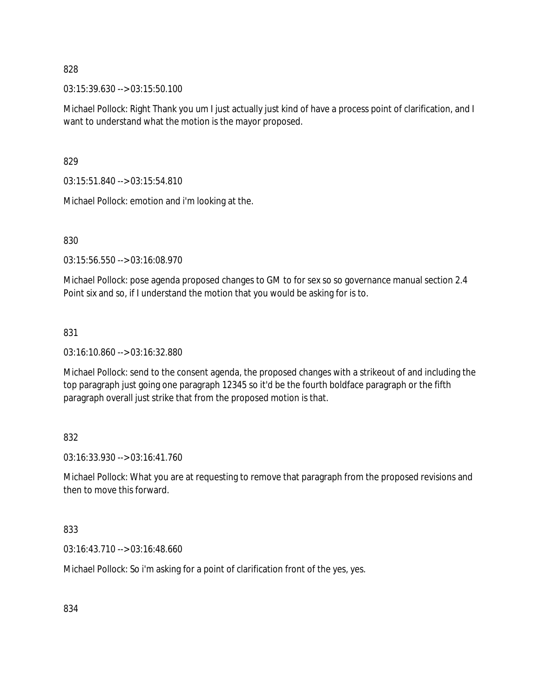03:15:39.630 --> 03:15:50.100

Michael Pollock: Right Thank you um I just actually just kind of have a process point of clarification, and I want to understand what the motion is the mayor proposed.

829

03:15:51.840 --> 03:15:54.810

Michael Pollock: emotion and i'm looking at the.

830

03:15:56.550 --> 03:16:08.970

Michael Pollock: pose agenda proposed changes to GM to for sex so so governance manual section 2.4 Point six and so, if I understand the motion that you would be asking for is to.

## 831

03:16:10.860 --> 03:16:32.880

Michael Pollock: send to the consent agenda, the proposed changes with a strikeout of and including the top paragraph just going one paragraph 12345 so it'd be the fourth boldface paragraph or the fifth paragraph overall just strike that from the proposed motion is that.

832

03:16:33.930 --> 03:16:41.760

Michael Pollock: What you are at requesting to remove that paragraph from the proposed revisions and then to move this forward.

833

03:16:43.710 --> 03:16:48.660

Michael Pollock: So i'm asking for a point of clarification front of the yes, yes.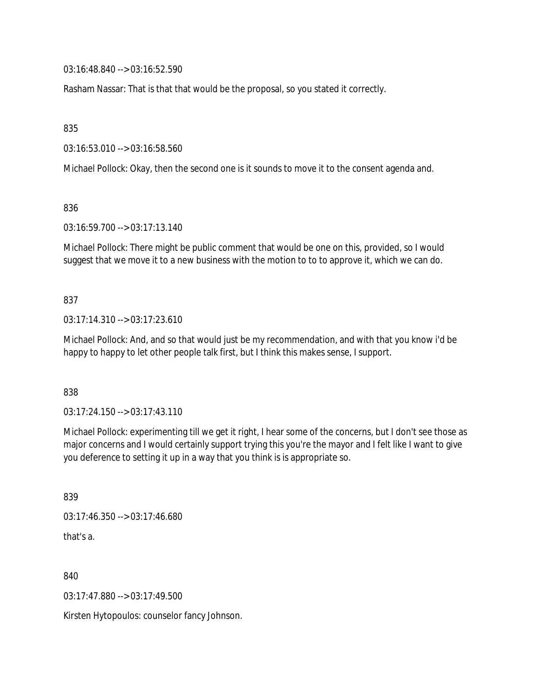03:16:48.840 --> 03:16:52.590

Rasham Nassar: That is that that would be the proposal, so you stated it correctly.

835

03:16:53.010 --> 03:16:58.560

Michael Pollock: Okay, then the second one is it sounds to move it to the consent agenda and.

836

03:16:59.700 --> 03:17:13.140

Michael Pollock: There might be public comment that would be one on this, provided, so I would suggest that we move it to a new business with the motion to to to approve it, which we can do.

837

03:17:14.310 --> 03:17:23.610

Michael Pollock: And, and so that would just be my recommendation, and with that you know i'd be happy to happy to let other people talk first, but I think this makes sense, I support.

838

03:17:24.150 --> 03:17:43.110

Michael Pollock: experimenting till we get it right, I hear some of the concerns, but I don't see those as major concerns and I would certainly support trying this you're the mayor and I felt like I want to give you deference to setting it up in a way that you think is is appropriate so.

839

03:17:46.350 --> 03:17:46.680 that's a.

840

03:17:47.880 --> 03:17:49.500

Kirsten Hytopoulos: counselor fancy Johnson.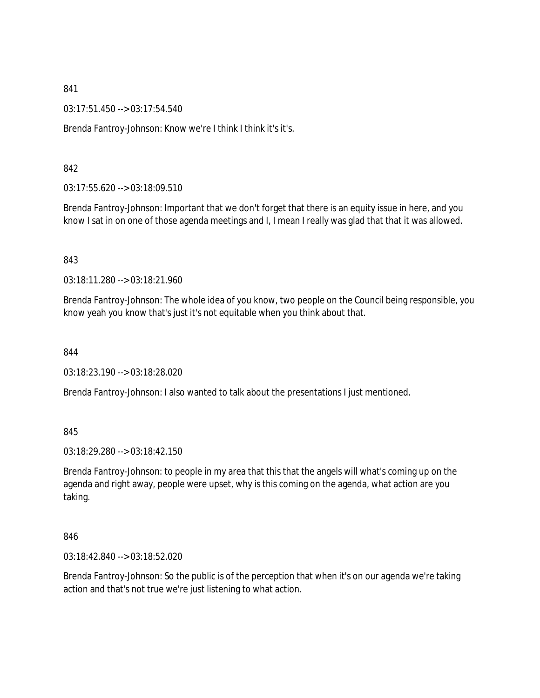03:17:51.450 --> 03:17:54.540

Brenda Fantroy-Johnson: Know we're I think I think it's it's.

### 842

03:17:55.620 --> 03:18:09.510

Brenda Fantroy-Johnson: Important that we don't forget that there is an equity issue in here, and you know I sat in on one of those agenda meetings and I, I mean I really was glad that that it was allowed.

#### 843

03:18:11.280 --> 03:18:21.960

Brenda Fantroy-Johnson: The whole idea of you know, two people on the Council being responsible, you know yeah you know that's just it's not equitable when you think about that.

844

03:18:23.190 --> 03:18:28.020

Brenda Fantroy-Johnson: I also wanted to talk about the presentations I just mentioned.

#### 845

03:18:29.280 --> 03:18:42.150

Brenda Fantroy-Johnson: to people in my area that this that the angels will what's coming up on the agenda and right away, people were upset, why is this coming on the agenda, what action are you taking.

#### 846

03:18:42.840 --> 03:18:52.020

Brenda Fantroy-Johnson: So the public is of the perception that when it's on our agenda we're taking action and that's not true we're just listening to what action.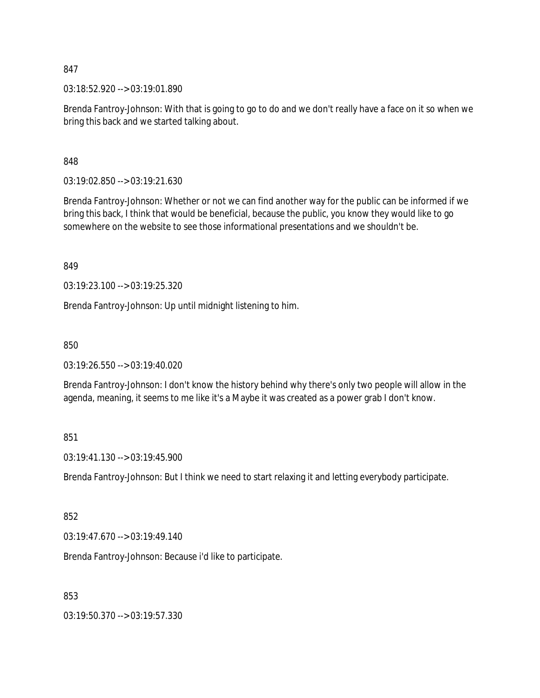03:18:52.920 --> 03:19:01.890

Brenda Fantroy-Johnson: With that is going to go to do and we don't really have a face on it so when we bring this back and we started talking about.

848

03:19:02.850 --> 03:19:21.630

Brenda Fantroy-Johnson: Whether or not we can find another way for the public can be informed if we bring this back, I think that would be beneficial, because the public, you know they would like to go somewhere on the website to see those informational presentations and we shouldn't be.

849

03:19:23.100 --> 03:19:25.320

Brenda Fantroy-Johnson: Up until midnight listening to him.

850

03:19:26.550 --> 03:19:40.020

Brenda Fantroy-Johnson: I don't know the history behind why there's only two people will allow in the agenda, meaning, it seems to me like it's a Maybe it was created as a power grab I don't know.

851

03:19:41.130 --> 03:19:45.900

Brenda Fantroy-Johnson: But I think we need to start relaxing it and letting everybody participate.

### 852

03:19:47.670 --> 03:19:49.140

Brenda Fantroy-Johnson: Because i'd like to participate.

853

03:19:50.370 --> 03:19:57.330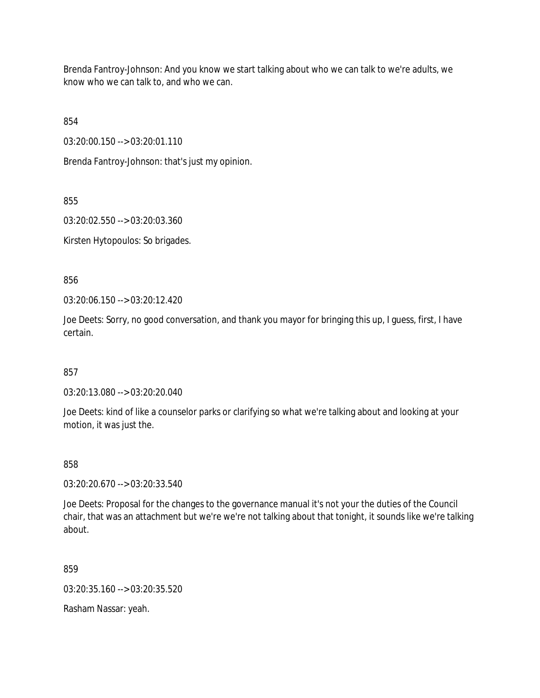Brenda Fantroy-Johnson: And you know we start talking about who we can talk to we're adults, we know who we can talk to, and who we can.

854

03:20:00.150 --> 03:20:01.110

Brenda Fantroy-Johnson: that's just my opinion.

855

03:20:02.550 --> 03:20:03.360

Kirsten Hytopoulos: So brigades.

856

03:20:06.150 --> 03:20:12.420

Joe Deets: Sorry, no good conversation, and thank you mayor for bringing this up, I guess, first, I have certain.

857

03:20:13.080 --> 03:20:20.040

Joe Deets: kind of like a counselor parks or clarifying so what we're talking about and looking at your motion, it was just the.

858

03:20:20.670 --> 03:20:33.540

Joe Deets: Proposal for the changes to the governance manual it's not your the duties of the Council chair, that was an attachment but we're we're not talking about that tonight, it sounds like we're talking about.

859

03:20:35.160 --> 03:20:35.520

Rasham Nassar: yeah.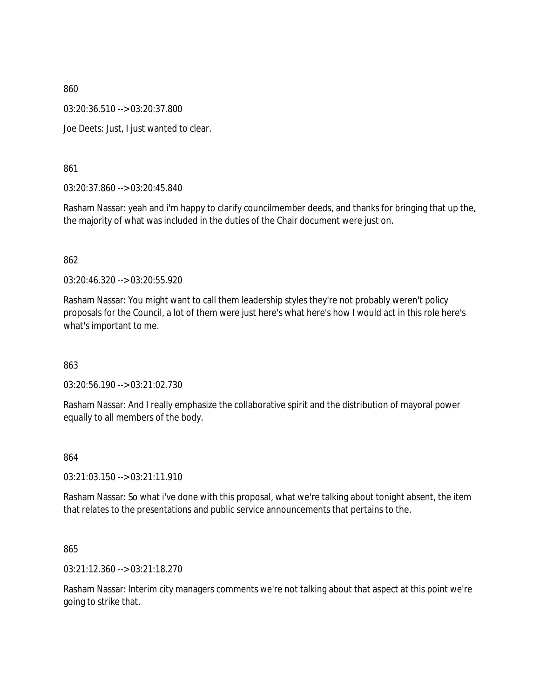03:20:36.510 --> 03:20:37.800

Joe Deets: Just, I just wanted to clear.

861

03:20:37.860 --> 03:20:45.840

Rasham Nassar: yeah and i'm happy to clarify councilmember deeds, and thanks for bringing that up the, the majority of what was included in the duties of the Chair document were just on.

862

03:20:46.320 --> 03:20:55.920

Rasham Nassar: You might want to call them leadership styles they're not probably weren't policy proposals for the Council, a lot of them were just here's what here's how I would act in this role here's what's important to me.

863

03:20:56.190 --> 03:21:02.730

Rasham Nassar: And I really emphasize the collaborative spirit and the distribution of mayoral power equally to all members of the body.

864

03:21:03.150 --> 03:21:11.910

Rasham Nassar: So what i've done with this proposal, what we're talking about tonight absent, the item that relates to the presentations and public service announcements that pertains to the.

865

03:21:12.360 --> 03:21:18.270

Rasham Nassar: Interim city managers comments we're not talking about that aspect at this point we're going to strike that.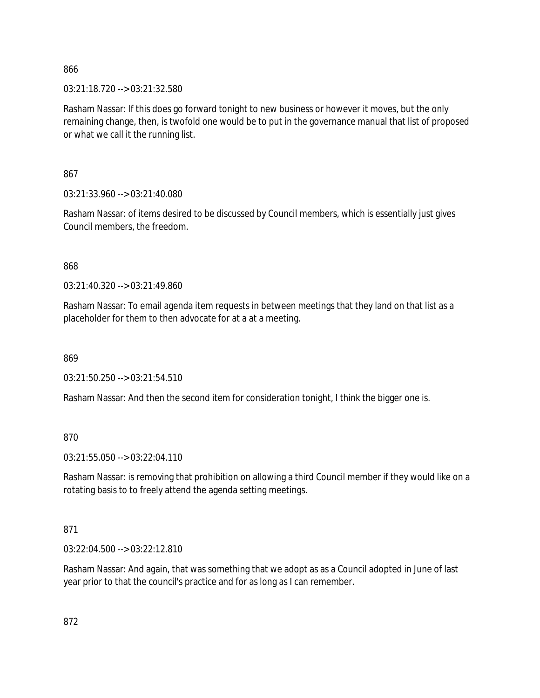03:21:18.720 --> 03:21:32.580

Rasham Nassar: If this does go forward tonight to new business or however it moves, but the only remaining change, then, is twofold one would be to put in the governance manual that list of proposed or what we call it the running list.

867

03:21:33.960 --> 03:21:40.080

Rasham Nassar: of items desired to be discussed by Council members, which is essentially just gives Council members, the freedom.

868

03:21:40.320 --> 03:21:49.860

Rasham Nassar: To email agenda item requests in between meetings that they land on that list as a placeholder for them to then advocate for at a at a meeting.

869

03:21:50.250 --> 03:21:54.510

Rasham Nassar: And then the second item for consideration tonight, I think the bigger one is.

870

03:21:55.050 --> 03:22:04.110

Rasham Nassar: is removing that prohibition on allowing a third Council member if they would like on a rotating basis to to freely attend the agenda setting meetings.

## 871

03:22:04.500 --> 03:22:12.810

Rasham Nassar: And again, that was something that we adopt as as a Council adopted in June of last year prior to that the council's practice and for as long as I can remember.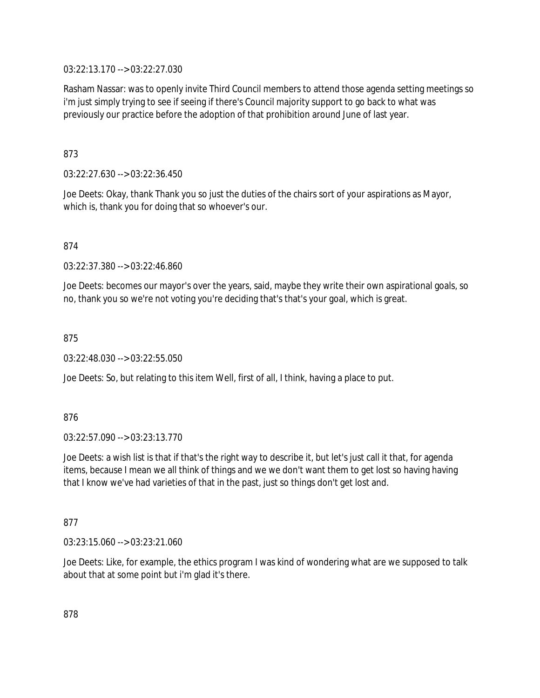03:22:13.170 --> 03:22:27.030

Rasham Nassar: was to openly invite Third Council members to attend those agenda setting meetings so i'm just simply trying to see if seeing if there's Council majority support to go back to what was previously our practice before the adoption of that prohibition around June of last year.

873

03:22:27.630 --> 03:22:36.450

Joe Deets: Okay, thank Thank you so just the duties of the chairs sort of your aspirations as Mayor, which is, thank you for doing that so whoever's our.

874

03:22:37.380 --> 03:22:46.860

Joe Deets: becomes our mayor's over the years, said, maybe they write their own aspirational goals, so no, thank you so we're not voting you're deciding that's that's your goal, which is great.

875

03:22:48.030 --> 03:22:55.050

Joe Deets: So, but relating to this item Well, first of all, I think, having a place to put.

876

03:22:57.090 --> 03:23:13.770

Joe Deets: a wish list is that if that's the right way to describe it, but let's just call it that, for agenda items, because I mean we all think of things and we we don't want them to get lost so having having that I know we've had varieties of that in the past, just so things don't get lost and.

877

03:23:15.060 --> 03:23:21.060

Joe Deets: Like, for example, the ethics program I was kind of wondering what are we supposed to talk about that at some point but i'm glad it's there.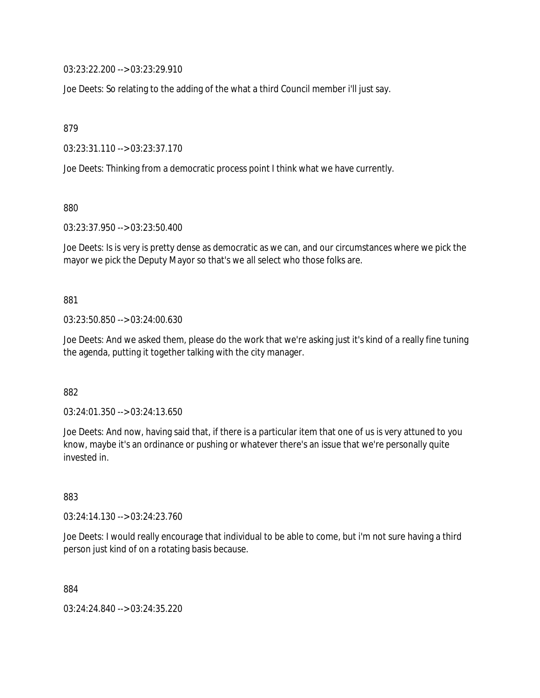03:23:22.200 --> 03:23:29.910

Joe Deets: So relating to the adding of the what a third Council member i'll just say.

879

03:23:31.110 --> 03:23:37.170

Joe Deets: Thinking from a democratic process point I think what we have currently.

880

03:23:37.950 --> 03:23:50.400

Joe Deets: Is is very is pretty dense as democratic as we can, and our circumstances where we pick the mayor we pick the Deputy Mayor so that's we all select who those folks are.

881

03:23:50.850 --> 03:24:00.630

Joe Deets: And we asked them, please do the work that we're asking just it's kind of a really fine tuning the agenda, putting it together talking with the city manager.

882

03:24:01.350 --> 03:24:13.650

Joe Deets: And now, having said that, if there is a particular item that one of us is very attuned to you know, maybe it's an ordinance or pushing or whatever there's an issue that we're personally quite invested in.

883

03:24:14.130 --> 03:24:23.760

Joe Deets: I would really encourage that individual to be able to come, but i'm not sure having a third person just kind of on a rotating basis because.

884

03:24:24.840 --> 03:24:35.220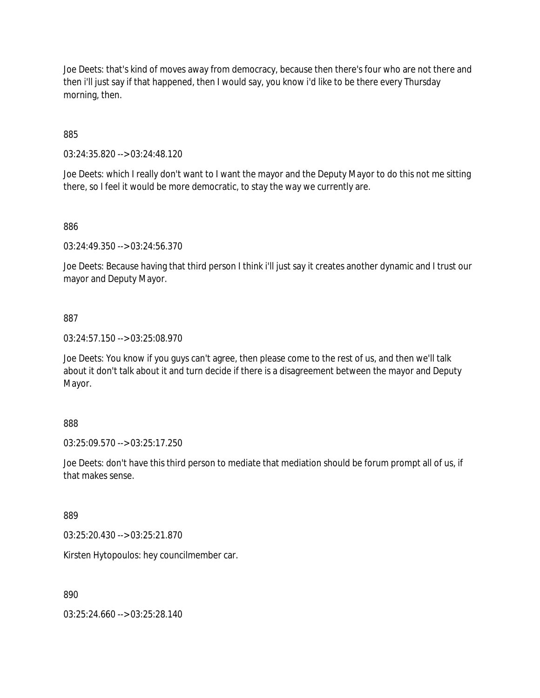Joe Deets: that's kind of moves away from democracy, because then there's four who are not there and then i'll just say if that happened, then I would say, you know i'd like to be there every Thursday morning, then.

885

03:24:35.820 --> 03:24:48.120

Joe Deets: which I really don't want to I want the mayor and the Deputy Mayor to do this not me sitting there, so I feel it would be more democratic, to stay the way we currently are.

886

03:24:49.350 --> 03:24:56.370

Joe Deets: Because having that third person I think i'll just say it creates another dynamic and I trust our mayor and Deputy Mayor.

887

03:24:57.150 --> 03:25:08.970

Joe Deets: You know if you guys can't agree, then please come to the rest of us, and then we'll talk about it don't talk about it and turn decide if there is a disagreement between the mayor and Deputy Mayor.

888

03:25:09.570 --> 03:25:17.250

Joe Deets: don't have this third person to mediate that mediation should be forum prompt all of us, if that makes sense.

889

03:25:20.430 --> 03:25:21.870

Kirsten Hytopoulos: hey councilmember car.

890

03:25:24.660 --> 03:25:28.140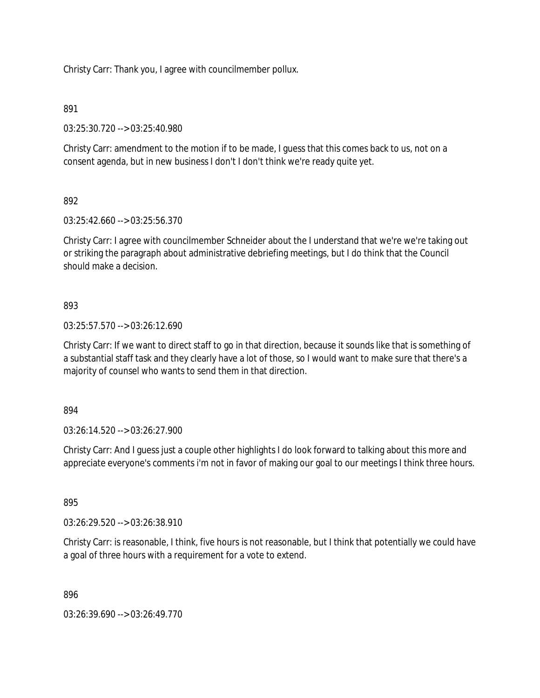Christy Carr: Thank you, I agree with councilmember pollux.

## 891

03:25:30.720 --> 03:25:40.980

Christy Carr: amendment to the motion if to be made, I guess that this comes back to us, not on a consent agenda, but in new business I don't I don't think we're ready quite yet.

# 892

03:25:42.660 --> 03:25:56.370

Christy Carr: I agree with councilmember Schneider about the I understand that we're we're taking out or striking the paragraph about administrative debriefing meetings, but I do think that the Council should make a decision.

## 893

03:25:57.570 --> 03:26:12.690

Christy Carr: If we want to direct staff to go in that direction, because it sounds like that is something of a substantial staff task and they clearly have a lot of those, so I would want to make sure that there's a majority of counsel who wants to send them in that direction.

### 894

03:26:14.520 --> 03:26:27.900

Christy Carr: And I guess just a couple other highlights I do look forward to talking about this more and appreciate everyone's comments i'm not in favor of making our goal to our meetings I think three hours.

### 895

03:26:29.520 --> 03:26:38.910

Christy Carr: is reasonable, I think, five hours is not reasonable, but I think that potentially we could have a goal of three hours with a requirement for a vote to extend.

### 896

03:26:39.690 --> 03:26:49.770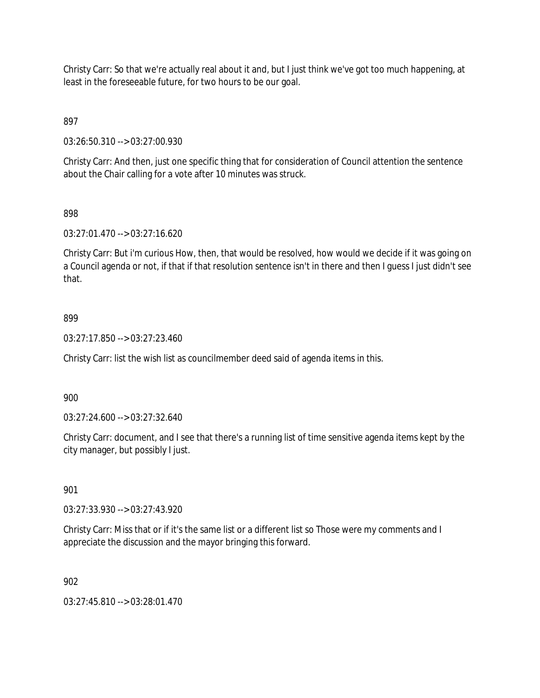Christy Carr: So that we're actually real about it and, but I just think we've got too much happening, at least in the foreseeable future, for two hours to be our goal.

897

03:26:50.310 --> 03:27:00.930

Christy Carr: And then, just one specific thing that for consideration of Council attention the sentence about the Chair calling for a vote after 10 minutes was struck.

## 898

03:27:01.470 --> 03:27:16.620

Christy Carr: But i'm curious How, then, that would be resolved, how would we decide if it was going on a Council agenda or not, if that if that resolution sentence isn't in there and then I guess I just didn't see that.

## 899

03:27:17.850 --> 03:27:23.460

Christy Carr: list the wish list as councilmember deed said of agenda items in this.

900

03:27:24.600 --> 03:27:32.640

Christy Carr: document, and I see that there's a running list of time sensitive agenda items kept by the city manager, but possibly I just.

### 901

03:27:33.930 --> 03:27:43.920

Christy Carr: Miss that or if it's the same list or a different list so Those were my comments and I appreciate the discussion and the mayor bringing this forward.

### 902

03:27:45.810 --> 03:28:01.470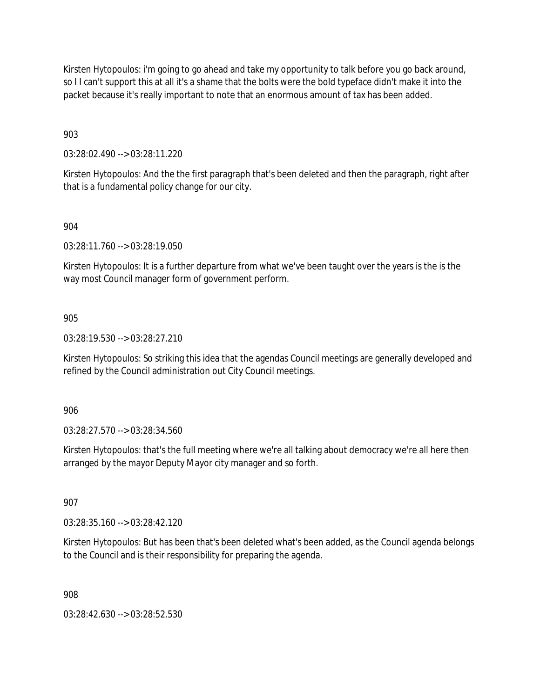Kirsten Hytopoulos: i'm going to go ahead and take my opportunity to talk before you go back around, so I I can't support this at all it's a shame that the bolts were the bold typeface didn't make it into the packet because it's really important to note that an enormous amount of tax has been added.

903

03:28:02.490 --> 03:28:11.220

Kirsten Hytopoulos: And the the first paragraph that's been deleted and then the paragraph, right after that is a fundamental policy change for our city.

### 904

03:28:11.760 --> 03:28:19.050

Kirsten Hytopoulos: It is a further departure from what we've been taught over the years is the is the way most Council manager form of government perform.

### 905

03:28:19.530 --> 03:28:27.210

Kirsten Hytopoulos: So striking this idea that the agendas Council meetings are generally developed and refined by the Council administration out City Council meetings.

906

03:28:27.570 --> 03:28:34.560

Kirsten Hytopoulos: that's the full meeting where we're all talking about democracy we're all here then arranged by the mayor Deputy Mayor city manager and so forth.

907

03:28:35.160 --> 03:28:42.120

Kirsten Hytopoulos: But has been that's been deleted what's been added, as the Council agenda belongs to the Council and is their responsibility for preparing the agenda.

908

03:28:42.630 --> 03:28:52.530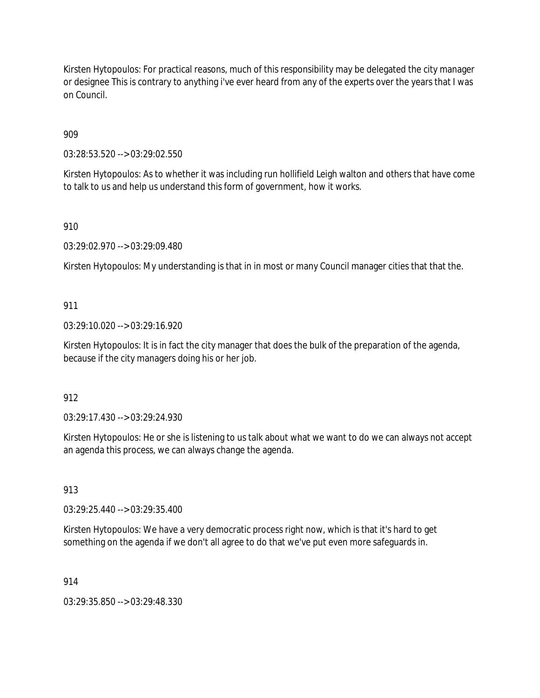Kirsten Hytopoulos: For practical reasons, much of this responsibility may be delegated the city manager or designee This is contrary to anything i've ever heard from any of the experts over the years that I was on Council.

909

03:28:53.520 --> 03:29:02.550

Kirsten Hytopoulos: As to whether it was including run hollifield Leigh walton and others that have come to talk to us and help us understand this form of government, how it works.

910

03:29:02.970 --> 03:29:09.480

Kirsten Hytopoulos: My understanding is that in in most or many Council manager cities that that the.

### 911

03:29:10.020 --> 03:29:16.920

Kirsten Hytopoulos: It is in fact the city manager that does the bulk of the preparation of the agenda, because if the city managers doing his or her job.

### 912

03:29:17.430 --> 03:29:24.930

Kirsten Hytopoulos: He or she is listening to us talk about what we want to do we can always not accept an agenda this process, we can always change the agenda.

913

03:29:25.440 --> 03:29:35.400

Kirsten Hytopoulos: We have a very democratic process right now, which is that it's hard to get something on the agenda if we don't all agree to do that we've put even more safeguards in.

914

03:29:35.850 --> 03:29:48.330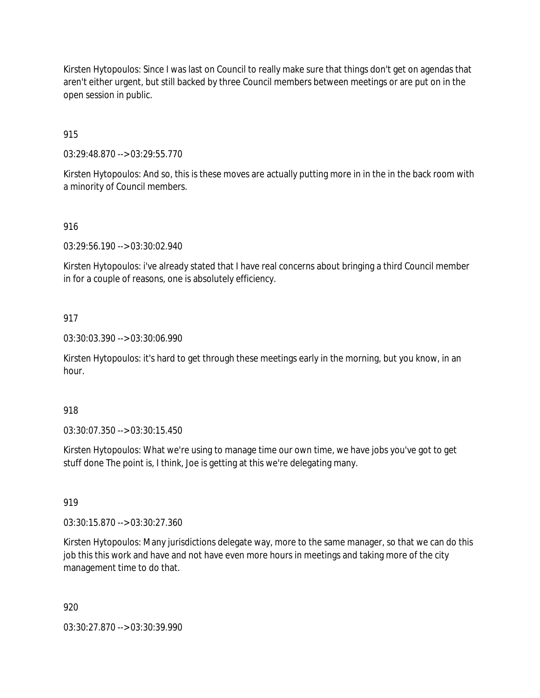Kirsten Hytopoulos: Since I was last on Council to really make sure that things don't get on agendas that aren't either urgent, but still backed by three Council members between meetings or are put on in the open session in public.

## 915

03:29:48.870 --> 03:29:55.770

Kirsten Hytopoulos: And so, this is these moves are actually putting more in in the in the back room with a minority of Council members.

## 916

03:29:56.190 --> 03:30:02.940

Kirsten Hytopoulos: i've already stated that I have real concerns about bringing a third Council member in for a couple of reasons, one is absolutely efficiency.

### 917

03:30:03.390 --> 03:30:06.990

Kirsten Hytopoulos: it's hard to get through these meetings early in the morning, but you know, in an hour.

### 918

03:30:07.350 --> 03:30:15.450

Kirsten Hytopoulos: What we're using to manage time our own time, we have jobs you've got to get stuff done The point is, I think, Joe is getting at this we're delegating many.

# 919

03:30:15.870 --> 03:30:27.360

Kirsten Hytopoulos: Many jurisdictions delegate way, more to the same manager, so that we can do this job this this work and have and not have even more hours in meetings and taking more of the city management time to do that.

### 920

03:30:27.870 --> 03:30:39.990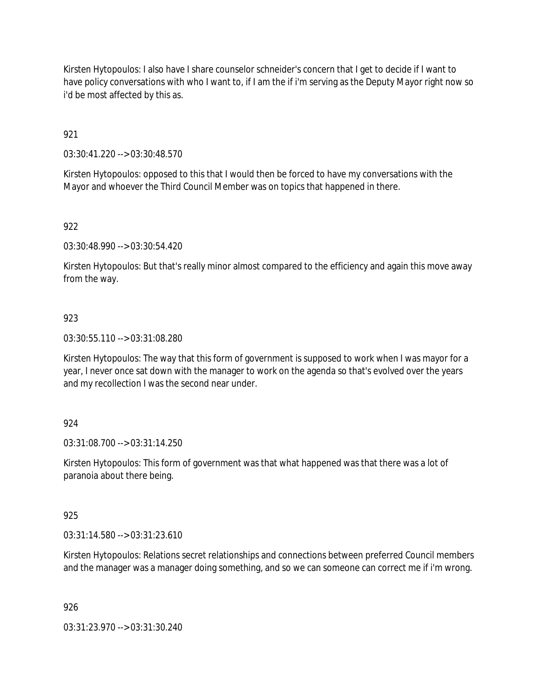Kirsten Hytopoulos: I also have I share counselor schneider's concern that I get to decide if I want to have policy conversations with who I want to, if I am the if i'm serving as the Deputy Mayor right now so i'd be most affected by this as.

921

03:30:41.220 --> 03:30:48.570

Kirsten Hytopoulos: opposed to this that I would then be forced to have my conversations with the Mayor and whoever the Third Council Member was on topics that happened in there.

922

03:30:48.990 --> 03:30:54.420

Kirsten Hytopoulos: But that's really minor almost compared to the efficiency and again this move away from the way.

### 923

03:30:55.110 --> 03:31:08.280

Kirsten Hytopoulos: The way that this form of government is supposed to work when I was mayor for a year, I never once sat down with the manager to work on the agenda so that's evolved over the years and my recollection I was the second near under.

### 924

03:31:08.700 --> 03:31:14.250

Kirsten Hytopoulos: This form of government was that what happened was that there was a lot of paranoia about there being.

#### 925

03:31:14.580 --> 03:31:23.610

Kirsten Hytopoulos: Relations secret relationships and connections between preferred Council members and the manager was a manager doing something, and so we can someone can correct me if i'm wrong.

926

03:31:23.970 --> 03:31:30.240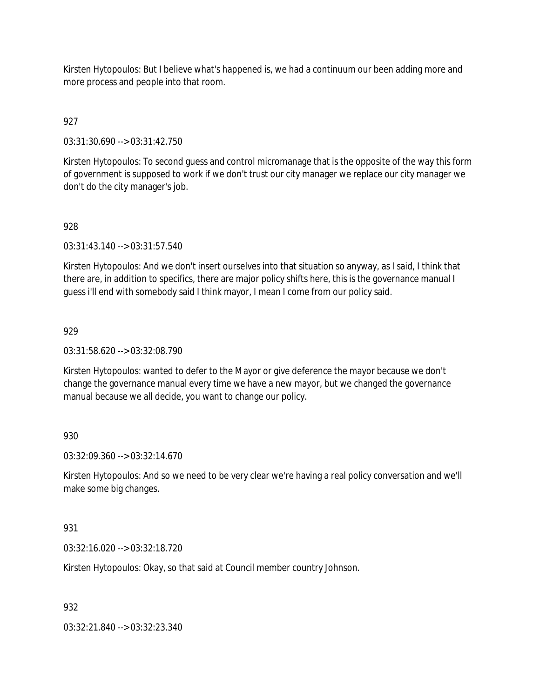Kirsten Hytopoulos: But I believe what's happened is, we had a continuum our been adding more and more process and people into that room.

## 927

03:31:30.690 --> 03:31:42.750

Kirsten Hytopoulos: To second guess and control micromanage that is the opposite of the way this form of government is supposed to work if we don't trust our city manager we replace our city manager we don't do the city manager's job.

### 928

03:31:43.140 --> 03:31:57.540

Kirsten Hytopoulos: And we don't insert ourselves into that situation so anyway, as I said, I think that there are, in addition to specifics, there are major policy shifts here, this is the governance manual I guess i'll end with somebody said I think mayor, I mean I come from our policy said.

### 929

03:31:58.620 --> 03:32:08.790

Kirsten Hytopoulos: wanted to defer to the Mayor or give deference the mayor because we don't change the governance manual every time we have a new mayor, but we changed the governance manual because we all decide, you want to change our policy.

### 930

03:32:09.360 --> 03:32:14.670

Kirsten Hytopoulos: And so we need to be very clear we're having a real policy conversation and we'll make some big changes.

#### 931

03:32:16.020 --> 03:32:18.720

Kirsten Hytopoulos: Okay, so that said at Council member country Johnson.

#### 932

03:32:21.840 --> 03:32:23.340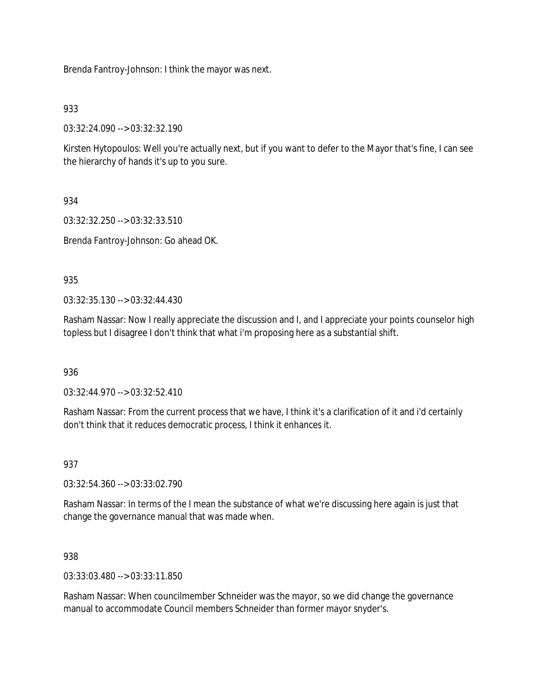Brenda Fantroy-Johnson: I think the mayor was next.

## 933

03:32:24.090 --> 03:32:32.190

Kirsten Hytopoulos: Well you're actually next, but if you want to defer to the Mayor that's fine, I can see the hierarchy of hands it's up to you sure.

934

03:32:32.250 --> 03:32:33.510

Brenda Fantroy-Johnson: Go ahead OK.

935

03:32:35.130 --> 03:32:44.430

Rasham Nassar: Now I really appreciate the discussion and I, and I appreciate your points counselor high topless but I disagree I don't think that what i'm proposing here as a substantial shift.

936

03:32:44.970 --> 03:32:52.410

Rasham Nassar: From the current process that we have, I think it's a clarification of it and i'd certainly don't think that it reduces democratic process, I think it enhances it.

937

03:32:54.360 --> 03:33:02.790

Rasham Nassar: In terms of the I mean the substance of what we're discussing here again is just that change the governance manual that was made when.

938

03:33:03.480 --> 03:33:11.850

Rasham Nassar: When councilmember Schneider was the mayor, so we did change the governance manual to accommodate Council members Schneider than former mayor snyder's.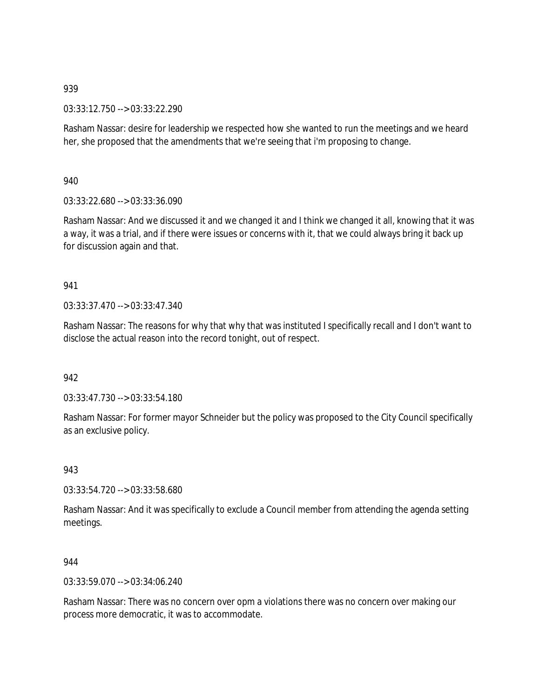03:33:12.750 --> 03:33:22.290

Rasham Nassar: desire for leadership we respected how she wanted to run the meetings and we heard her, she proposed that the amendments that we're seeing that i'm proposing to change.

940

03:33:22.680 --> 03:33:36.090

Rasham Nassar: And we discussed it and we changed it and I think we changed it all, knowing that it was a way, it was a trial, and if there were issues or concerns with it, that we could always bring it back up for discussion again and that.

#### 941

03:33:37.470 --> 03:33:47.340

Rasham Nassar: The reasons for why that why that was instituted I specifically recall and I don't want to disclose the actual reason into the record tonight, out of respect.

#### 942

03:33:47.730 --> 03:33:54.180

Rasham Nassar: For former mayor Schneider but the policy was proposed to the City Council specifically as an exclusive policy.

943

03:33:54.720 --> 03:33:58.680

Rasham Nassar: And it was specifically to exclude a Council member from attending the agenda setting meetings.

### 944

03:33:59.070 --> 03:34:06.240

Rasham Nassar: There was no concern over opm a violations there was no concern over making our process more democratic, it was to accommodate.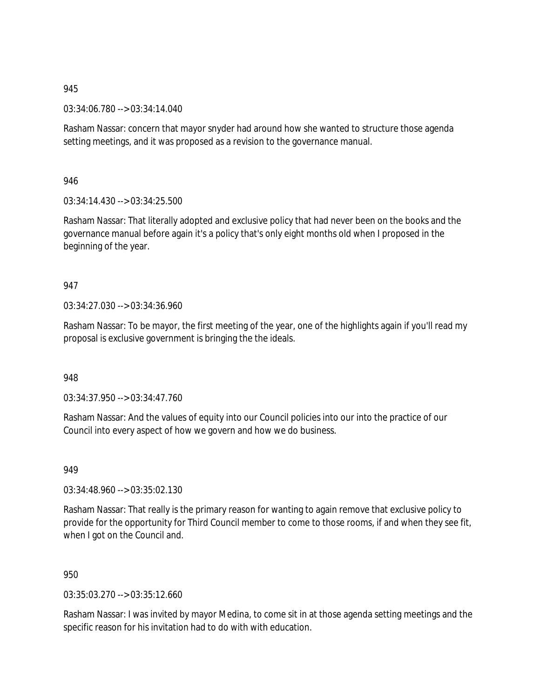03:34:06.780 --> 03:34:14.040

Rasham Nassar: concern that mayor snyder had around how she wanted to structure those agenda setting meetings, and it was proposed as a revision to the governance manual.

946

03:34:14.430 --> 03:34:25.500

Rasham Nassar: That literally adopted and exclusive policy that had never been on the books and the governance manual before again it's a policy that's only eight months old when I proposed in the beginning of the year.

## 947

03:34:27.030 --> 03:34:36.960

Rasham Nassar: To be mayor, the first meeting of the year, one of the highlights again if you'll read my proposal is exclusive government is bringing the the ideals.

948

03:34:37.950 --> 03:34:47.760

Rasham Nassar: And the values of equity into our Council policies into our into the practice of our Council into every aspect of how we govern and how we do business.

949

03:34:48.960 --> 03:35:02.130

Rasham Nassar: That really is the primary reason for wanting to again remove that exclusive policy to provide for the opportunity for Third Council member to come to those rooms, if and when they see fit, when I got on the Council and.

950

03:35:03.270 --> 03:35:12.660

Rasham Nassar: I was invited by mayor Medina, to come sit in at those agenda setting meetings and the specific reason for his invitation had to do with with education.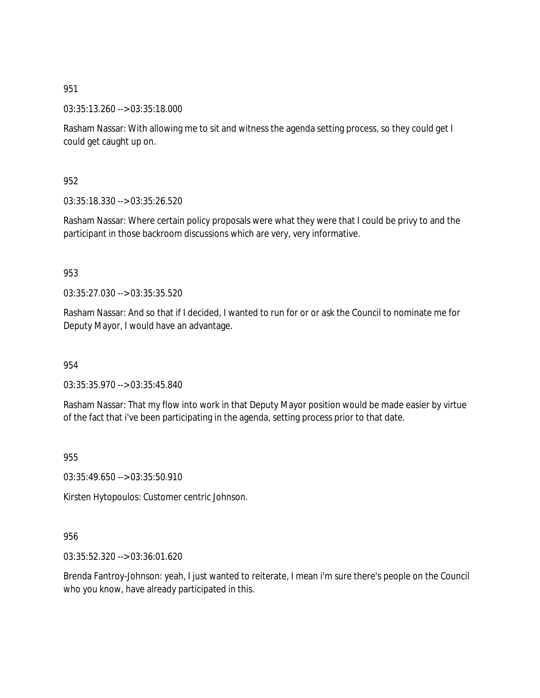03:35:13.260 --> 03:35:18.000

Rasham Nassar: With allowing me to sit and witness the agenda setting process, so they could get I could get caught up on.

952

03:35:18.330 --> 03:35:26.520

Rasham Nassar: Where certain policy proposals were what they were that I could be privy to and the participant in those backroom discussions which are very, very informative.

953

03:35:27.030 --> 03:35:35.520

Rasham Nassar: And so that if I decided, I wanted to run for or or ask the Council to nominate me for Deputy Mayor, I would have an advantage.

954

03:35:35.970 --> 03:35:45.840

Rasham Nassar: That my flow into work in that Deputy Mayor position would be made easier by virtue of the fact that i've been participating in the agenda, setting process prior to that date.

955

03:35:49.650 --> 03:35:50.910

Kirsten Hytopoulos: Customer centric Johnson.

956

03:35:52.320 --> 03:36:01.620

Brenda Fantroy-Johnson: yeah, I just wanted to reiterate, I mean i'm sure there's people on the Council who you know, have already participated in this.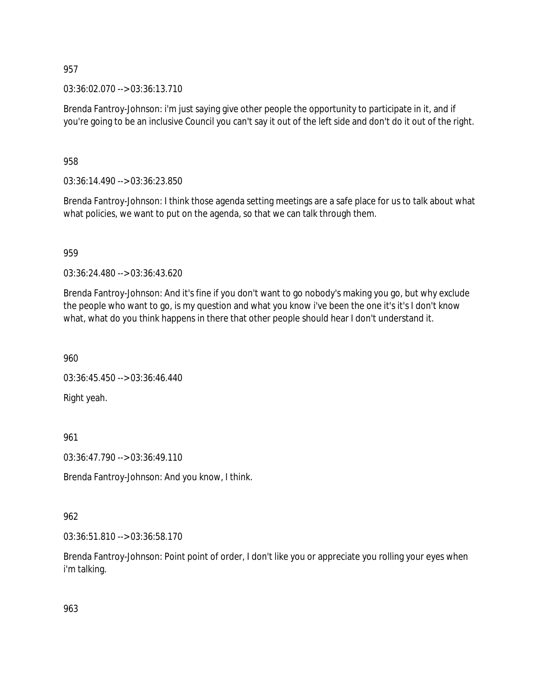03:36:02.070 --> 03:36:13.710

Brenda Fantroy-Johnson: i'm just saying give other people the opportunity to participate in it, and if you're going to be an inclusive Council you can't say it out of the left side and don't do it out of the right.

958

03:36:14.490 --> 03:36:23.850

Brenda Fantroy-Johnson: I think those agenda setting meetings are a safe place for us to talk about what what policies, we want to put on the agenda, so that we can talk through them.

959

03:36:24.480 --> 03:36:43.620

Brenda Fantroy-Johnson: And it's fine if you don't want to go nobody's making you go, but why exclude the people who want to go, is my question and what you know i've been the one it's it's I don't know what, what do you think happens in there that other people should hear I don't understand it.

960

03:36:45.450 --> 03:36:46.440

Right yeah.

961

03:36:47.790 --> 03:36:49.110

Brenda Fantroy-Johnson: And you know, I think.

962

03:36:51.810 --> 03:36:58.170

Brenda Fantroy-Johnson: Point point of order, I don't like you or appreciate you rolling your eyes when i'm talking.

963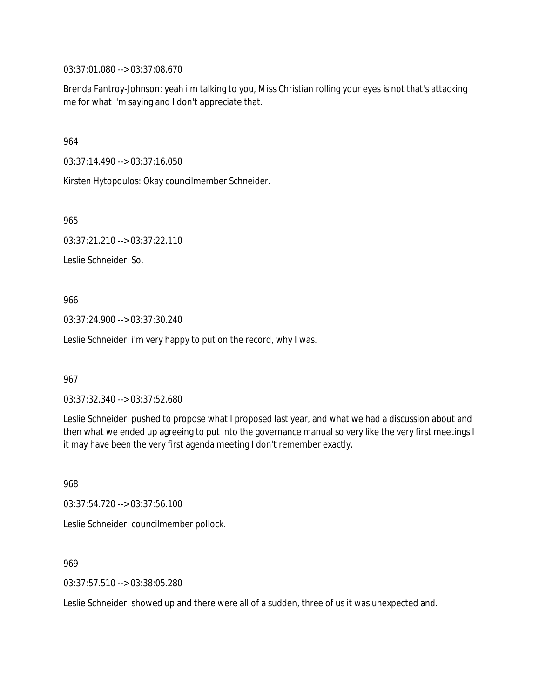03:37:01.080 --> 03:37:08.670

Brenda Fantroy-Johnson: yeah i'm talking to you, Miss Christian rolling your eyes is not that's attacking me for what i'm saying and I don't appreciate that.

964

03:37:14.490 --> 03:37:16.050

Kirsten Hytopoulos: Okay councilmember Schneider.

965

03:37:21.210 --> 03:37:22.110

Leslie Schneider: So.

966

03:37:24.900 --> 03:37:30.240

Leslie Schneider: i'm very happy to put on the record, why I was.

967

03:37:32.340 --> 03:37:52.680

Leslie Schneider: pushed to propose what I proposed last year, and what we had a discussion about and then what we ended up agreeing to put into the governance manual so very like the very first meetings I it may have been the very first agenda meeting I don't remember exactly.

968

03:37:54.720 --> 03:37:56.100 Leslie Schneider: councilmember pollock.

969

03:37:57.510 --> 03:38:05.280

Leslie Schneider: showed up and there were all of a sudden, three of us it was unexpected and.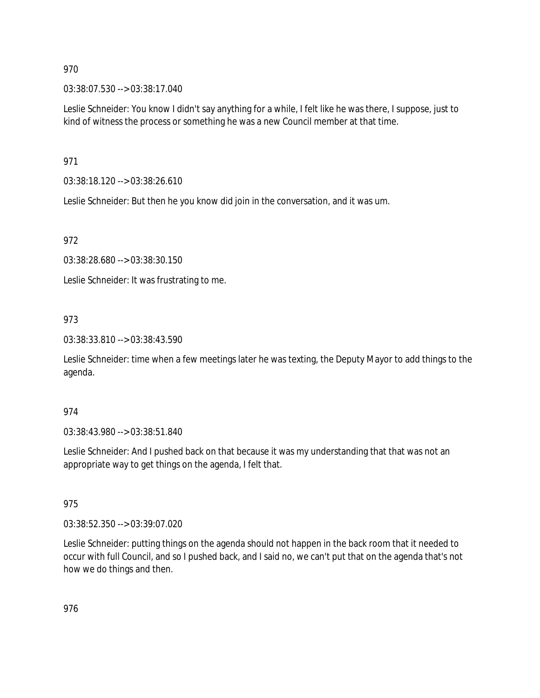03:38:07.530 --> 03:38:17.040

Leslie Schneider: You know I didn't say anything for a while, I felt like he was there, I suppose, just to kind of witness the process or something he was a new Council member at that time.

971

03:38:18.120 --> 03:38:26.610

Leslie Schneider: But then he you know did join in the conversation, and it was um.

972

03:38:28.680 --> 03:38:30.150

Leslie Schneider: It was frustrating to me.

## 973

03:38:33.810 --> 03:38:43.590

Leslie Schneider: time when a few meetings later he was texting, the Deputy Mayor to add things to the agenda.

### 974

03:38:43.980 --> 03:38:51.840

Leslie Schneider: And I pushed back on that because it was my understanding that that was not an appropriate way to get things on the agenda, I felt that.

### 975

03:38:52.350 --> 03:39:07.020

Leslie Schneider: putting things on the agenda should not happen in the back room that it needed to occur with full Council, and so I pushed back, and I said no, we can't put that on the agenda that's not how we do things and then.

976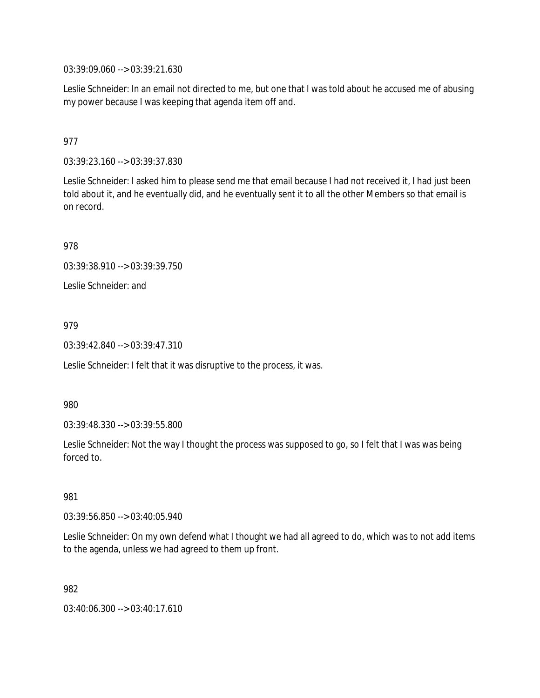03:39:09.060 --> 03:39:21.630

Leslie Schneider: In an email not directed to me, but one that I was told about he accused me of abusing my power because I was keeping that agenda item off and.

## 977

03:39:23.160 --> 03:39:37.830

Leslie Schneider: I asked him to please send me that email because I had not received it, I had just been told about it, and he eventually did, and he eventually sent it to all the other Members so that email is on record.

978

03:39:38.910 --> 03:39:39.750

Leslie Schneider: and

### 979

03:39:42.840 --> 03:39:47.310

Leslie Schneider: I felt that it was disruptive to the process, it was.

980

03:39:48.330 --> 03:39:55.800

Leslie Schneider: Not the way I thought the process was supposed to go, so I felt that I was was being forced to.

#### 981

03:39:56.850 --> 03:40:05.940

Leslie Schneider: On my own defend what I thought we had all agreed to do, which was to not add items to the agenda, unless we had agreed to them up front.

982

03:40:06.300 --> 03:40:17.610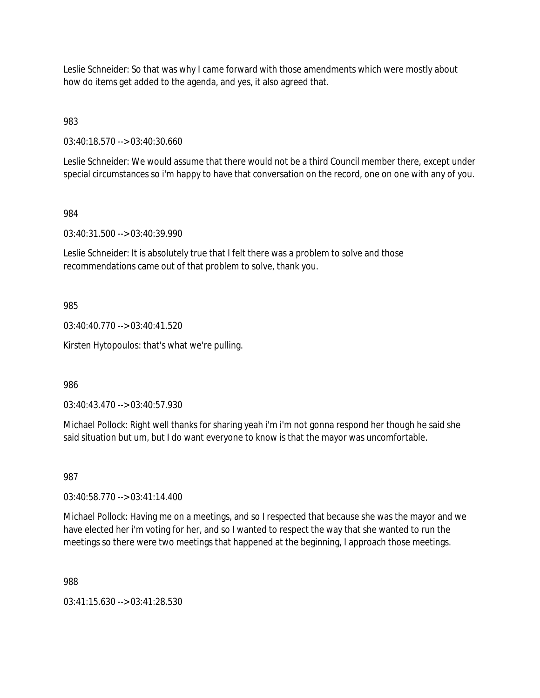Leslie Schneider: So that was why I came forward with those amendments which were mostly about how do items get added to the agenda, and yes, it also agreed that.

983

03:40:18.570 --> 03:40:30.660

Leslie Schneider: We would assume that there would not be a third Council member there, except under special circumstances so i'm happy to have that conversation on the record, one on one with any of you.

984

03:40:31.500 --> 03:40:39.990

Leslie Schneider: It is absolutely true that I felt there was a problem to solve and those recommendations came out of that problem to solve, thank you.

985

03:40:40.770 --> 03:40:41.520

Kirsten Hytopoulos: that's what we're pulling.

986

03:40:43.470 --> 03:40:57.930

Michael Pollock: Right well thanks for sharing yeah i'm i'm not gonna respond her though he said she said situation but um, but I do want everyone to know is that the mayor was uncomfortable.

987

03:40:58.770 --> 03:41:14.400

Michael Pollock: Having me on a meetings, and so I respected that because she was the mayor and we have elected her i'm voting for her, and so I wanted to respect the way that she wanted to run the meetings so there were two meetings that happened at the beginning, I approach those meetings.

988

03:41:15.630 --> 03:41:28.530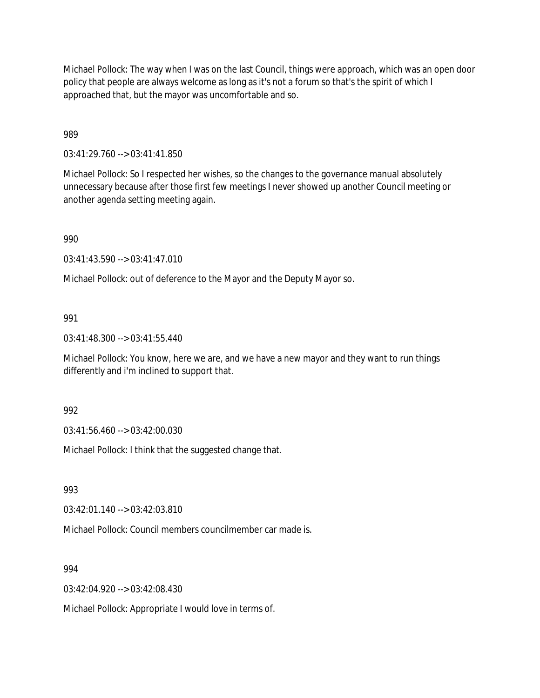Michael Pollock: The way when I was on the last Council, things were approach, which was an open door policy that people are always welcome as long as it's not a forum so that's the spirit of which I approached that, but the mayor was uncomfortable and so.

989

03:41:29.760 --> 03:41:41.850

Michael Pollock: So I respected her wishes, so the changes to the governance manual absolutely unnecessary because after those first few meetings I never showed up another Council meeting or another agenda setting meeting again.

990

03:41:43.590 --> 03:41:47.010

Michael Pollock: out of deference to the Mayor and the Deputy Mayor so.

991

03:41:48.300 --> 03:41:55.440

Michael Pollock: You know, here we are, and we have a new mayor and they want to run things differently and i'm inclined to support that.

992

03:41:56.460 --> 03:42:00.030

Michael Pollock: I think that the suggested change that.

993

03:42:01.140 --> 03:42:03.810

Michael Pollock: Council members councilmember car made is.

994

03:42:04.920 --> 03:42:08.430

Michael Pollock: Appropriate I would love in terms of.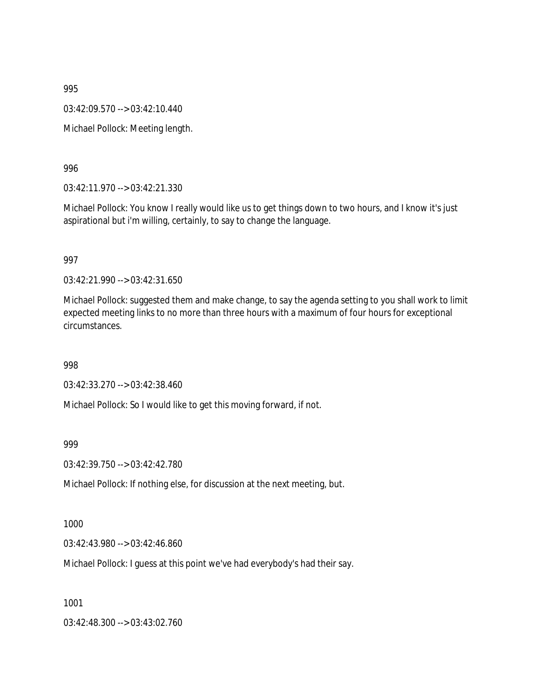03:42:09.570 --> 03:42:10.440

Michael Pollock: Meeting length.

#### 996

03:42:11.970 --> 03:42:21.330

Michael Pollock: You know I really would like us to get things down to two hours, and I know it's just aspirational but i'm willing, certainly, to say to change the language.

#### 997

03:42:21.990 --> 03:42:31.650

Michael Pollock: suggested them and make change, to say the agenda setting to you shall work to limit expected meeting links to no more than three hours with a maximum of four hours for exceptional circumstances.

### 998

03:42:33.270 --> 03:42:38.460

Michael Pollock: So I would like to get this moving forward, if not.

#### 999

03:42:39.750 --> 03:42:42.780

Michael Pollock: If nothing else, for discussion at the next meeting, but.

#### 1000

03:42:43.980 --> 03:42:46.860

Michael Pollock: I guess at this point we've had everybody's had their say.

1001

03:42:48.300 --> 03:43:02.760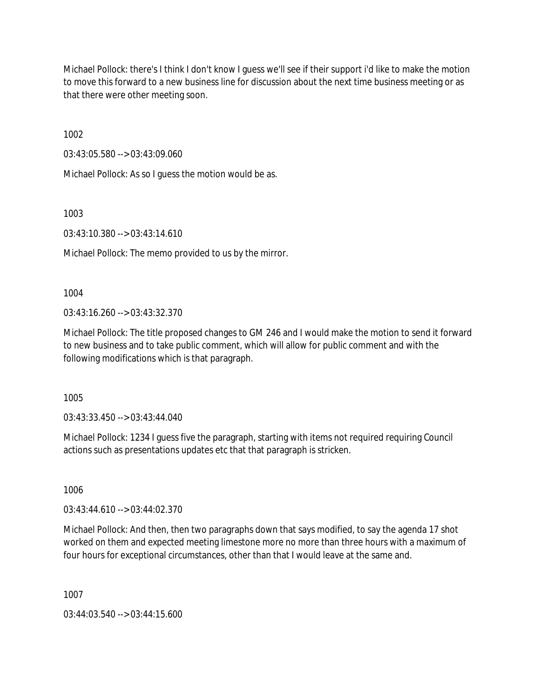Michael Pollock: there's I think I don't know I guess we'll see if their support i'd like to make the motion to move this forward to a new business line for discussion about the next time business meeting or as that there were other meeting soon.

1002

03:43:05.580 --> 03:43:09.060

Michael Pollock: As so I guess the motion would be as.

1003

03:43:10.380 --> 03:43:14.610

Michael Pollock: The memo provided to us by the mirror.

1004

03:43:16.260 --> 03:43:32.370

Michael Pollock: The title proposed changes to GM 246 and I would make the motion to send it forward to new business and to take public comment, which will allow for public comment and with the following modifications which is that paragraph.

1005

03:43:33.450 --> 03:43:44.040

Michael Pollock: 1234 I guess five the paragraph, starting with items not required requiring Council actions such as presentations updates etc that that paragraph is stricken.

1006

03:43:44.610 --> 03:44:02.370

Michael Pollock: And then, then two paragraphs down that says modified, to say the agenda 17 shot worked on them and expected meeting limestone more no more than three hours with a maximum of four hours for exceptional circumstances, other than that I would leave at the same and.

1007

03:44:03.540 --> 03:44:15.600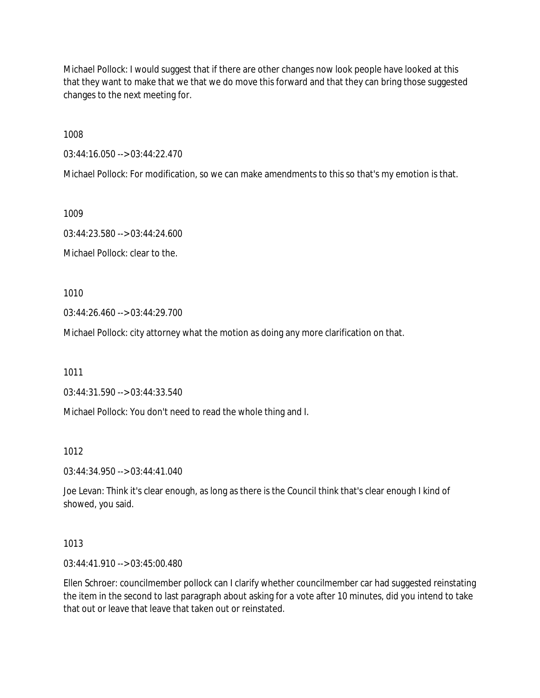Michael Pollock: I would suggest that if there are other changes now look people have looked at this that they want to make that we that we do move this forward and that they can bring those suggested changes to the next meeting for.

1008

03:44:16.050 --> 03:44:22.470

Michael Pollock: For modification, so we can make amendments to this so that's my emotion is that.

1009

03:44:23.580 --> 03:44:24.600 Michael Pollock: clear to the.

1010

03:44:26.460 --> 03:44:29.700

Michael Pollock: city attorney what the motion as doing any more clarification on that.

1011

03:44:31.590 --> 03:44:33.540

Michael Pollock: You don't need to read the whole thing and I.

1012

03:44:34.950 --> 03:44:41.040

Joe Levan: Think it's clear enough, as long as there is the Council think that's clear enough I kind of showed, you said.

1013

03:44:41.910 --> 03:45:00.480

Ellen Schroer: councilmember pollock can I clarify whether councilmember car had suggested reinstating the item in the second to last paragraph about asking for a vote after 10 minutes, did you intend to take that out or leave that leave that taken out or reinstated.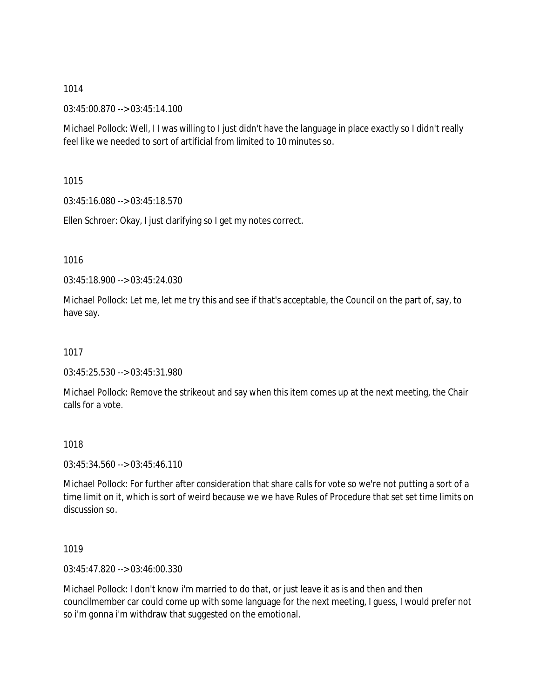03:45:00.870 --> 03:45:14.100

Michael Pollock: Well, I I was willing to I just didn't have the language in place exactly so I didn't really feel like we needed to sort of artificial from limited to 10 minutes so.

1015

03:45:16.080 --> 03:45:18.570

Ellen Schroer: Okay, I just clarifying so I get my notes correct.

1016

03:45:18.900 --> 03:45:24.030

Michael Pollock: Let me, let me try this and see if that's acceptable, the Council on the part of, say, to have say.

1017

03:45:25.530 --> 03:45:31.980

Michael Pollock: Remove the strikeout and say when this item comes up at the next meeting, the Chair calls for a vote.

1018

03:45:34.560 --> 03:45:46.110

Michael Pollock: For further after consideration that share calls for vote so we're not putting a sort of a time limit on it, which is sort of weird because we we have Rules of Procedure that set set time limits on discussion so.

1019

03:45:47.820 --> 03:46:00.330

Michael Pollock: I don't know i'm married to do that, or just leave it as is and then and then councilmember car could come up with some language for the next meeting, I guess, I would prefer not so i'm gonna i'm withdraw that suggested on the emotional.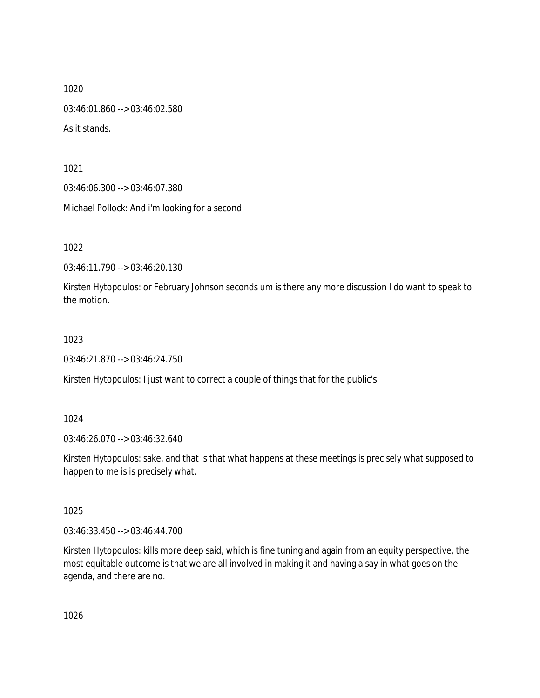1020 03:46:01.860 --> 03:46:02.580 As it stands.

1021

03:46:06.300 --> 03:46:07.380

Michael Pollock: And i'm looking for a second.

1022

03:46:11.790 --> 03:46:20.130

Kirsten Hytopoulos: or February Johnson seconds um is there any more discussion I do want to speak to the motion.

### 1023

03:46:21.870 --> 03:46:24.750

Kirsten Hytopoulos: I just want to correct a couple of things that for the public's.

### 1024

03:46:26.070 --> 03:46:32.640

Kirsten Hytopoulos: sake, and that is that what happens at these meetings is precisely what supposed to happen to me is is precisely what.

### 1025

03:46:33.450 --> 03:46:44.700

Kirsten Hytopoulos: kills more deep said, which is fine tuning and again from an equity perspective, the most equitable outcome is that we are all involved in making it and having a say in what goes on the agenda, and there are no.

1026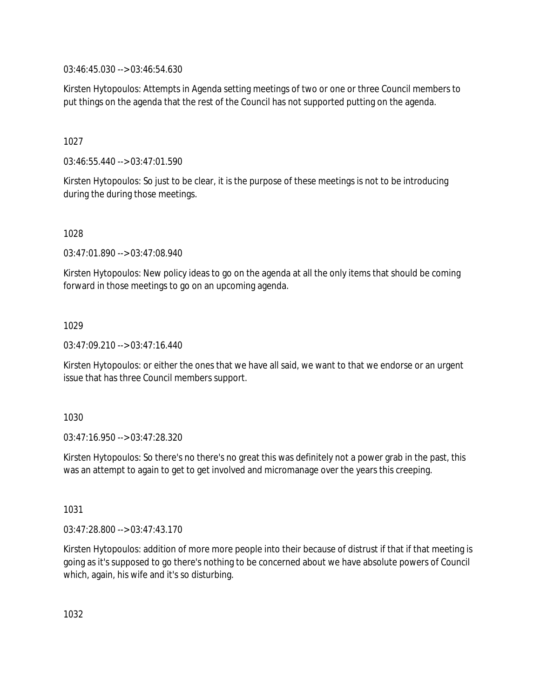03:46:45.030 --> 03:46:54.630

Kirsten Hytopoulos: Attempts in Agenda setting meetings of two or one or three Council members to put things on the agenda that the rest of the Council has not supported putting on the agenda.

1027

03:46:55.440 --> 03:47:01.590

Kirsten Hytopoulos: So just to be clear, it is the purpose of these meetings is not to be introducing during the during those meetings.

1028

03:47:01.890 --> 03:47:08.940

Kirsten Hytopoulos: New policy ideas to go on the agenda at all the only items that should be coming forward in those meetings to go on an upcoming agenda.

1029

03:47:09.210 --> 03:47:16.440

Kirsten Hytopoulos: or either the ones that we have all said, we want to that we endorse or an urgent issue that has three Council members support.

1030

03:47:16.950 --> 03:47:28.320

Kirsten Hytopoulos: So there's no there's no great this was definitely not a power grab in the past, this was an attempt to again to get to get involved and micromanage over the years this creeping.

1031

03:47:28.800 --> 03:47:43.170

Kirsten Hytopoulos: addition of more more people into their because of distrust if that if that meeting is going as it's supposed to go there's nothing to be concerned about we have absolute powers of Council which, again, his wife and it's so disturbing.

1032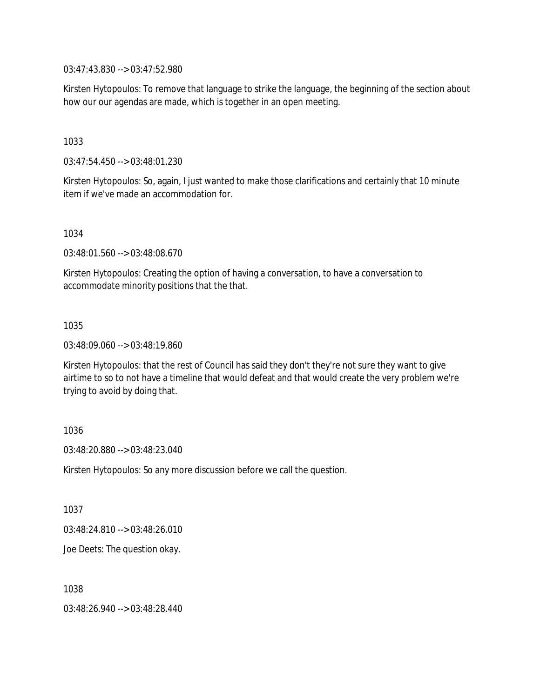03:47:43.830 --> 03:47:52.980

Kirsten Hytopoulos: To remove that language to strike the language, the beginning of the section about how our our agendas are made, which is together in an open meeting.

1033

03:47:54.450 --> 03:48:01.230

Kirsten Hytopoulos: So, again, I just wanted to make those clarifications and certainly that 10 minute item if we've made an accommodation for.

1034

03:48:01.560 --> 03:48:08.670

Kirsten Hytopoulos: Creating the option of having a conversation, to have a conversation to accommodate minority positions that the that.

1035

03:48:09.060 --> 03:48:19.860

Kirsten Hytopoulos: that the rest of Council has said they don't they're not sure they want to give airtime to so to not have a timeline that would defeat and that would create the very problem we're trying to avoid by doing that.

1036

03:48:20.880 --> 03:48:23.040

Kirsten Hytopoulos: So any more discussion before we call the question.

1037

03:48:24.810 --> 03:48:26.010

Joe Deets: The question okay.

1038

03:48:26.940 --> 03:48:28.440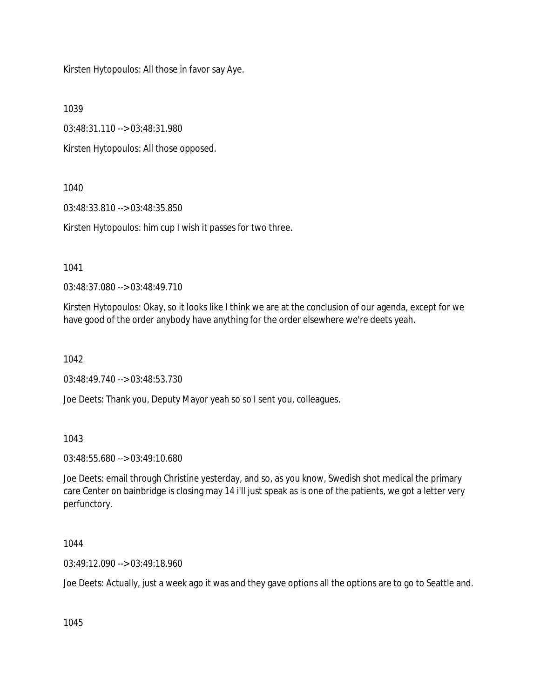Kirsten Hytopoulos: All those in favor say Aye.

1039

03:48:31.110 --> 03:48:31.980

Kirsten Hytopoulos: All those opposed.

1040

03:48:33.810 --> 03:48:35.850

Kirsten Hytopoulos: him cup I wish it passes for two three.

1041

03:48:37.080 --> 03:48:49.710

Kirsten Hytopoulos: Okay, so it looks like I think we are at the conclusion of our agenda, except for we have good of the order anybody have anything for the order elsewhere we're deets yeah.

1042

03:48:49.740 --> 03:48:53.730

Joe Deets: Thank you, Deputy Mayor yeah so so I sent you, colleagues.

1043

03:48:55.680 --> 03:49:10.680

Joe Deets: email through Christine yesterday, and so, as you know, Swedish shot medical the primary care Center on bainbridge is closing may 14 i'll just speak as is one of the patients, we got a letter very perfunctory.

1044

03:49:12.090 --> 03:49:18.960

Joe Deets: Actually, just a week ago it was and they gave options all the options are to go to Seattle and.

1045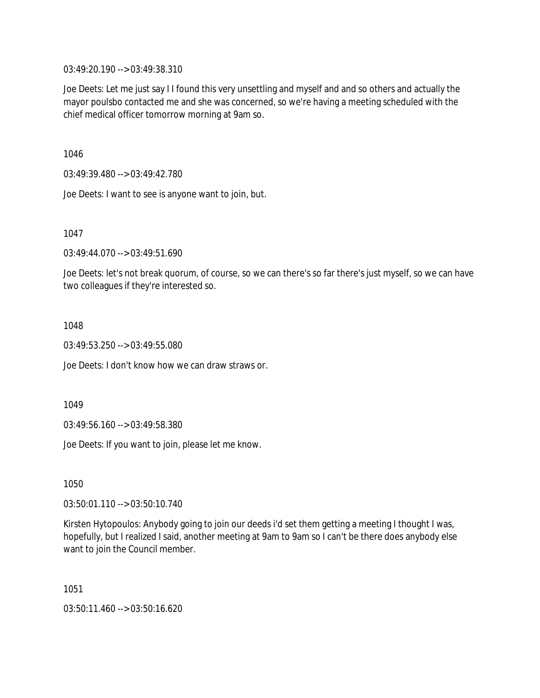03:49:20.190 --> 03:49:38.310

Joe Deets: Let me just say I I found this very unsettling and myself and and so others and actually the mayor poulsbo contacted me and she was concerned, so we're having a meeting scheduled with the chief medical officer tomorrow morning at 9am so.

1046

03:49:39.480 --> 03:49:42.780

Joe Deets: I want to see is anyone want to join, but.

1047

03:49:44.070 --> 03:49:51.690

Joe Deets: let's not break quorum, of course, so we can there's so far there's just myself, so we can have two colleagues if they're interested so.

1048

03:49:53.250 --> 03:49:55.080

Joe Deets: I don't know how we can draw straws or.

1049

03:49:56.160 --> 03:49:58.380

Joe Deets: If you want to join, please let me know.

1050

03:50:01.110 --> 03:50:10.740

Kirsten Hytopoulos: Anybody going to join our deeds i'd set them getting a meeting I thought I was, hopefully, but I realized I said, another meeting at 9am to 9am so I can't be there does anybody else want to join the Council member.

1051

03:50:11.460 --> 03:50:16.620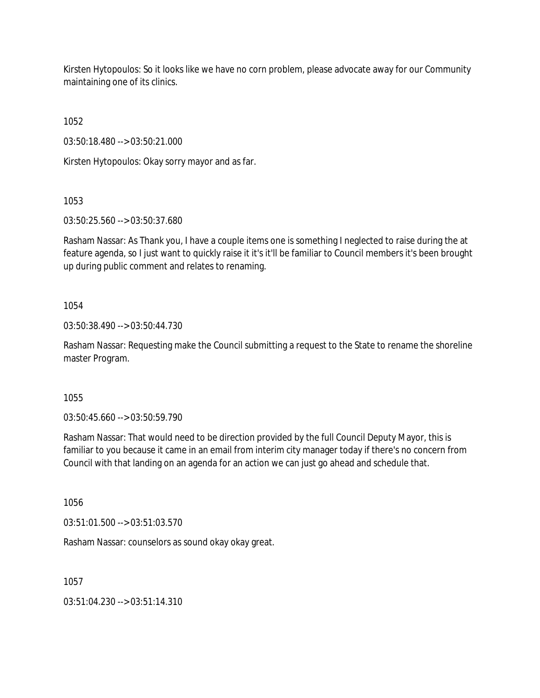Kirsten Hytopoulos: So it looks like we have no corn problem, please advocate away for our Community maintaining one of its clinics.

1052

03:50:18.480 --> 03:50:21.000

Kirsten Hytopoulos: Okay sorry mayor and as far.

1053

03:50:25.560 --> 03:50:37.680

Rasham Nassar: As Thank you, I have a couple items one is something I neglected to raise during the at feature agenda, so I just want to quickly raise it it's it'll be familiar to Council members it's been brought up during public comment and relates to renaming.

### 1054

03:50:38.490 --> 03:50:44.730

Rasham Nassar: Requesting make the Council submitting a request to the State to rename the shoreline master Program.

1055

03:50:45.660 --> 03:50:59.790

Rasham Nassar: That would need to be direction provided by the full Council Deputy Mayor, this is familiar to you because it came in an email from interim city manager today if there's no concern from Council with that landing on an agenda for an action we can just go ahead and schedule that.

1056

03:51:01.500 --> 03:51:03.570

Rasham Nassar: counselors as sound okay okay great.

1057

03:51:04.230 --> 03:51:14.310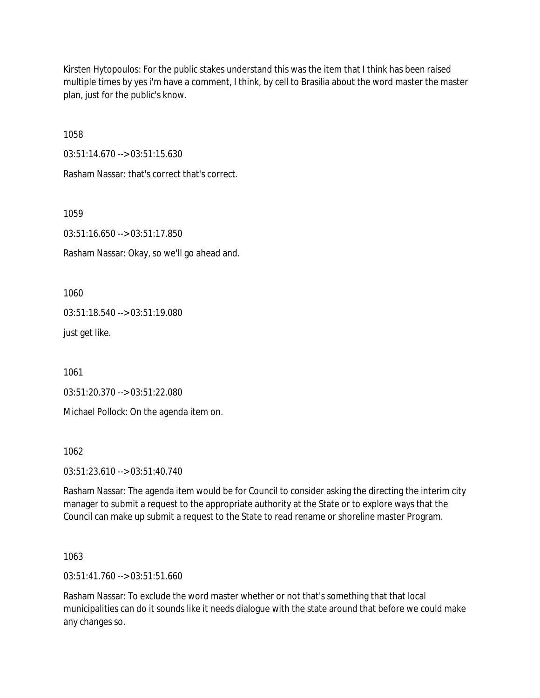Kirsten Hytopoulos: For the public stakes understand this was the item that I think has been raised multiple times by yes i'm have a comment, I think, by cell to Brasilia about the word master the master plan, just for the public's know.

1058

03:51:14.670 --> 03:51:15.630

Rasham Nassar: that's correct that's correct.

1059

03:51:16.650 --> 03:51:17.850

Rasham Nassar: Okay, so we'll go ahead and.

1060

03:51:18.540 --> 03:51:19.080

just get like.

1061

03:51:20.370 --> 03:51:22.080

Michael Pollock: On the agenda item on.

1062

03:51:23.610 --> 03:51:40.740

Rasham Nassar: The agenda item would be for Council to consider asking the directing the interim city manager to submit a request to the appropriate authority at the State or to explore ways that the Council can make up submit a request to the State to read rename or shoreline master Program.

1063

03:51:41.760 --> 03:51:51.660

Rasham Nassar: To exclude the word master whether or not that's something that that local municipalities can do it sounds like it needs dialogue with the state around that before we could make any changes so.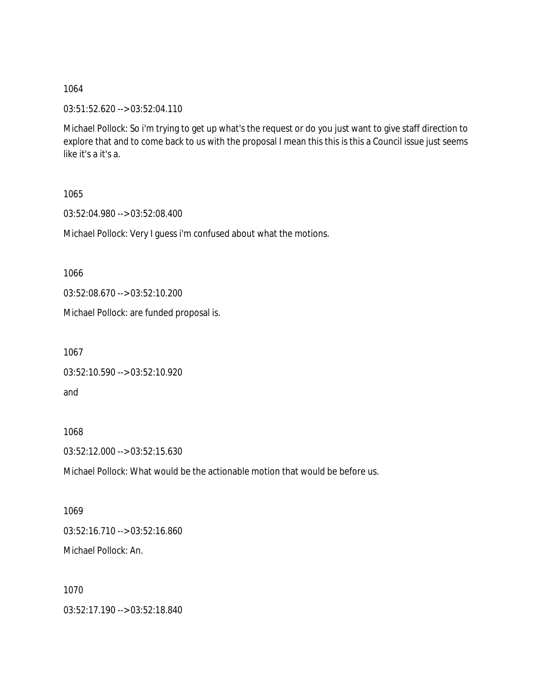03:51:52.620 --> 03:52:04.110

Michael Pollock: So i'm trying to get up what's the request or do you just want to give staff direction to explore that and to come back to us with the proposal I mean this this is this a Council issue just seems like it's a it's a.

1065

03:52:04.980 --> 03:52:08.400

Michael Pollock: Very I guess i'm confused about what the motions.

1066

03:52:08.670 --> 03:52:10.200

Michael Pollock: are funded proposal is.

1067

```
03:52:10.590 --> 03:52:10.920
and
```
1068

03:52:12.000 --> 03:52:15.630

Michael Pollock: What would be the actionable motion that would be before us.

1069 03:52:16.710 --> 03:52:16.860 Michael Pollock: An.

1070

03:52:17.190 --> 03:52:18.840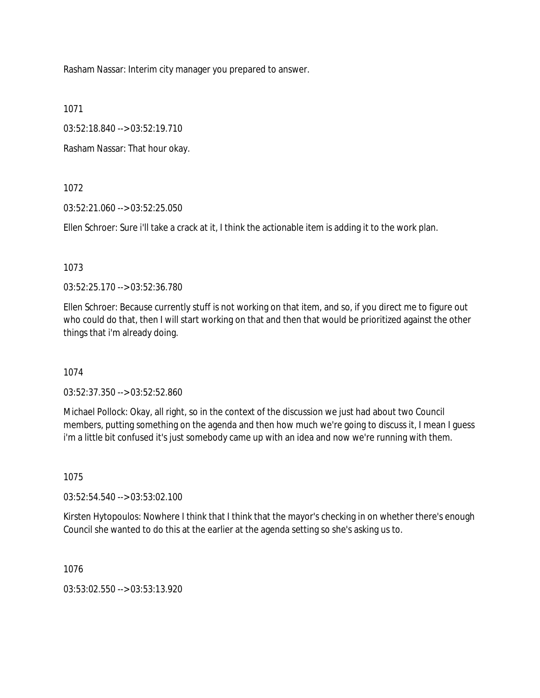Rasham Nassar: Interim city manager you prepared to answer.

1071

03:52:18.840 --> 03:52:19.710

Rasham Nassar: That hour okay.

1072

03:52:21.060 --> 03:52:25.050

Ellen Schroer: Sure i'll take a crack at it, I think the actionable item is adding it to the work plan.

1073

03:52:25.170 --> 03:52:36.780

Ellen Schroer: Because currently stuff is not working on that item, and so, if you direct me to figure out who could do that, then I will start working on that and then that would be prioritized against the other things that i'm already doing.

1074

03:52:37.350 --> 03:52:52.860

Michael Pollock: Okay, all right, so in the context of the discussion we just had about two Council members, putting something on the agenda and then how much we're going to discuss it, I mean I guess i'm a little bit confused it's just somebody came up with an idea and now we're running with them.

1075

03:52:54.540 --> 03:53:02.100

Kirsten Hytopoulos: Nowhere I think that I think that the mayor's checking in on whether there's enough Council she wanted to do this at the earlier at the agenda setting so she's asking us to.

1076

03:53:02.550 --> 03:53:13.920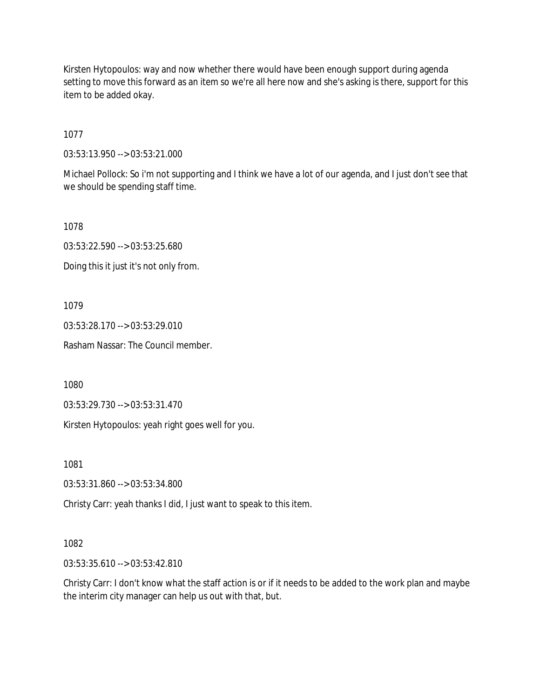Kirsten Hytopoulos: way and now whether there would have been enough support during agenda setting to move this forward as an item so we're all here now and she's asking is there, support for this item to be added okay.

1077

03:53:13.950 --> 03:53:21.000

Michael Pollock: So i'm not supporting and I think we have a lot of our agenda, and I just don't see that we should be spending staff time.

1078

03:53:22.590 --> 03:53:25.680

Doing this it just it's not only from.

1079

03:53:28.170 --> 03:53:29.010

Rasham Nassar: The Council member.

1080

03:53:29.730 --> 03:53:31.470

Kirsten Hytopoulos: yeah right goes well for you.

1081

03:53:31.860 --> 03:53:34.800

Christy Carr: yeah thanks I did, I just want to speak to this item.

1082

03:53:35.610 --> 03:53:42.810

Christy Carr: I don't know what the staff action is or if it needs to be added to the work plan and maybe the interim city manager can help us out with that, but.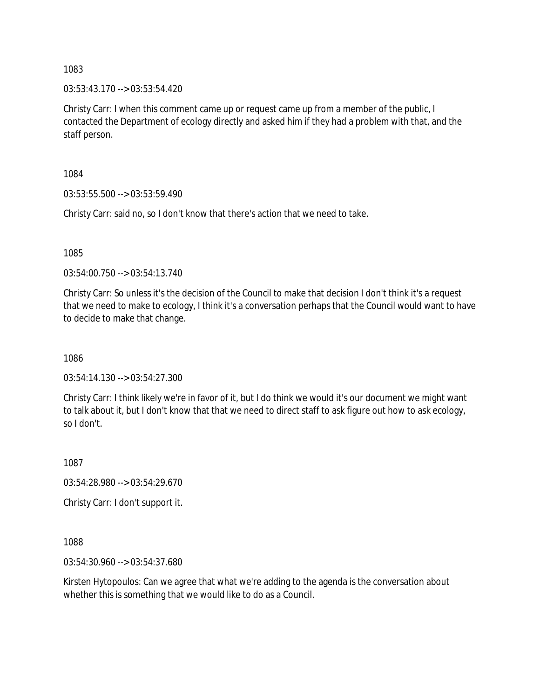03:53:43.170 --> 03:53:54.420

Christy Carr: I when this comment came up or request came up from a member of the public, I contacted the Department of ecology directly and asked him if they had a problem with that, and the staff person.

1084

03:53:55.500 --> 03:53:59.490

Christy Carr: said no, so I don't know that there's action that we need to take.

1085

03:54:00.750 --> 03:54:13.740

Christy Carr: So unless it's the decision of the Council to make that decision I don't think it's a request that we need to make to ecology, I think it's a conversation perhaps that the Council would want to have to decide to make that change.

1086

03:54:14.130 --> 03:54:27.300

Christy Carr: I think likely we're in favor of it, but I do think we would it's our document we might want to talk about it, but I don't know that that we need to direct staff to ask figure out how to ask ecology, so I don't.

1087

03:54:28.980 --> 03:54:29.670

Christy Carr: I don't support it.

1088

03:54:30.960 --> 03:54:37.680

Kirsten Hytopoulos: Can we agree that what we're adding to the agenda is the conversation about whether this is something that we would like to do as a Council.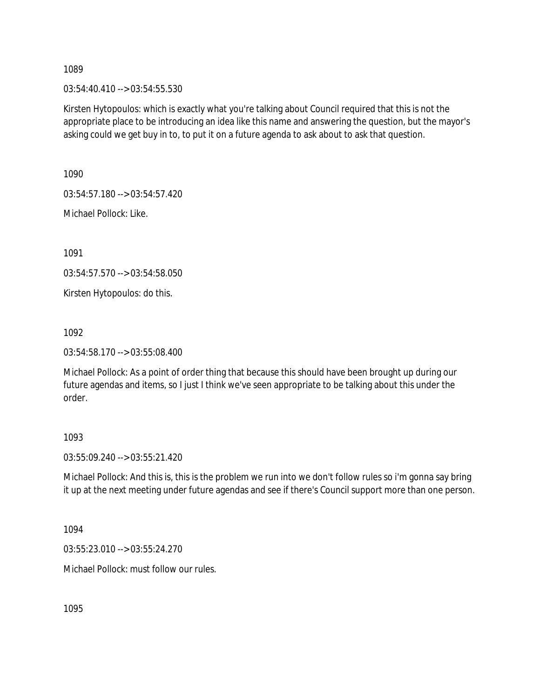03:54:40.410 --> 03:54:55.530

Kirsten Hytopoulos: which is exactly what you're talking about Council required that this is not the appropriate place to be introducing an idea like this name and answering the question, but the mayor's asking could we get buy in to, to put it on a future agenda to ask about to ask that question.

1090

03:54:57.180 --> 03:54:57.420

Michael Pollock: Like.

1091

03:54:57.570 --> 03:54:58.050

Kirsten Hytopoulos: do this.

1092

03:54:58.170 --> 03:55:08.400

Michael Pollock: As a point of order thing that because this should have been brought up during our future agendas and items, so I just I think we've seen appropriate to be talking about this under the order.

### 1093

03:55:09.240 --> 03:55:21.420

Michael Pollock: And this is, this is the problem we run into we don't follow rules so i'm gonna say bring it up at the next meeting under future agendas and see if there's Council support more than one person.

1094

03:55:23.010 --> 03:55:24.270

Michael Pollock: must follow our rules.

1095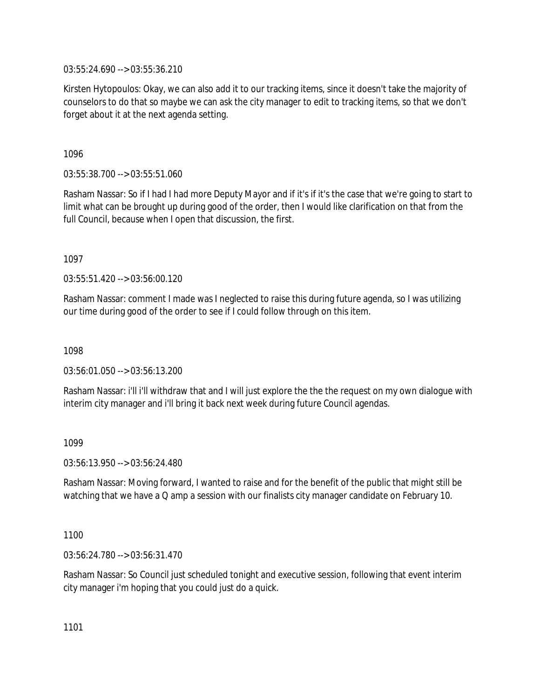03:55:24.690 --> 03:55:36.210

Kirsten Hytopoulos: Okay, we can also add it to our tracking items, since it doesn't take the majority of counselors to do that so maybe we can ask the city manager to edit to tracking items, so that we don't forget about it at the next agenda setting.

1096

03:55:38.700 --> 03:55:51.060

Rasham Nassar: So if I had I had more Deputy Mayor and if it's if it's the case that we're going to start to limit what can be brought up during good of the order, then I would like clarification on that from the full Council, because when I open that discussion, the first.

1097

03:55:51.420 --> 03:56:00.120

Rasham Nassar: comment I made was I neglected to raise this during future agenda, so I was utilizing our time during good of the order to see if I could follow through on this item.

1098

03:56:01.050 --> 03:56:13.200

Rasham Nassar: i'll i'll withdraw that and I will just explore the the the request on my own dialogue with interim city manager and i'll bring it back next week during future Council agendas.

1099

03:56:13.950 --> 03:56:24.480

Rasham Nassar: Moving forward, I wanted to raise and for the benefit of the public that might still be watching that we have a Q amp a session with our finalists city manager candidate on February 10.

1100

03:56:24.780 --> 03:56:31.470

Rasham Nassar: So Council just scheduled tonight and executive session, following that event interim city manager i'm hoping that you could just do a quick.

1101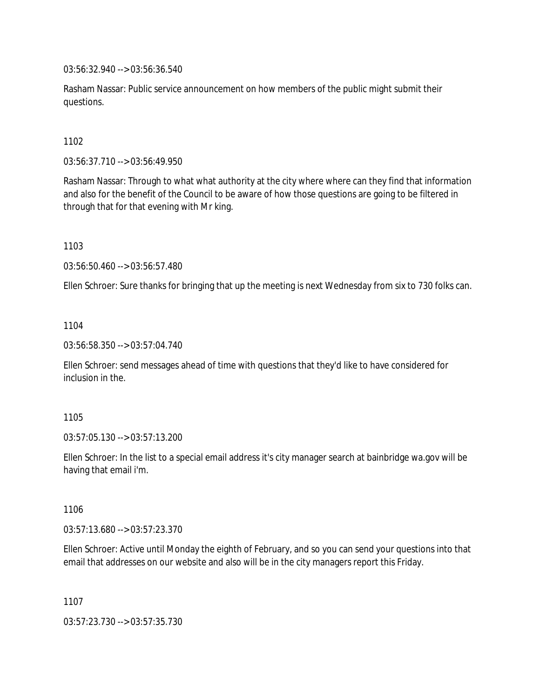03:56:32.940 --> 03:56:36.540

Rasham Nassar: Public service announcement on how members of the public might submit their questions.

1102

03:56:37.710 --> 03:56:49.950

Rasham Nassar: Through to what what authority at the city where where can they find that information and also for the benefit of the Council to be aware of how those questions are going to be filtered in through that for that evening with Mr king.

1103

03:56:50.460 --> 03:56:57.480

Ellen Schroer: Sure thanks for bringing that up the meeting is next Wednesday from six to 730 folks can.

1104

03:56:58.350 --> 03:57:04.740

Ellen Schroer: send messages ahead of time with questions that they'd like to have considered for inclusion in the.

1105

03:57:05.130 --> 03:57:13.200

Ellen Schroer: In the list to a special email address it's city manager search at bainbridge wa.gov will be having that email i'm.

1106

03:57:13.680 --> 03:57:23.370

Ellen Schroer: Active until Monday the eighth of February, and so you can send your questions into that email that addresses on our website and also will be in the city managers report this Friday.

1107

03:57:23.730 --> 03:57:35.730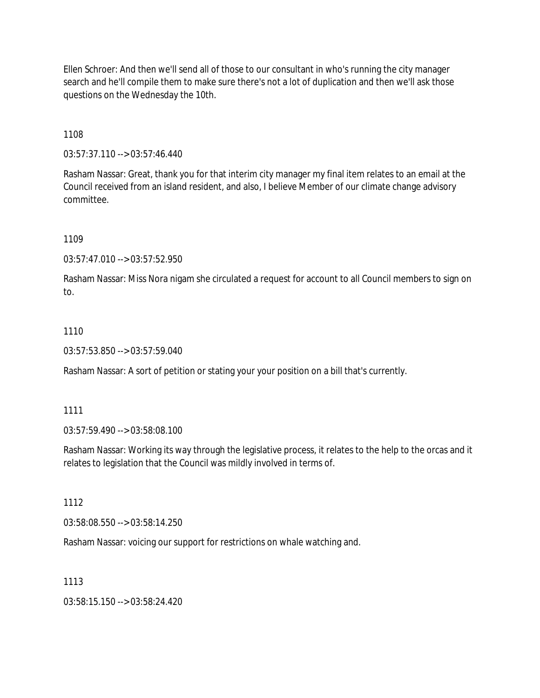Ellen Schroer: And then we'll send all of those to our consultant in who's running the city manager search and he'll compile them to make sure there's not a lot of duplication and then we'll ask those questions on the Wednesday the 10th.

1108

03:57:37.110 --> 03:57:46.440

Rasham Nassar: Great, thank you for that interim city manager my final item relates to an email at the Council received from an island resident, and also, I believe Member of our climate change advisory committee.

1109

03:57:47.010 --> 03:57:52.950

Rasham Nassar: Miss Nora nigam she circulated a request for account to all Council members to sign on to.

### 1110

03:57:53.850 --> 03:57:59.040

Rasham Nassar: A sort of petition or stating your your position on a bill that's currently.

### 1111

03:57:59.490 --> 03:58:08.100

Rasham Nassar: Working its way through the legislative process, it relates to the help to the orcas and it relates to legislation that the Council was mildly involved in terms of.

1112

03:58:08.550 --> 03:58:14.250

Rasham Nassar: voicing our support for restrictions on whale watching and.

### 1113

03:58:15.150 --> 03:58:24.420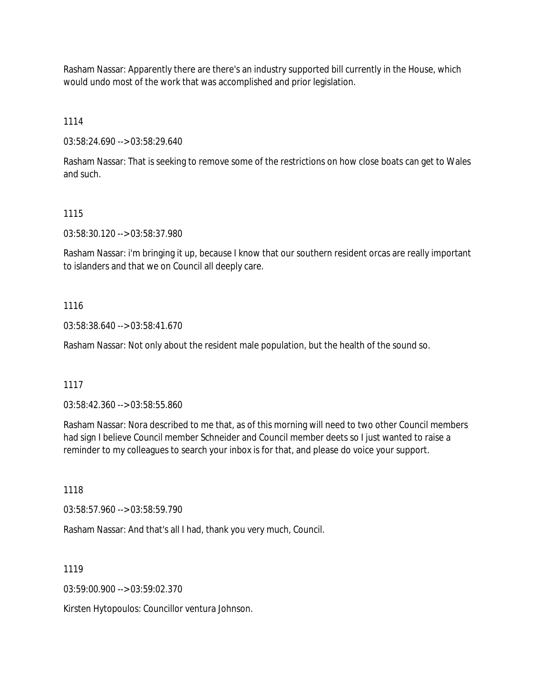Rasham Nassar: Apparently there are there's an industry supported bill currently in the House, which would undo most of the work that was accomplished and prior legislation.

1114

03:58:24.690 --> 03:58:29.640

Rasham Nassar: That is seeking to remove some of the restrictions on how close boats can get to Wales and such.

## 1115

03:58:30.120 --> 03:58:37.980

Rasham Nassar: i'm bringing it up, because I know that our southern resident orcas are really important to islanders and that we on Council all deeply care.

## 1116

03:58:38.640 --> 03:58:41.670

Rasham Nassar: Not only about the resident male population, but the health of the sound so.

## 1117

03:58:42.360 --> 03:58:55.860

Rasham Nassar: Nora described to me that, as of this morning will need to two other Council members had sign I believe Council member Schneider and Council member deets so I just wanted to raise a reminder to my colleagues to search your inbox is for that, and please do voice your support.

1118

03:58:57.960 --> 03:58:59.790

Rasham Nassar: And that's all I had, thank you very much, Council.

1119

03:59:00.900 --> 03:59:02.370

Kirsten Hytopoulos: Councillor ventura Johnson.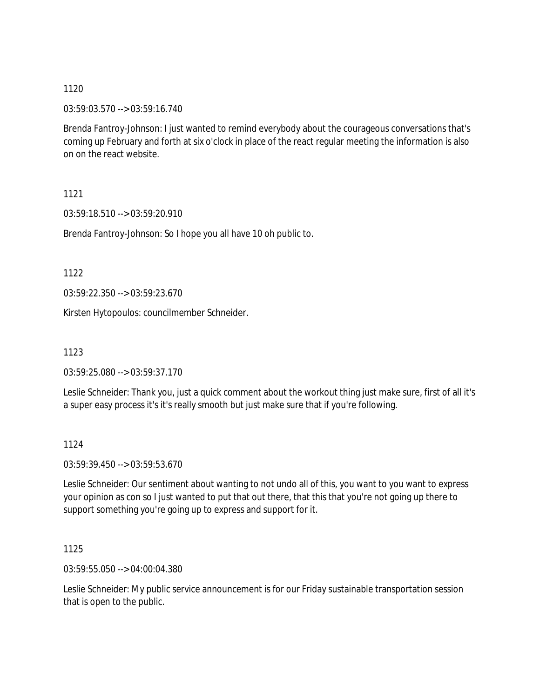03:59:03.570 --> 03:59:16.740

Brenda Fantroy-Johnson: I just wanted to remind everybody about the courageous conversations that's coming up February and forth at six o'clock in place of the react regular meeting the information is also on on the react website.

1121

03:59:18.510 --> 03:59:20.910

Brenda Fantroy-Johnson: So I hope you all have 10 oh public to.

1122

03:59:22.350 --> 03:59:23.670

Kirsten Hytopoulos: councilmember Schneider.

1123

03:59:25.080 --> 03:59:37.170

Leslie Schneider: Thank you, just a quick comment about the workout thing just make sure, first of all it's a super easy process it's it's really smooth but just make sure that if you're following.

1124

03:59:39.450 --> 03:59:53.670

Leslie Schneider: Our sentiment about wanting to not undo all of this, you want to you want to express your opinion as con so I just wanted to put that out there, that this that you're not going up there to support something you're going up to express and support for it.

1125

03:59:55.050 --> 04:00:04.380

Leslie Schneider: My public service announcement is for our Friday sustainable transportation session that is open to the public.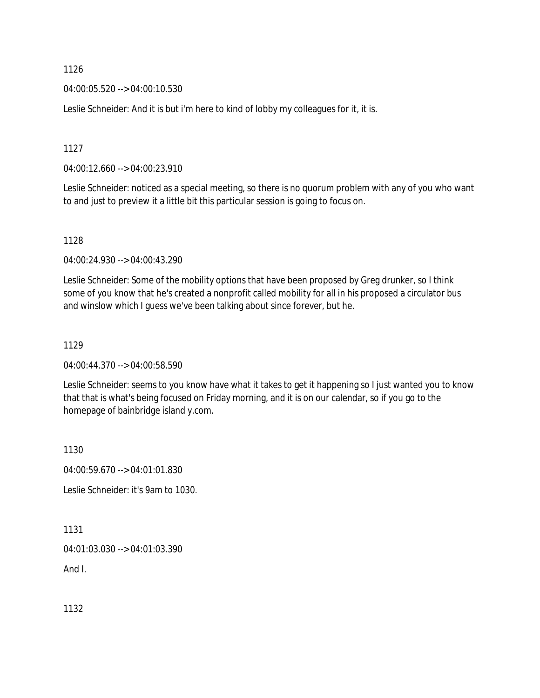1126

04:00:05.520 --> 04:00:10.530

Leslie Schneider: And it is but i'm here to kind of lobby my colleagues for it, it is.

1127

04:00:12.660 --> 04:00:23.910

Leslie Schneider: noticed as a special meeting, so there is no quorum problem with any of you who want to and just to preview it a little bit this particular session is going to focus on.

1128

04:00:24.930 --> 04:00:43.290

Leslie Schneider: Some of the mobility options that have been proposed by Greg drunker, so I think some of you know that he's created a nonprofit called mobility for all in his proposed a circulator bus and winslow which I guess we've been talking about since forever, but he.

1129

04:00:44.370 --> 04:00:58.590

Leslie Schneider: seems to you know have what it takes to get it happening so I just wanted you to know that that is what's being focused on Friday morning, and it is on our calendar, so if you go to the homepage of bainbridge island y.com.

1130

04:00:59.670 --> 04:01:01.830

Leslie Schneider: it's 9am to 1030.

1131

04:01:03.030 --> 04:01:03.390

And I.

1132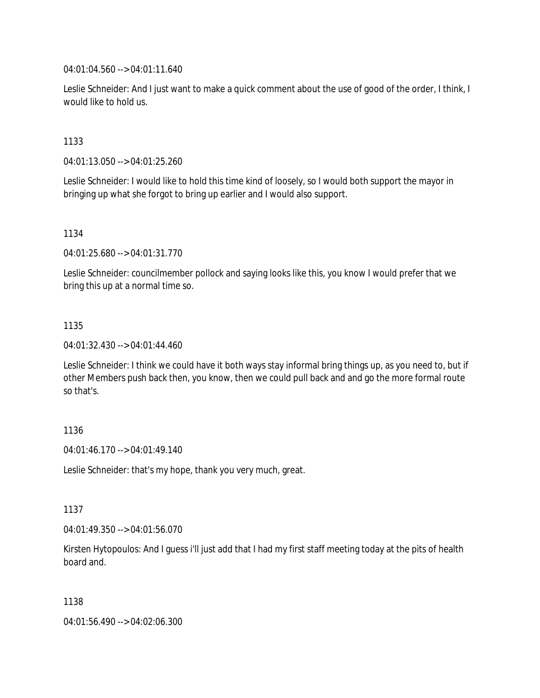04:01:04.560 --> 04:01:11.640

Leslie Schneider: And I just want to make a quick comment about the use of good of the order, I think, I would like to hold us.

1133

04:01:13.050 --> 04:01:25.260

Leslie Schneider: I would like to hold this time kind of loosely, so I would both support the mayor in bringing up what she forgot to bring up earlier and I would also support.

1134

04:01:25.680 --> 04:01:31.770

Leslie Schneider: councilmember pollock and saying looks like this, you know I would prefer that we bring this up at a normal time so.

1135

04:01:32.430 --> 04:01:44.460

Leslie Schneider: I think we could have it both ways stay informal bring things up, as you need to, but if other Members push back then, you know, then we could pull back and and go the more formal route so that's.

1136

04:01:46.170 --> 04:01:49.140

Leslie Schneider: that's my hope, thank you very much, great.

1137

04:01:49.350 --> 04:01:56.070

Kirsten Hytopoulos: And I guess i'll just add that I had my first staff meeting today at the pits of health board and.

1138

04:01:56.490 --> 04:02:06.300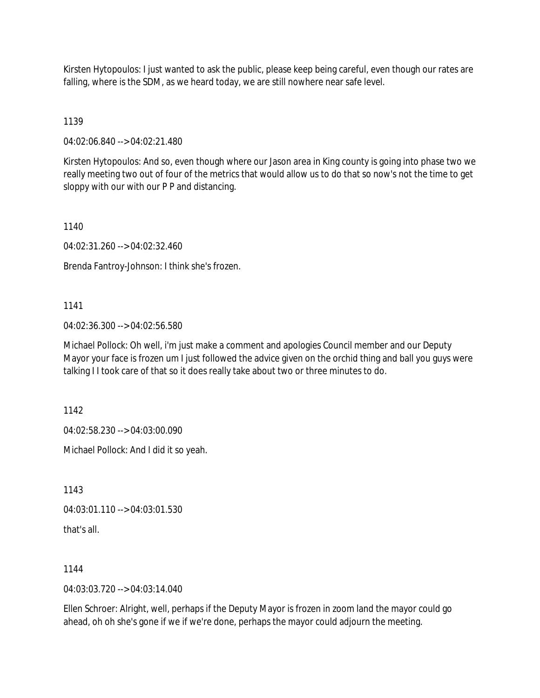Kirsten Hytopoulos: I just wanted to ask the public, please keep being careful, even though our rates are falling, where is the SDM, as we heard today, we are still nowhere near safe level.

## 1139

04:02:06.840 --> 04:02:21.480

Kirsten Hytopoulos: And so, even though where our Jason area in King county is going into phase two we really meeting two out of four of the metrics that would allow us to do that so now's not the time to get sloppy with our with our P P and distancing.

1140

04:02:31.260 --> 04:02:32.460

Brenda Fantroy-Johnson: I think she's frozen.

## 1141

04:02:36.300 --> 04:02:56.580

Michael Pollock: Oh well, i'm just make a comment and apologies Council member and our Deputy Mayor your face is frozen um I just followed the advice given on the orchid thing and ball you guys were talking I I took care of that so it does really take about two or three minutes to do.

1142

04:02:58.230 --> 04:03:00.090

Michael Pollock: And I did it so yeah.

1143

04:03:01.110 --> 04:03:01.530

that's all.

1144

04:03:03.720 --> 04:03:14.040

Ellen Schroer: Alright, well, perhaps if the Deputy Mayor is frozen in zoom land the mayor could go ahead, oh oh she's gone if we if we're done, perhaps the mayor could adjourn the meeting.